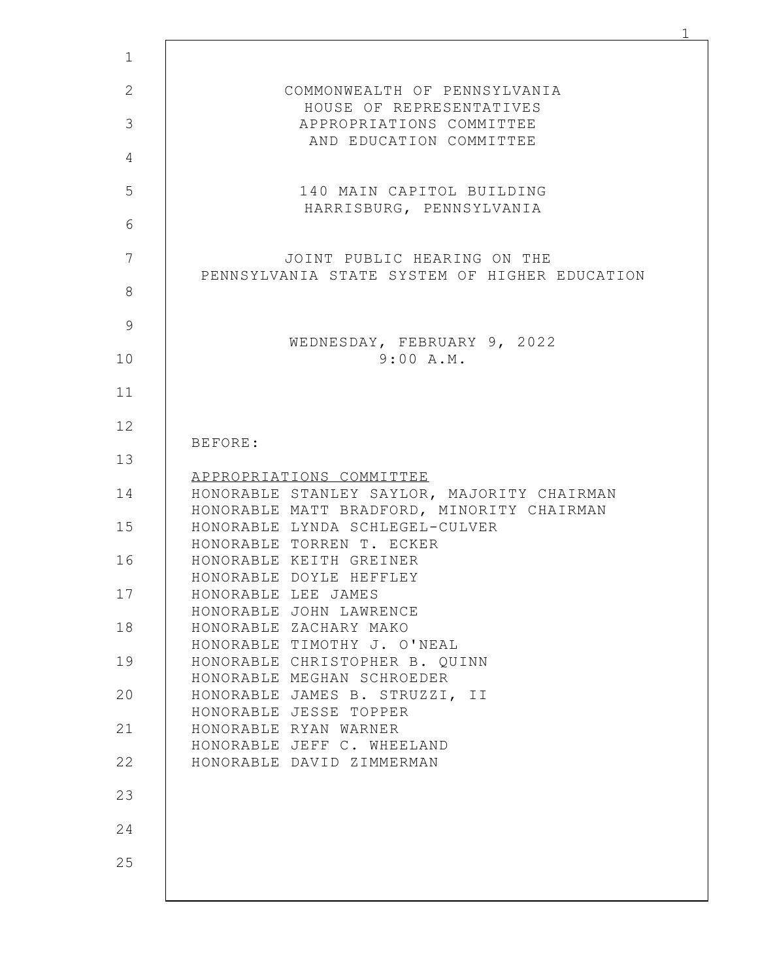|                     | COMMONWEALTH OF PENNSYLVANIA                                                              |
|---------------------|-------------------------------------------------------------------------------------------|
|                     | HOUSE OF REPRESENTATIVES<br>APPROPRIATIONS COMMITTEE                                      |
|                     | AND EDUCATION COMMITTEE                                                                   |
|                     | 140 MAIN CAPITOL BUILDING                                                                 |
|                     | HARRISBURG, PENNSYLVANIA                                                                  |
|                     | JOINT PUBLIC HEARING ON THE                                                               |
|                     | PENNSYLVANIA STATE SYSTEM OF HIGHER EDUCATION                                             |
|                     | WEDNESDAY, FEBRUARY 9, 2022                                                               |
|                     | 9:00 A.M.                                                                                 |
|                     |                                                                                           |
| BEFORE:             |                                                                                           |
|                     | APPROPRIATIONS COMMITTEE                                                                  |
|                     | HONORABLE STANLEY SAYLOR, MAJORITY CHAIRMAN<br>HONORABLE MATT BRADFORD, MINORITY CHAIRMAN |
|                     | HONORABLE LYNDA SCHLEGEL-CULVER<br>HONORABLE TORREN T. ECKER                              |
|                     | HONORABLE KEITH GREINER<br>HONORABLE DOYLE HEFFLEY                                        |
| HONORABLE LEE JAMES | HONORABLE JOHN LAWRENCE                                                                   |
|                     | HONORABLE ZACHARY MAKO<br>HONORABLE TIMOTHY J. O'NEAL                                     |
|                     | HONORABLE CHRISTOPHER B. QUINN<br>HONORABLE MEGHAN SCHROEDER                              |
|                     | HONORABLE JAMES B. STRUZZI, II<br>HONORABLE JESSE TOPPER                                  |
|                     | HONORABLE RYAN WARNER<br>HONORABLE JEFF C. WHEELAND                                       |
|                     | HONORABLE DAVID ZIMMERMAN                                                                 |
|                     |                                                                                           |
|                     |                                                                                           |
|                     |                                                                                           |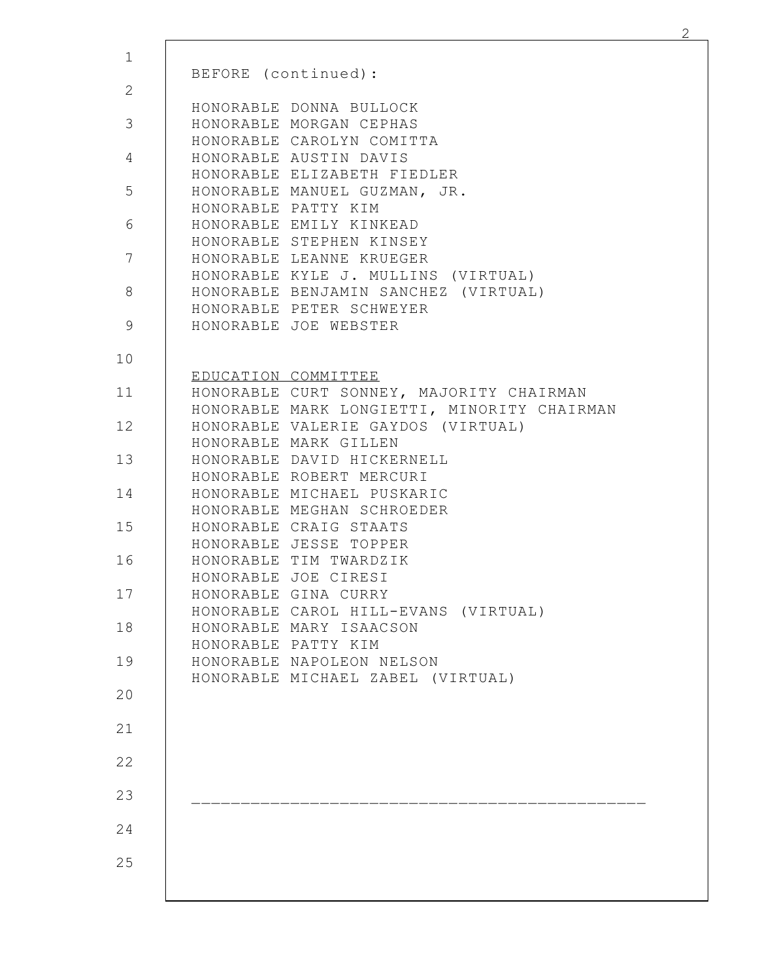| BEFORE (continued):                                                               |  |
|-----------------------------------------------------------------------------------|--|
| HONORABLE DONNA BULLOCK                                                           |  |
| HONORABLE MORGAN CEPHAS<br>HONORABLE CAROLYN COMITTA                              |  |
| HONORABLE AUSTIN DAVIS                                                            |  |
| HONORABLE ELIZABETH FIEDLER                                                       |  |
| HONORABLE MANUEL GUZMAN, JR.                                                      |  |
| HONORABLE PATTY KIM<br>HONORABLE EMILY KINKEAD                                    |  |
| HONORABLE STEPHEN KINSEY                                                          |  |
| HONORABLE LEANNE KRUEGER                                                          |  |
| HONORABLE KYLE J. MULLINS (VIRTUAL)                                               |  |
| HONORABLE BENJAMIN SANCHEZ<br>(VIRTUAL)<br>HONORABLE PETER SCHWEYER               |  |
| HONORABLE JOE WEBSTER                                                             |  |
|                                                                                   |  |
| EDUCATION COMMITTEE                                                               |  |
| HONORABLE CURT SONNEY, MAJORITY CHAIRMAN                                          |  |
| HONORABLE MARK LONGIETTI, MINORITY CHAIRMAN<br>HONORABLE VALERIE GAYDOS (VIRTUAL) |  |
| HONORABLE MARK GILLEN                                                             |  |
| HONORABLE DAVID HICKERNELL                                                        |  |
| HONORABLE ROBERT MERCURI                                                          |  |
| HONORABLE MICHAEL PUSKARIC<br>HONORABLE MEGHAN SCHROEDER                          |  |
| HONORABLE CRAIG STAATS                                                            |  |
| HONORABLE JESSE TOPPER                                                            |  |
| HONORABLE TIM TWARDZIK                                                            |  |
| HONORABLE JOE CIRESI<br>HONORABLE GINA CURRY                                      |  |
| HONORABLE CAROL HILL-EVANS (VIRTUAL)                                              |  |
| HONORABLE MARY ISAACSON                                                           |  |
| HONORABLE PATTY KIM                                                               |  |
| HONORABLE NAPOLEON NELSON<br>HONORABLE MICHAEL ZABEL (VIRTUAL)                    |  |
|                                                                                   |  |
|                                                                                   |  |
|                                                                                   |  |
|                                                                                   |  |
|                                                                                   |  |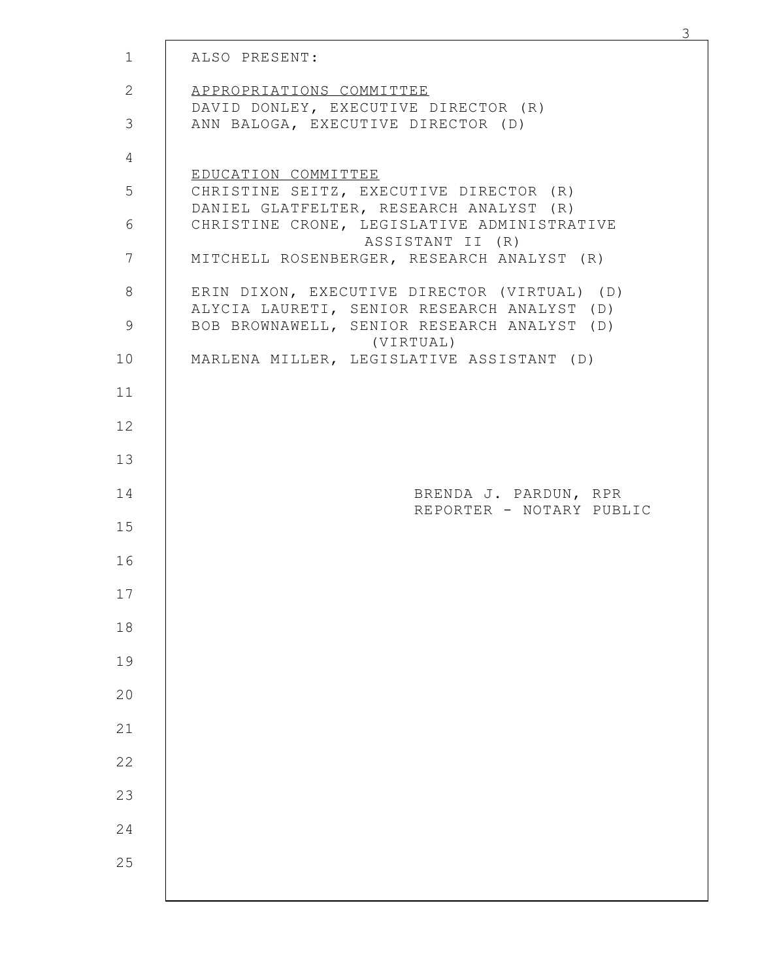| $\mathbf{1}$   | ALSO PRESENT:                                                                               |  |
|----------------|---------------------------------------------------------------------------------------------|--|
| 2              | APPROPRIATIONS COMMITTEE<br>DAVID DONLEY, EXECUTIVE DIRECTOR (R)                            |  |
| 3              | ANN BALOGA, EXECUTIVE DIRECTOR (D)                                                          |  |
| $\overline{4}$ |                                                                                             |  |
| $\overline{5}$ | EDUCATION COMMITTEE<br>CHRISTINE SEITZ, EXECUTIVE DIRECTOR (R)                              |  |
| 6              | DANIEL GLATFELTER, RESEARCH ANALYST (R)<br>CHRISTINE CRONE, LEGISLATIVE ADMINISTRATIVE      |  |
| $\overline{7}$ | ASSISTANT II (R)<br>MITCHELL ROSENBERGER, RESEARCH ANALYST (R)                              |  |
| $8\,$          | ERIN DIXON, EXECUTIVE DIRECTOR (VIRTUAL) (D)<br>ALYCIA LAURETI, SENIOR RESEARCH ANALYST (D) |  |
| 9              | BOB BROWNAWELL, SENIOR RESEARCH ANALYST (D)<br>(VIRTUAL)                                    |  |
| 10             | MARLENA MILLER, LEGISLATIVE ASSISTANT (D)                                                   |  |
| 11             |                                                                                             |  |
| 12             |                                                                                             |  |
| 13             |                                                                                             |  |
| 14             | BRENDA J. PARDUN, RPR                                                                       |  |
| 15             | REPORTER - NOTARY PUBLIC                                                                    |  |
| 16             |                                                                                             |  |
| 17             |                                                                                             |  |
| $18\,$         |                                                                                             |  |
| 19             |                                                                                             |  |
| $20$           |                                                                                             |  |
| $21\,$         |                                                                                             |  |
| 22             |                                                                                             |  |
| 23             |                                                                                             |  |
| 24             |                                                                                             |  |
| 25             |                                                                                             |  |
|                |                                                                                             |  |

 $\frac{3}{2}$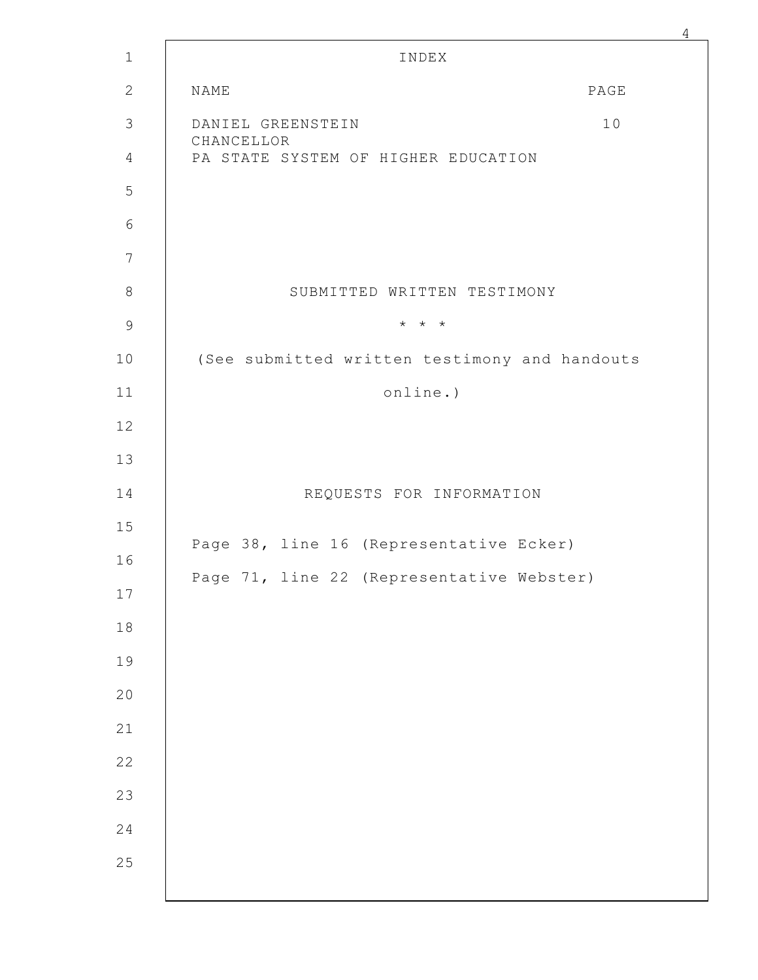|            | INDEX                                                    |      |  |
|------------|----------------------------------------------------------|------|--|
| NAME       |                                                          | PAGE |  |
| CHANCELLOR | DANIEL GREENSTEIN<br>PA STATE SYSTEM OF HIGHER EDUCATION | 10   |  |
|            |                                                          |      |  |
|            |                                                          |      |  |
|            |                                                          |      |  |
|            | SUBMITTED WRITTEN TESTIMONY                              |      |  |
|            | $\star$ $\star$ $\star$                                  |      |  |
|            | (See submitted written testimony and handouts            |      |  |
|            | online.)                                                 |      |  |
|            |                                                          |      |  |
|            |                                                          |      |  |
|            | REQUESTS FOR INFORMATION                                 |      |  |
|            | Page 38, line 16 (Representative Ecker)                  |      |  |
|            | Page 71, line 22 (Representative Webster)                |      |  |
|            |                                                          |      |  |
|            |                                                          |      |  |
|            |                                                          |      |  |
|            |                                                          |      |  |
|            |                                                          |      |  |
|            |                                                          |      |  |
|            |                                                          |      |  |
|            |                                                          |      |  |
|            |                                                          |      |  |
|            |                                                          |      |  |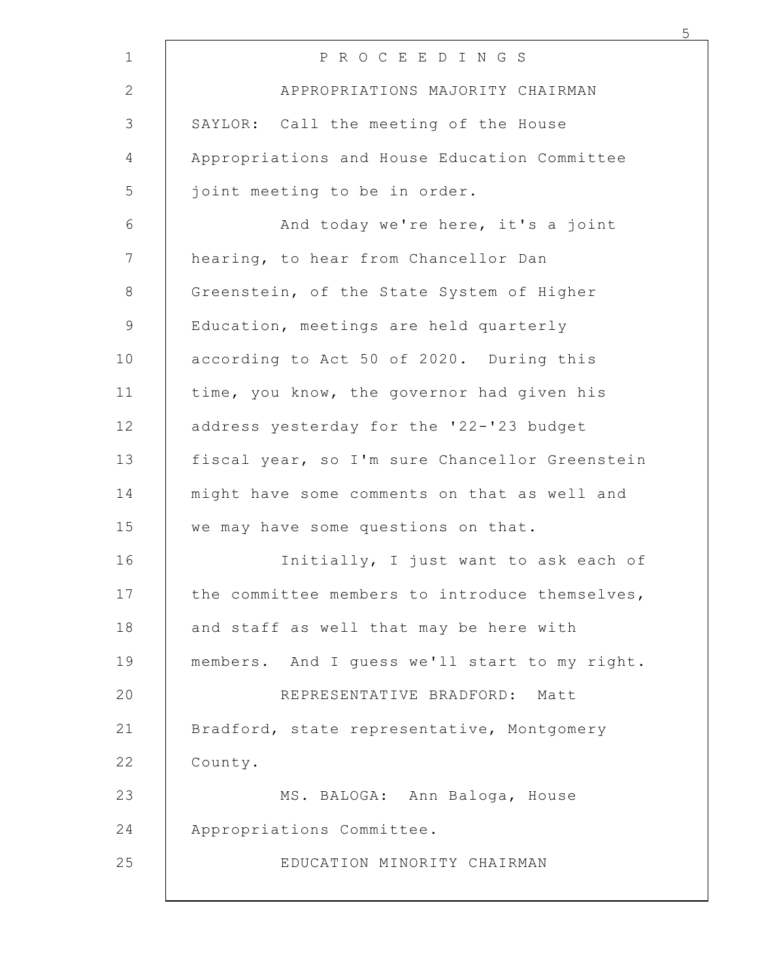| P R O C E E D I N G S                          |
|------------------------------------------------|
| APPROPRIATIONS MAJORITY CHAIRMAN               |
| SAYLOR: Call the meeting of the House          |
| Appropriations and House Education Committee   |
| joint meeting to be in order.                  |
| And today we're here, it's a joint             |
| hearing, to hear from Chancellor Dan           |
| Greenstein, of the State System of Higher      |
| Education, meetings are held quarterly         |
| according to Act 50 of 2020. During this       |
| time, you know, the governor had given his     |
| address yesterday for the '22-'23 budget       |
| fiscal year, so I'm sure Chancellor Greenstein |
| might have some comments on that as well and   |
| we may have some questions on that.            |
| Initially, I just want to ask each of          |
| the committee members to introduce themselves, |
| and staff as well that may be here with        |
| members. And I quess we'll start to my right.  |
| REPRESENTATIVE BRADFORD: Matt                  |
| Bradford, state representative, Montgomery     |
| County.                                        |
| MS. BALOGA: Ann Baloga, House                  |
| Appropriations Committee.                      |
| EDUCATION MINORITY CHAIRMAN                    |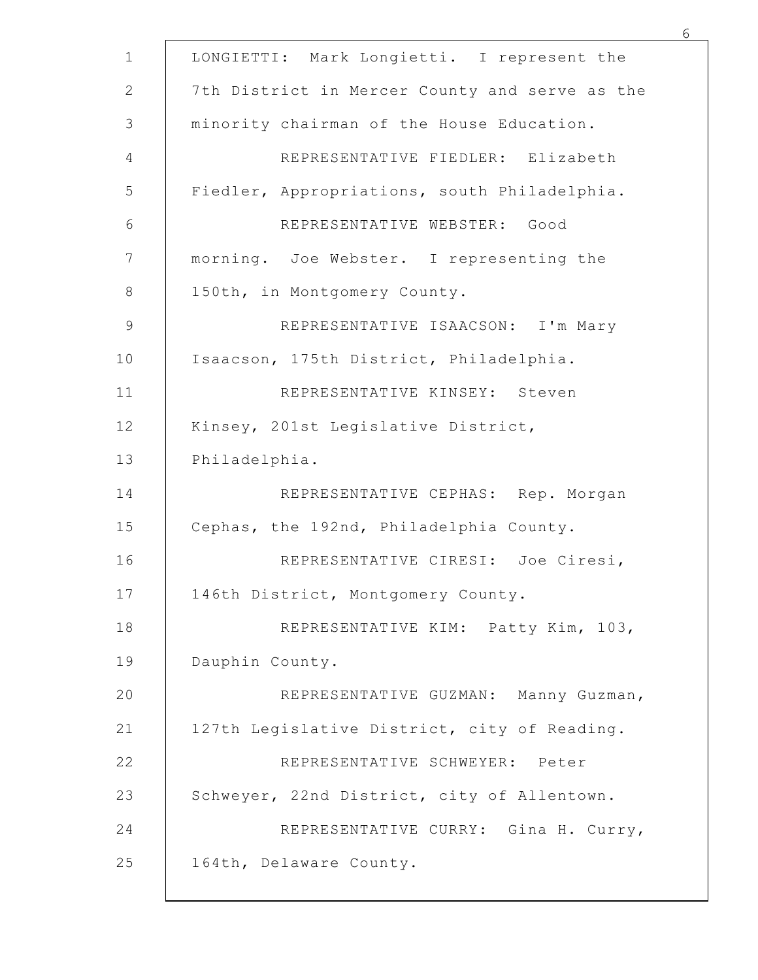| LONGIETTI: Mark Longietti. I represent the     |
|------------------------------------------------|
| 7th District in Mercer County and serve as the |
| minority chairman of the House Education.      |
| REPRESENTATIVE FIEDLER: Elizabeth              |
| Fiedler, Appropriations, south Philadelphia.   |
| REPRESENTATIVE WEBSTER: Good                   |
| morning. Joe Webster. I representing the       |
| 150th, in Montgomery County.                   |
| REPRESENTATIVE ISAACSON: I'm Mary              |
| Isaacson, 175th District, Philadelphia.        |
| REPRESENTATIVE KINSEY: Steven                  |
| Kinsey, 201st Legislative District,            |
| Philadelphia.                                  |
| REPRESENTATIVE CEPHAS: Rep. Morgan             |
| Cephas, the 192nd, Philadelphia County.        |
| REPRESENTATIVE CIRESI: Joe Ciresi,             |
| 146th District, Montgomery County.             |
| REPRESENTATIVE KIM: Patty Kim, 103,            |
| Dauphin County.                                |
| REPRESENTATIVE GUZMAN: Manny Guzman,           |
| 127th Legislative District, city of Reading.   |
| REPRESENTATIVE SCHWEYER: Peter                 |
| Schweyer, 22nd District, city of Allentown.    |
| REPRESENTATIVE CURRY: Gina H. Curry,           |
| 164th, Delaware County.                        |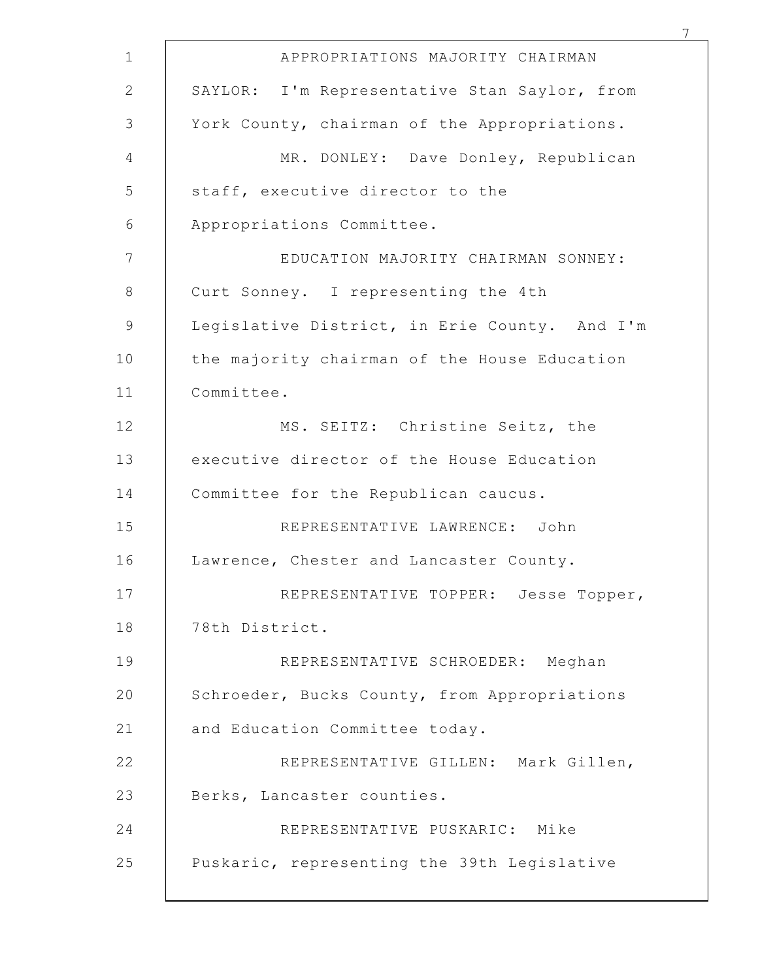| APPROPRIATIONS MAJORITY CHAIRMAN              |
|-----------------------------------------------|
| SAYLOR: I'm Representative Stan Saylor, from  |
| York County, chairman of the Appropriations.  |
| MR. DONLEY: Dave Donley, Republican           |
| staff, executive director to the              |
| Appropriations Committee.                     |
| EDUCATION MAJORITY CHAIRMAN SONNEY:           |
| Curt Sonney. I representing the 4th           |
| Legislative District, in Erie County. And I'm |
| the majority chairman of the House Education  |
| Committee.                                    |
| MS. SEITZ: Christine Seitz, the               |
| executive director of the House Education     |
| Committee for the Republican caucus.          |
| REPRESENTATIVE LAWRENCE: John                 |
| Lawrence, Chester and Lancaster County.       |
| REPRESENTATIVE TOPPER: Jesse Topper,          |
| 78th District.                                |
| REPRESENTATIVE SCHROEDER: Meghan              |
| Schroeder, Bucks County, from Appropriations  |
| and Education Committee today.                |
| REPRESENTATIVE GILLEN: Mark Gillen,           |
| Berks, Lancaster counties.                    |
| REPRESENTATIVE PUSKARIC: Mike                 |
| Puskaric, representing the 39th Legislative   |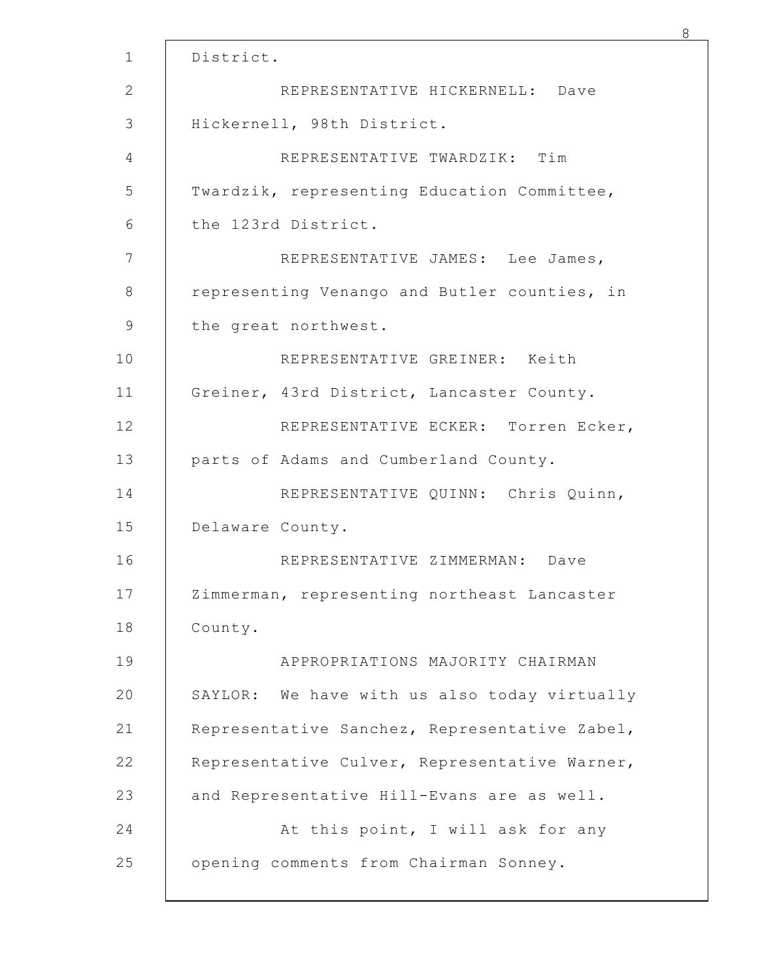| District. |                                               |
|-----------|-----------------------------------------------|
|           | REPRESENTATIVE HICKERNELL: Dave               |
|           | Hickernell, 98th District.                    |
|           | REPRESENTATIVE TWARDZIK: Tim                  |
|           | Twardzik, representing Education Committee,   |
|           | the 123rd District.                           |
|           | REPRESENTATIVE JAMES: Lee James,              |
|           | representing Venango and Butler counties, in  |
|           | the great northwest.                          |
|           | REPRESENTATIVE GREINER: Keith                 |
|           | Greiner, 43rd District, Lancaster County.     |
|           | REPRESENTATIVE ECKER: Torren Ecker,           |
|           | parts of Adams and Cumberland County.         |
|           | REPRESENTATIVE QUINN: Chris Quinn,            |
|           | Delaware County.                              |
|           | REPRESENTATIVE ZIMMERMAN:<br>Dave             |
|           | Zimmerman, representing northeast Lancaster   |
| County.   |                                               |
|           | APPROPRIATIONS MAJORITY CHAIRMAN              |
|           | SAYLOR: We have with us also today virtually  |
|           | Representative Sanchez, Representative Zabel, |
|           | Representative Culver, Representative Warner, |
|           | and Representative Hill-Evans are as well.    |
|           | At this point, I will ask for any             |
|           | opening comments from Chairman Sonney.        |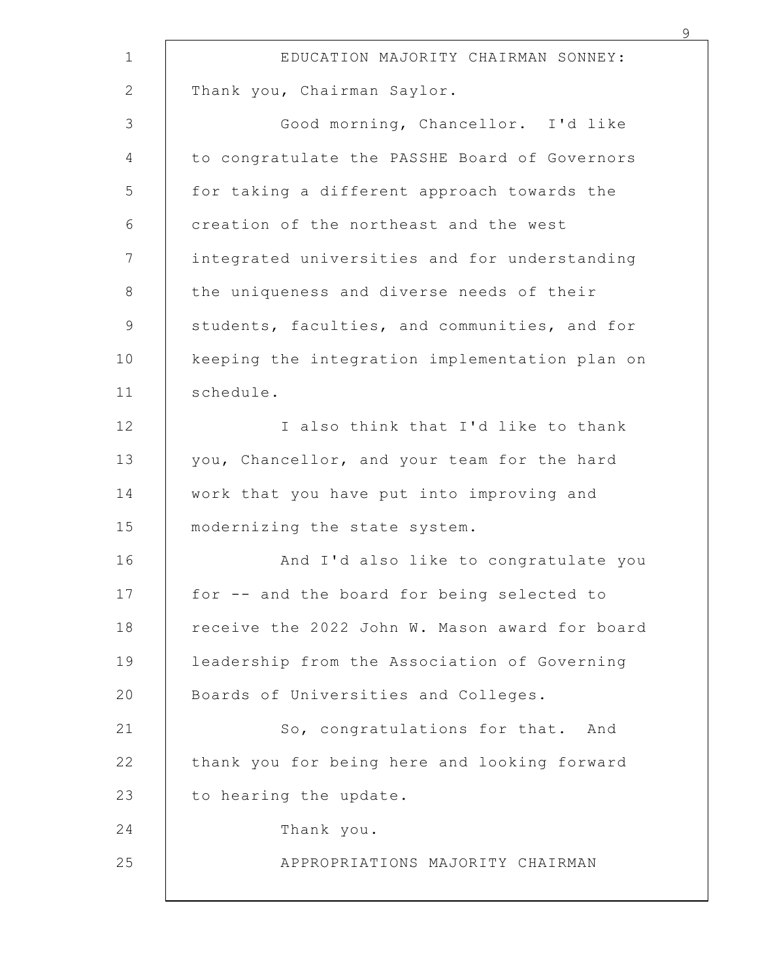| EDUCATION MAJORITY CHAIRMAN SONNEY:            |
|------------------------------------------------|
| Thank you, Chairman Saylor.                    |
| Good morning, Chancellor. I'd like             |
| to congratulate the PASSHE Board of Governors  |
| for taking a different approach towards the    |
| creation of the northeast and the west         |
| integrated universities and for understanding  |
| the uniqueness and diverse needs of their      |
| students, faculties, and communities, and for  |
| keeping the integration implementation plan on |
| schedule.                                      |
| I also think that I'd like to thank            |
| you, Chancellor, and your team for the hard    |
| work that you have put into improving and      |
| modernizing the state system.                  |
| And I'd also like to congratulate you          |
| for -- and the board for being selected to     |
| receive the 2022 John W. Mason award for board |
| leadership from the Association of Governing   |
| Boards of Universities and Colleges.           |
| So, congratulations for that. And              |
| thank you for being here and looking forward   |
| to hearing the update.                         |
| Thank you.                                     |
| APPROPRIATIONS MAJORITY CHAIRMAN               |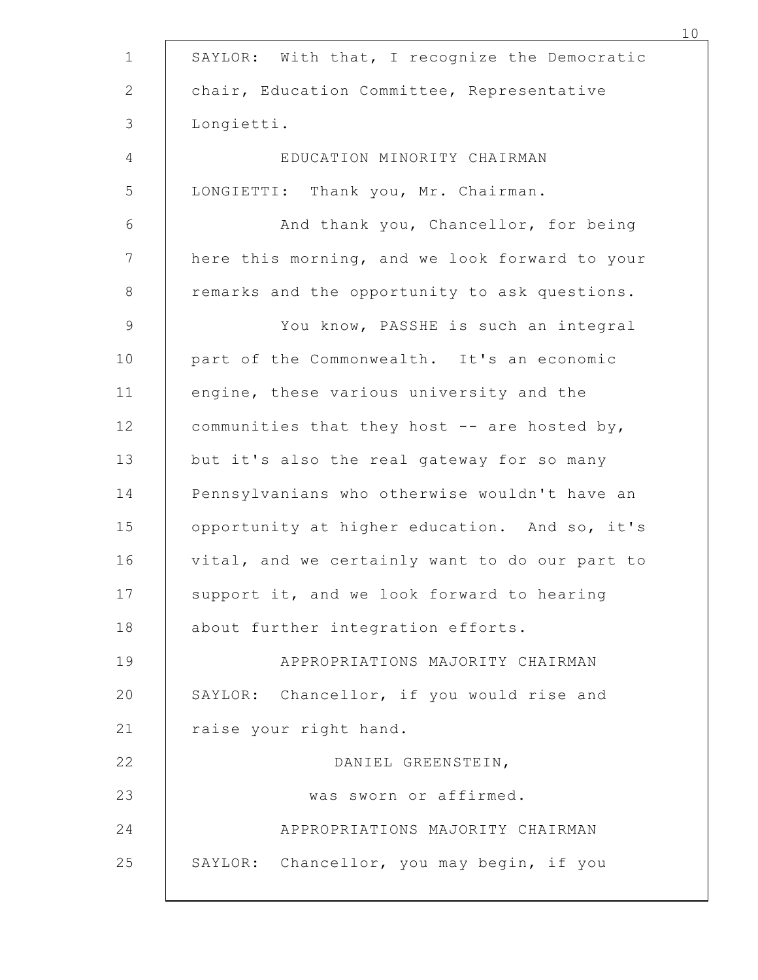|            | SAYLOR: With that, I recognize the Democratic  |
|------------|------------------------------------------------|
|            | chair, Education Committee, Representative     |
| Longietti. |                                                |
|            | EDUCATION MINORITY CHAIRMAN                    |
|            | LONGIETTI: Thank you, Mr. Chairman.            |
|            | And thank you, Chancellor, for being           |
|            | here this morning, and we look forward to your |
|            | remarks and the opportunity to ask questions.  |
|            | You know, PASSHE is such an integral           |
|            | part of the Commonwealth. It's an economic     |
|            | engine, these various university and the       |
|            | communities that they host -- are hosted by,   |
|            | but it's also the real gateway for so many     |
|            | Pennsylvanians who otherwise wouldn't have an  |
|            | opportunity at higher education. And so, it's  |
|            | vital, and we certainly want to do our part to |
|            | support it, and we look forward to hearing     |
|            | about further integration efforts.             |
|            | APPROPRIATIONS MAJORITY CHAIRMAN               |
|            | SAYLOR: Chancellor, if you would rise and      |
|            | raise your right hand.                         |
|            | DANIEL GREENSTEIN,                             |
|            | was sworn or affirmed.                         |
|            | APPROPRIATIONS MAJORITY CHAIRMAN               |
|            | SAYLOR: Chancellor, you may begin, if you      |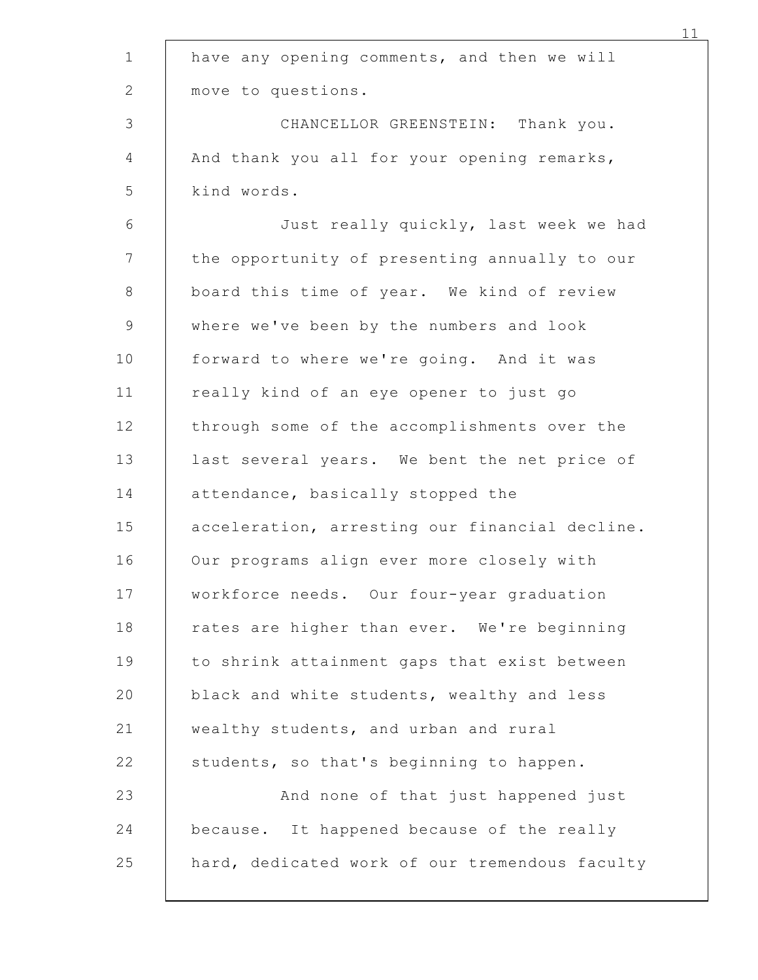| have any opening comments, and then we will    |
|------------------------------------------------|
| move to questions.                             |
| CHANCELLOR GREENSTEIN: Thank you.              |
| And thank you all for your opening remarks,    |
| kind words.                                    |
| Just really quickly, last week we had          |
| the opportunity of presenting annually to our  |
| board this time of year. We kind of review     |
| where we've been by the numbers and look       |
| forward to where we're going. And it was       |
| really kind of an eye opener to just go        |
| through some of the accomplishments over the   |
| last several years. We bent the net price of   |
| attendance, basically stopped the              |
| acceleration, arresting our financial decline. |
| Our programs align ever more closely with      |
| workforce needs. Our four-year graduation      |
| rates are higher than ever. We're beginning    |
| to shrink attainment gaps that exist between   |
| black and white students, wealthy and less     |
| wealthy students, and urban and rural          |
| students, so that's beginning to happen.       |
| And none of that just happened just            |
| because. It happened because of the really     |
| hard, dedicated work of our tremendous faculty |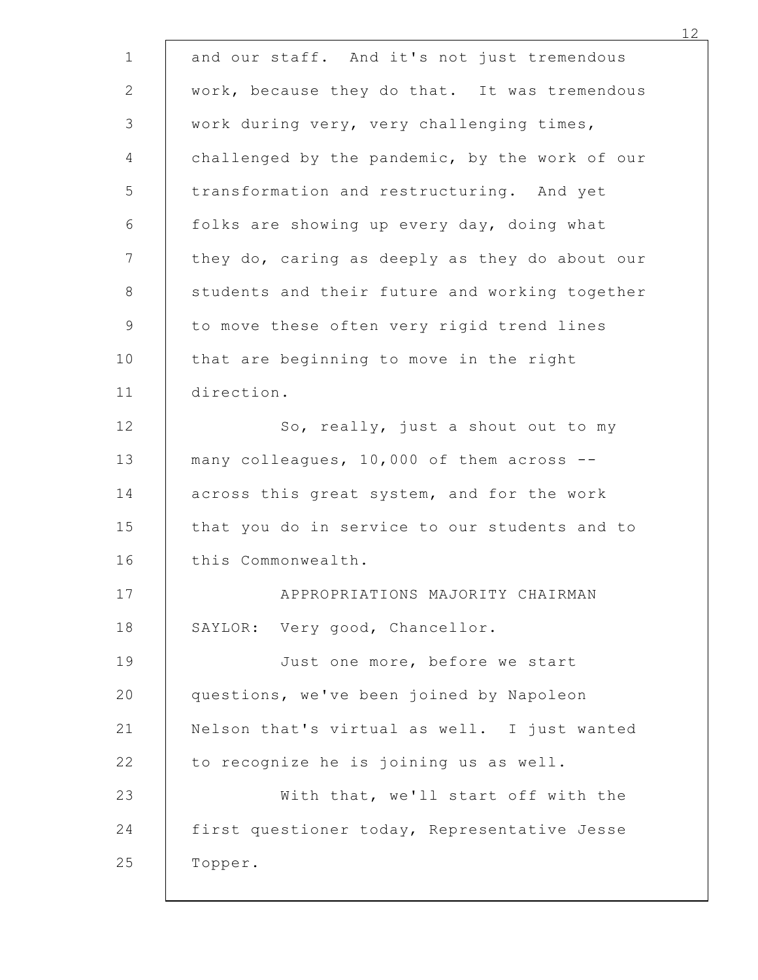|            | and our staff. And it's not just tremendous    |
|------------|------------------------------------------------|
|            | work, because they do that. It was tremendous  |
|            | work during very, very challenging times,      |
|            | challenged by the pandemic, by the work of our |
|            | transformation and restructuring. And yet      |
|            | folks are showing up every day, doing what     |
|            | they do, caring as deeply as they do about our |
|            | students and their future and working together |
|            | to move these often very rigid trend lines     |
|            | that are beginning to move in the right        |
| direction. |                                                |
|            | So, really, just a shout out to my             |
|            | many colleagues, 10,000 of them across --      |
|            | across this great system, and for the work     |
|            | that you do in service to our students and to  |
|            | this Commonwealth.                             |
|            | APPROPRIATIONS MAJORITY CHAIRMAN               |
|            | SAYLOR: Very good, Chancellor.                 |
|            | Just one more, before we start                 |
|            | questions, we've been joined by Napoleon       |
|            | Nelson that's virtual as well. I just wanted   |
|            | to recognize he is joining us as well.         |
|            | With that, we'll start off with the            |
|            | first questioner today, Representative Jesse   |
| Topper.    |                                                |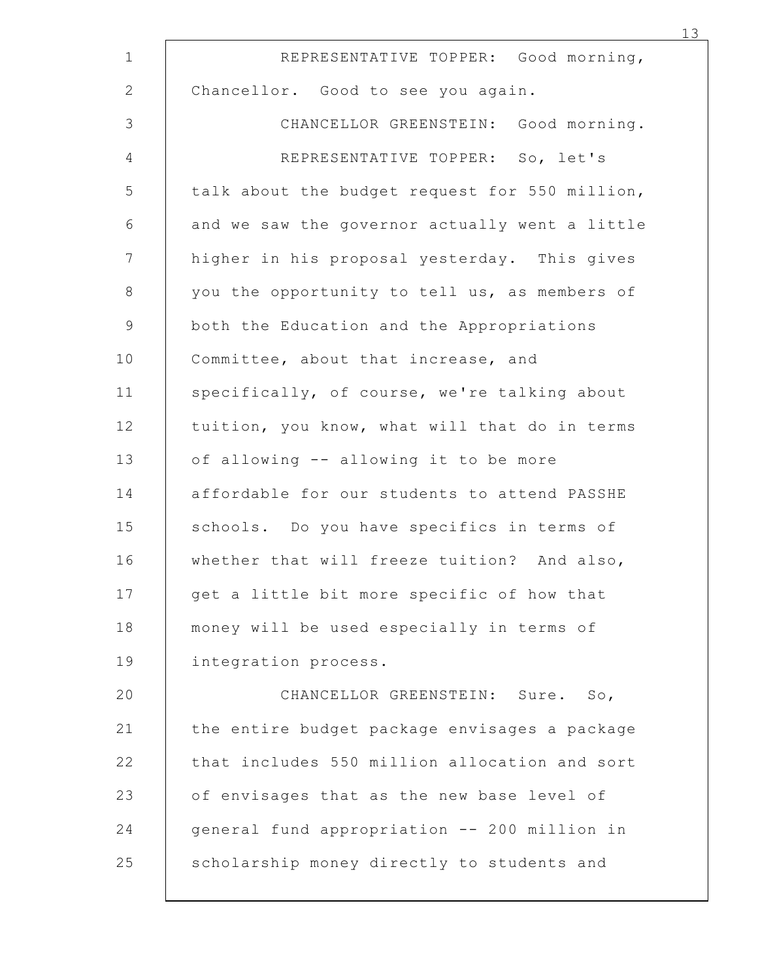| REPRESENTATIVE TOPPER: Good morning,           |
|------------------------------------------------|
| Chancellor. Good to see you again.             |
| CHANCELLOR GREENSTEIN: Good morning.           |
| REPRESENTATIVE TOPPER: So, let's               |
| talk about the budget request for 550 million, |
| and we saw the governor actually went a little |
| higher in his proposal yesterday. This gives   |
| you the opportunity to tell us, as members of  |
| both the Education and the Appropriations      |
| Committee, about that increase, and            |
| specifically, of course, we're talking about   |
| tuition, you know, what will that do in terms  |
| of allowing -- allowing it to be more          |
| affordable for our students to attend PASSHE   |
| schools. Do you have specifics in terms of     |
| whether that will freeze tuition? And also,    |
| get a little bit more specific of how that     |
| money will be used especially in terms of      |
| integration process.                           |
| CHANCELLOR GREENSTEIN: Sure.<br>So,            |
| the entire budget package envisages a package  |
| that includes 550 million allocation and sort  |
| of envisages that as the new base level of     |
| general fund appropriation -- 200 million in   |
| scholarship money directly to students and     |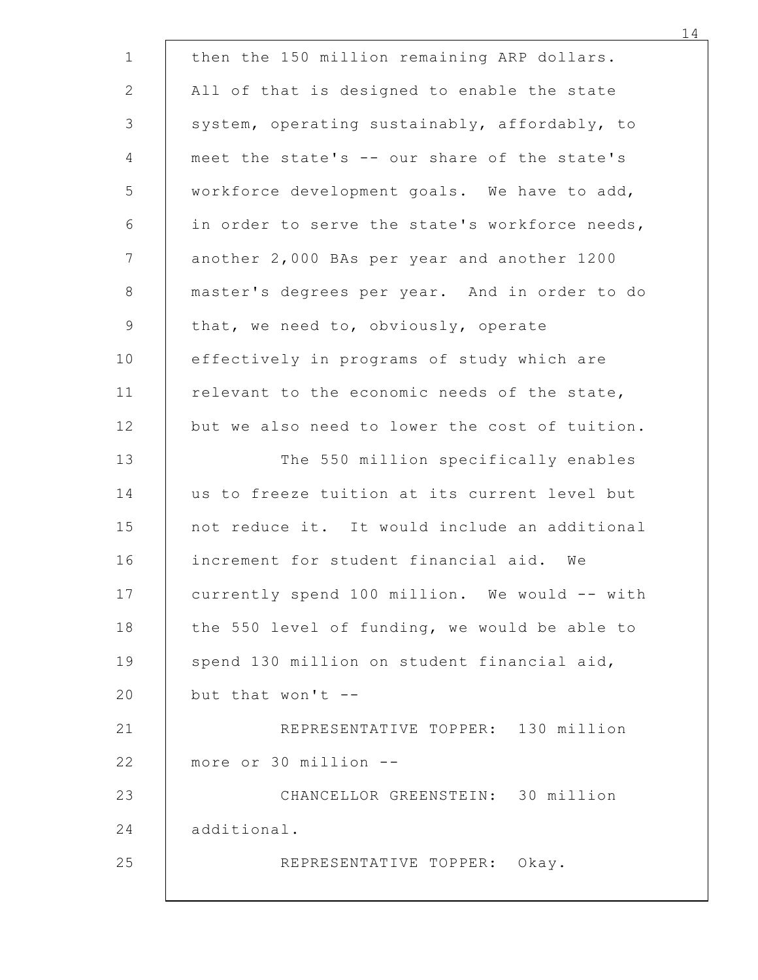| then the 150 million remaining ARP dollars.    |  |
|------------------------------------------------|--|
| All of that is designed to enable the state    |  |
| system, operating sustainably, affordably, to  |  |
| meet the state's -- our share of the state's   |  |
| workforce development goals. We have to add,   |  |
| in order to serve the state's workforce needs, |  |
| another 2,000 BAs per year and another 1200    |  |
| master's degrees per year. And in order to do  |  |
| that, we need to, obviously, operate           |  |
| effectively in programs of study which are     |  |
| relevant to the economic needs of the state,   |  |
| but we also need to lower the cost of tuition. |  |
| The 550 million specifically enables           |  |
| us to freeze tuition at its current level but  |  |
| not reduce it. It would include an additional  |  |
| increment for student financial aid. We        |  |
| currently spend 100 million. We would -- with  |  |
| the 550 level of funding, we would be able to  |  |
| spend 130 million on student financial aid,    |  |
| but that won't --                              |  |
| REPRESENTATIVE TOPPER: 130 million             |  |
| more or 30 million --                          |  |
| CHANCELLOR GREENSTEIN: 30 million              |  |
| additional.                                    |  |
| REPRESENTATIVE TOPPER: Okay.                   |  |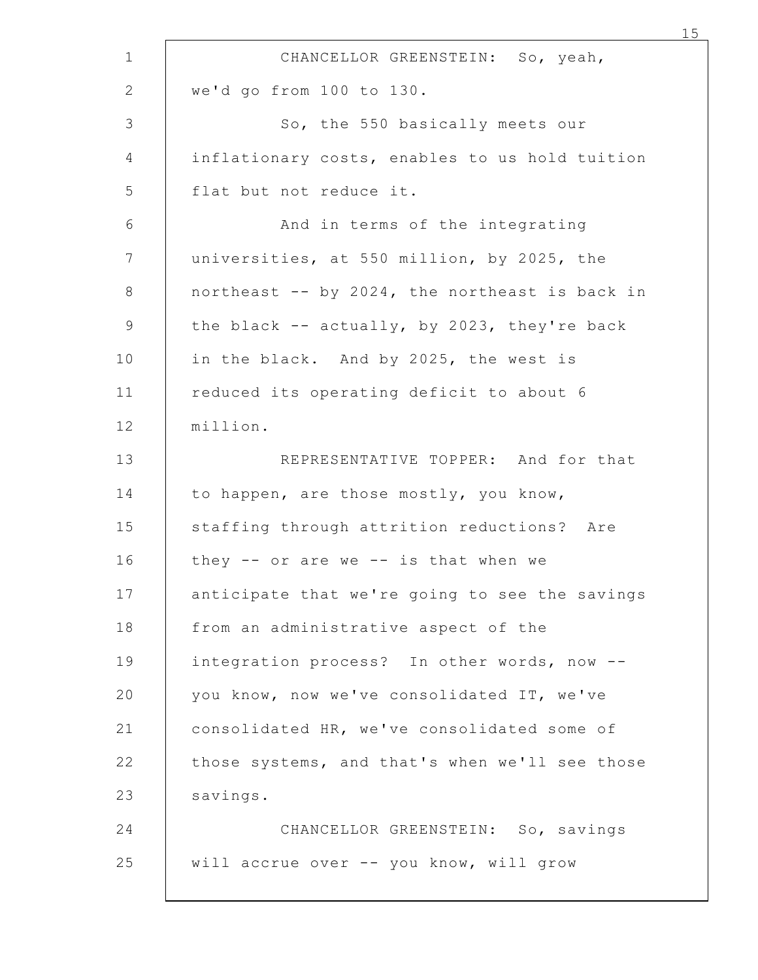|                                                | CHANCELLOR GREENSTEIN: So, yeah,    |
|------------------------------------------------|-------------------------------------|
| we'd go from 100 to 130.                       |                                     |
|                                                | So, the 550 basically meets our     |
| inflationary costs, enables to us hold tuition |                                     |
| flat but not reduce it.                        |                                     |
|                                                | And in terms of the integrating     |
| universities, at 550 million, by 2025, the     |                                     |
| northeast -- by 2024, the northeast is back in |                                     |
| the black -- actually, by 2023, they're back   |                                     |
| in the black. And by 2025, the west is         |                                     |
| reduced its operating deficit to about 6       |                                     |
| million.                                       |                                     |
|                                                | REPRESENTATIVE TOPPER: And for that |
| to happen, are those mostly, you know,         |                                     |
| staffing through attrition reductions? Are     |                                     |
| they -- or are we -- is that when we           |                                     |
| anticipate that we're going to see the savings |                                     |
| from an administrative aspect of the           |                                     |
| integration process? In other words, now --    |                                     |
| you know, now we've consolidated IT, we've     |                                     |
| consolidated HR, we've consolidated some of    |                                     |
| those systems, and that's when we'll see those |                                     |
| savings.                                       |                                     |
|                                                | CHANCELLOR GREENSTEIN: So, savings  |
| will accrue over -- you know, will grow        |                                     |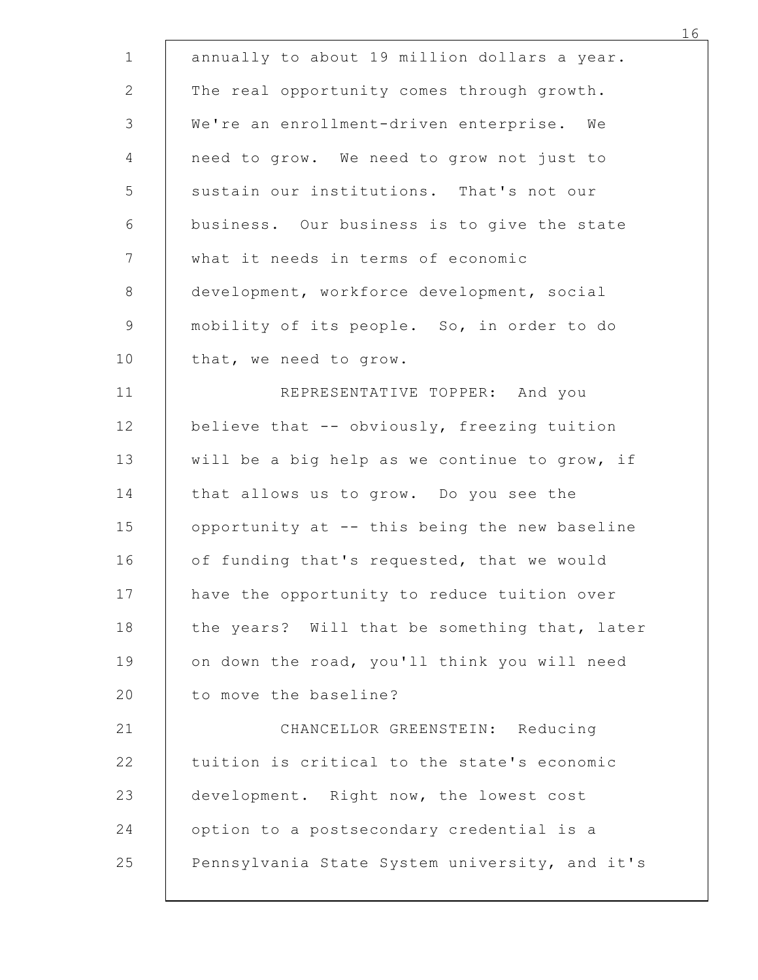| annually to about 19 million dollars a year.                                             |
|------------------------------------------------------------------------------------------|
| The real opportunity comes through growth.                                               |
| We're an enrollment-driven enterprise. We                                                |
| need to grow. We need to grow not just to                                                |
| sustain our institutions. That's not our                                                 |
| business. Our business is to give the state                                              |
| what it needs in terms of economic                                                       |
| development, workforce development, social<br>mobility of its people. So, in order to do |
| that, we need to grow.                                                                   |
| REPRESENTATIVE TOPPER: And you                                                           |
| believe that -- obviously, freezing tuition                                              |
| will be a big help as we continue to grow, if                                            |
| that allows us to grow. Do you see the                                                   |
| opportunity at -- this being the new baseline                                            |
| of funding that's requested, that we would                                               |
| have the opportunity to reduce tuition over                                              |
| the years? Will that be something that, later                                            |
| on down the road, you'll think you will need                                             |
| to move the baseline?                                                                    |
| CHANCELLOR GREENSTEIN: Reducing                                                          |
| tuition is critical to the state's economic                                              |
| development. Right now, the lowest cost                                                  |
| option to a postsecondary credential is a                                                |
| Pennsylvania State System university, and it's                                           |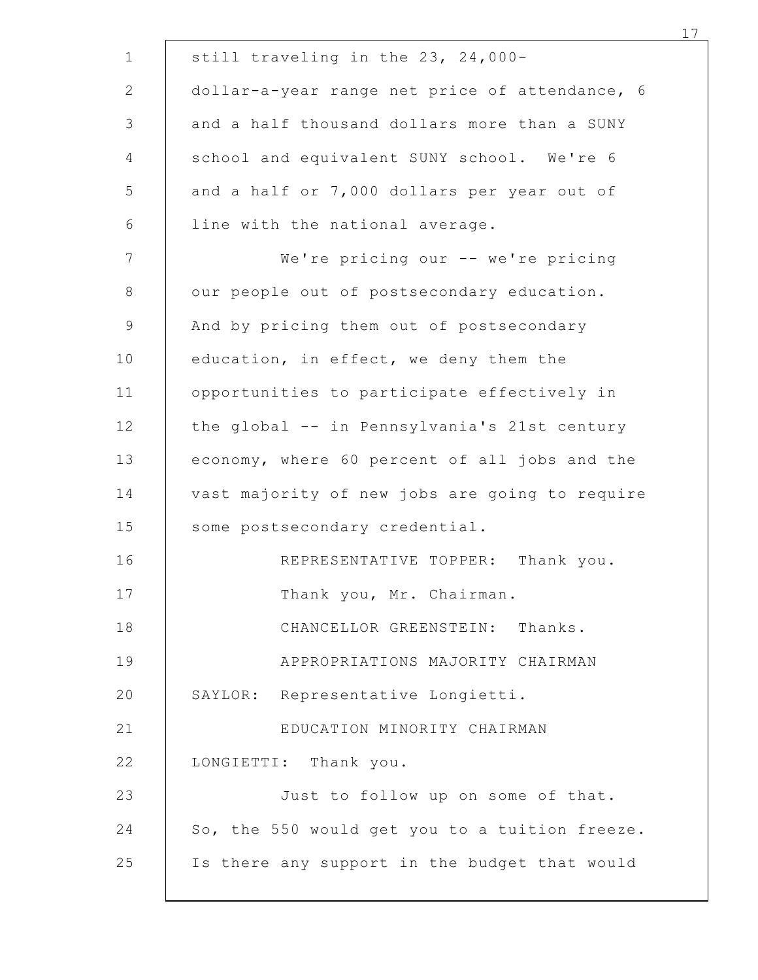|         | still traveling in the 23, 24,000-             |
|---------|------------------------------------------------|
|         | dollar-a-year range net price of attendance, 6 |
|         | and a half thousand dollars more than a SUNY   |
|         | school and equivalent SUNY school. We're 6     |
|         | and a half or 7,000 dollars per year out of    |
|         | line with the national average.                |
|         | We're pricing our -- we're pricing             |
|         | our people out of postsecondary education.     |
|         | And by pricing them out of postsecondary       |
|         | education, in effect, we deny them the         |
|         | opportunities to participate effectively in    |
|         | the global -- in Pennsylvania's 21st century   |
|         | economy, where 60 percent of all jobs and the  |
|         | vast majority of new jobs are going to require |
|         | some postsecondary credential.                 |
|         | REPRESENTATIVE TOPPER: Thank you.              |
|         | Thank you, Mr. Chairman.                       |
|         | CHANCELLOR GREENSTEIN: Thanks.                 |
|         | APPROPRIATIONS MAJORITY CHAIRMAN               |
| SAYLOR: | Representative Longietti.                      |
|         | EDUCATION MINORITY CHAIRMAN                    |
|         | LONGIETTI: Thank you.                          |
|         | Just to follow up on some of that.             |
|         | So, the 550 would get you to a tuition freeze. |
|         | Is there any support in the budget that would  |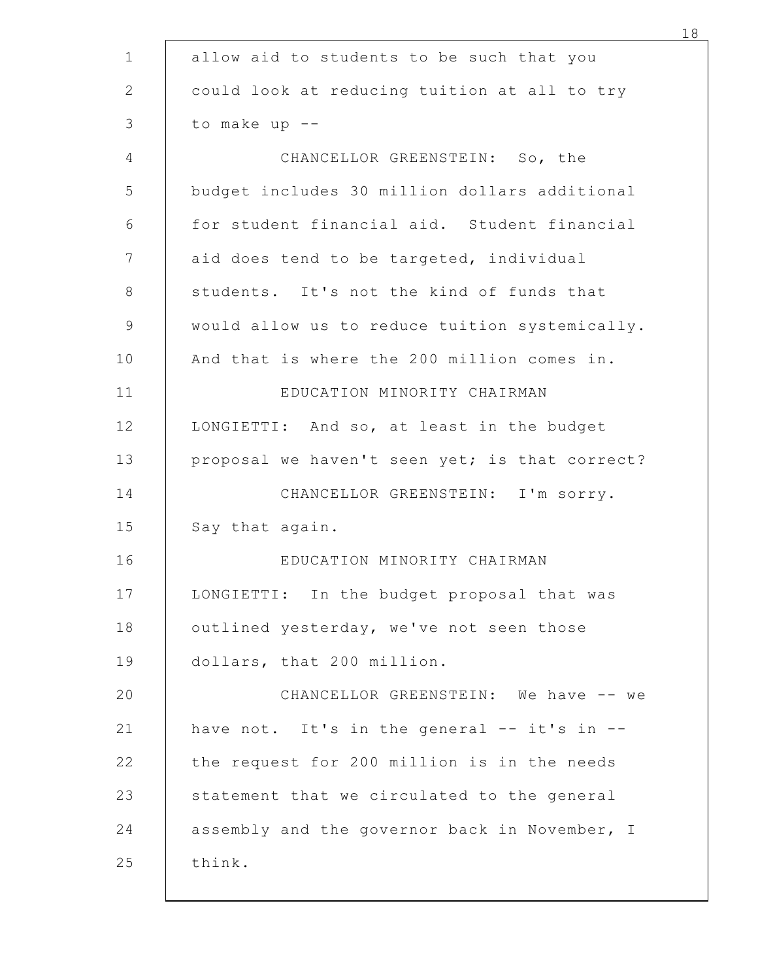|                            | allow aid to students to be such that you                                                   |
|----------------------------|---------------------------------------------------------------------------------------------|
|                            | could look at reducing tuition at all to try                                                |
| to make up --              |                                                                                             |
|                            | CHANCELLOR GREENSTEIN: So, the                                                              |
|                            | budget includes 30 million dollars additional                                               |
|                            | for student financial aid. Student financial                                                |
|                            | aid does tend to be targeted, individual                                                    |
|                            | students. It's not the kind of funds that<br>would allow us to reduce tuition systemically. |
|                            | And that is where the 200 million comes in.                                                 |
|                            | EDUCATION MINORITY CHAIRMAN                                                                 |
|                            | LONGIETTI: And so, at least in the budget                                                   |
|                            | proposal we haven't seen yet; is that correct?                                              |
|                            | CHANCELLOR GREENSTEIN: I'm sorry.                                                           |
| Say that again.            |                                                                                             |
|                            | EDUCATION MINORITY CHAIRMAN                                                                 |
|                            | LONGIETTI: In the budget proposal that was                                                  |
|                            | outlined yesterday, we've not seen those                                                    |
| dollars, that 200 million. |                                                                                             |
|                            | CHANCELLOR GREENSTEIN: We have -- we                                                        |
|                            | have not. It's in the general -- it's in --                                                 |
|                            | the request for 200 million is in the needs                                                 |
|                            | statement that we circulated to the general                                                 |
|                            | assembly and the governor back in November, I                                               |
| think.                     |                                                                                             |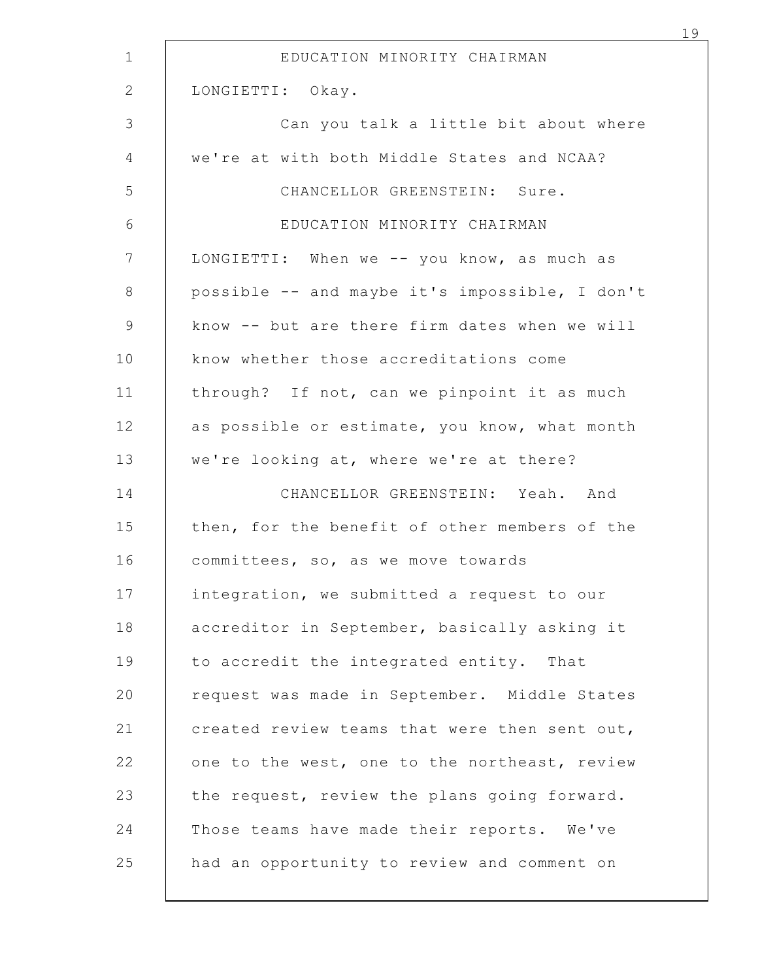| EDUCATION MINORITY CHAIRMAN                    |
|------------------------------------------------|
| LONGIETTI: Okay.                               |
| Can you talk a little bit about where          |
| we're at with both Middle States and NCAA?     |
| CHANCELLOR GREENSTEIN: Sure.                   |
| EDUCATION MINORITY CHAIRMAN                    |
| LONGIETTI: When we -- you know, as much as     |
| possible -- and maybe it's impossible, I don't |
| know -- but are there firm dates when we will  |
| know whether those accreditations come         |
| through? If not, can we pinpoint it as much    |
| as possible or estimate, you know, what month  |
| we're looking at, where we're at there?        |
| CHANCELLOR GREENSTEIN: Yeah. And               |
| then, for the benefit of other members of the  |
| committees, so, as we move towards             |
| integration, we submitted a request to our     |
| accreditor in September, basically asking it   |
| to accredit the integrated entity. That        |
| request was made in September. Middle States   |
| created review teams that were then sent out,  |
| one to the west, one to the northeast, review  |
| the request, review the plans going forward.   |
| Those teams have made their reports. We've     |
| had an opportunity to review and comment on    |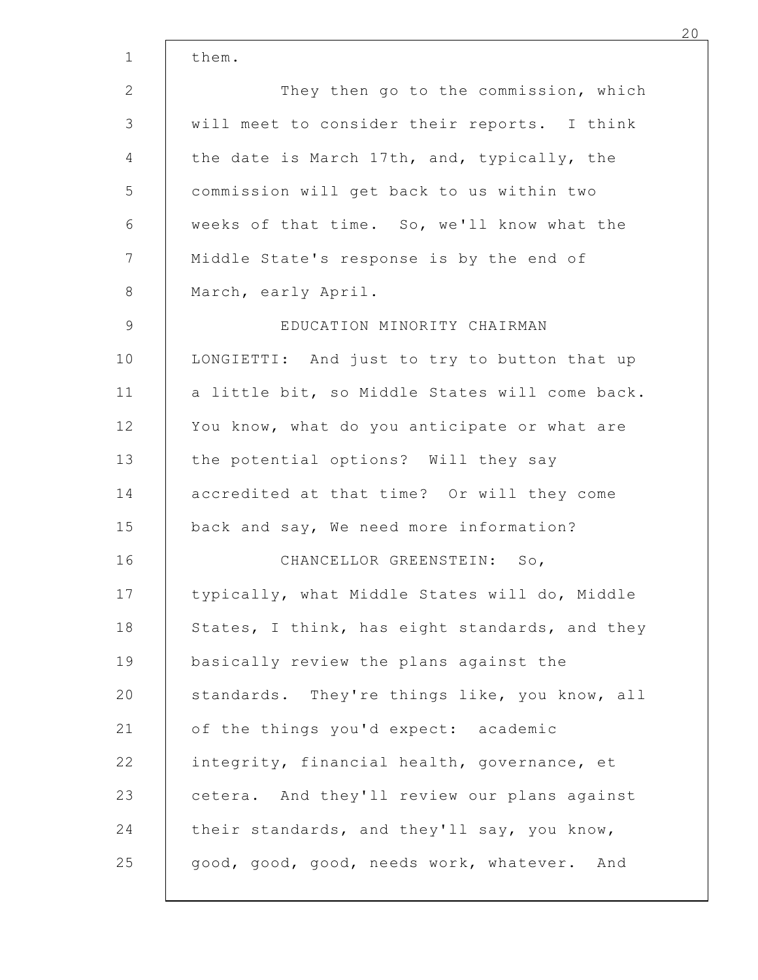|                                                | 20 |
|------------------------------------------------|----|
| them.                                          |    |
| They then go to the commission, which          |    |
| will meet to consider their reports. I think   |    |
| the date is March 17th, and, typically, the    |    |
| commission will get back to us within two      |    |
| weeks of that time. So, we'll know what the    |    |
| Middle State's response is by the end of       |    |
| March, early April.                            |    |
| EDUCATION MINORITY CHAIRMAN                    |    |
| LONGIETTI: And just to try to button that up   |    |
| a little bit, so Middle States will come back. |    |
| You know, what do you anticipate or what are   |    |
| the potential options? Will they say           |    |
| accredited at that time? Or will they come     |    |
| back and say, We need more information?        |    |
| CHANCELLOR GREENSTEIN: So,                     |    |
| typically, what Middle States will do, Middle  |    |
| States, I think, has eight standards, and they |    |
| basically review the plans against the         |    |
| standards. They're things like, you know, all  |    |
| of the things you'd expect: academic           |    |
| integrity, financial health, governance, et    |    |
| cetera. And they'll review our plans against   |    |
| their standards, and they'll say, you know,    |    |
| good, good, good, needs work, whatever. And    |    |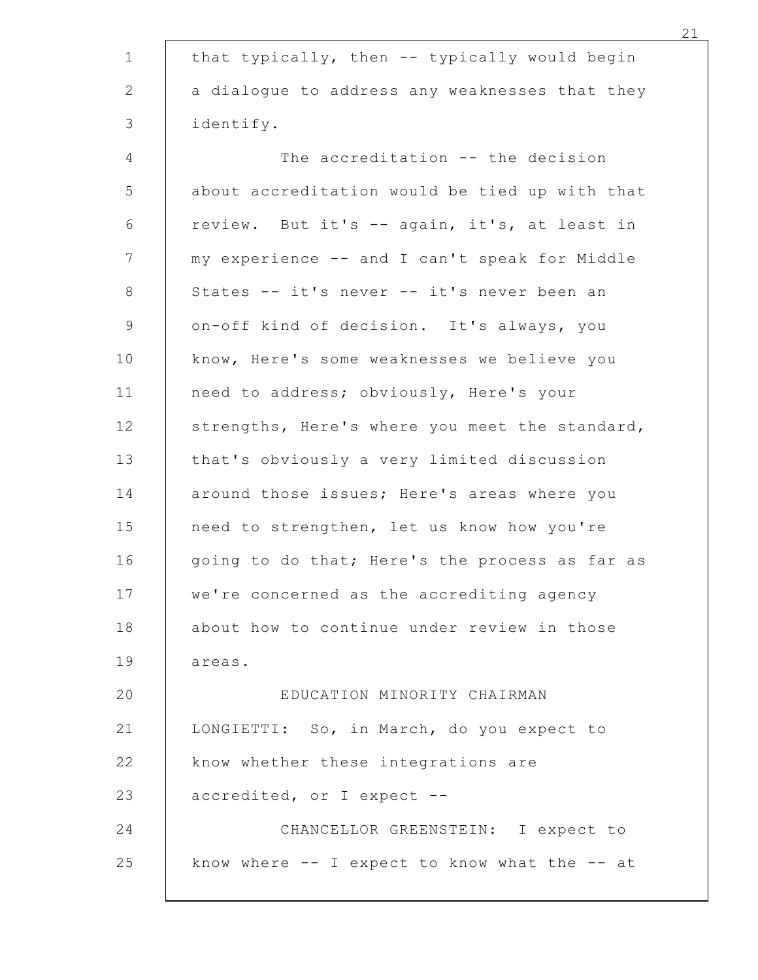| that typically, then -- typically would begin   |
|-------------------------------------------------|
| a dialogue to address any weaknesses that they  |
| identify.                                       |
| The accreditation -- the decision               |
| about accreditation would be tied up with that  |
| review. But it's -- again, it's, at least in    |
| my experience -- and I can't speak for Middle   |
| States -- it's never -- it's never been an      |
| on-off kind of decision. It's always, you       |
| know, Here's some weaknesses we believe you     |
| need to address; obviously, Here's your         |
| strengths, Here's where you meet the standard,  |
| that's obviously a very limited discussion      |
| around those issues; Here's areas where you     |
| need to strengthen, let us know how you're      |
| going to do that; Here's the process as far as  |
| we're concerned as the accrediting agency       |
| about how to continue under review in those     |
| areas.                                          |
| EDUCATION MINORITY CHAIRMAN                     |
| LONGIETTI: So, in March, do you expect to       |
| know whether these integrations are             |
| accredited, or I expect --                      |
| CHANCELLOR GREENSTEIN: I expect to              |
| know where $-$ I expect to know what the $-$ at |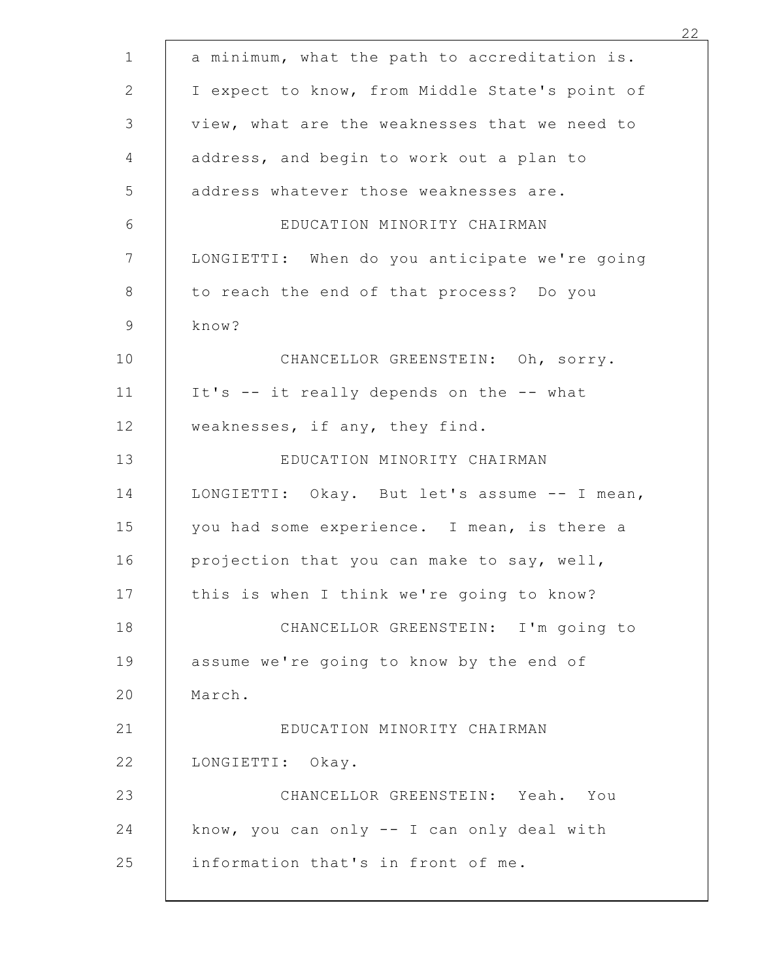| a minimum, what the path to accreditation is.  |
|------------------------------------------------|
| I expect to know, from Middle State's point of |
| view, what are the weaknesses that we need to  |
| address, and begin to work out a plan to       |
| address whatever those weaknesses are.         |
| EDUCATION MINORITY CHAIRMAN                    |
| LONGIETTI: When do you anticipate we're going  |
| to reach the end of that process? Do you       |
| know?                                          |
| CHANCELLOR GREENSTEIN: Oh, sorry.              |
| It's -- it really depends on the -- what       |
| weaknesses, if any, they find.                 |
| EDUCATION MINORITY CHAIRMAN                    |
| LONGIETTI: Okay. But let's assume -- I mean,   |
| you had some experience. I mean, is there a    |
| projection that you can make to say, well,     |
| this is when I think we're going to know?      |
| CHANCELLOR GREENSTEIN: I'm going to            |
| assume we're going to know by the end of       |
| March.                                         |
| EDUCATION MINORITY CHAIRMAN                    |
| LONGIETTI: Okay.                               |
| CHANCELLOR GREENSTEIN: Yeah. You               |
| know, you can only -- I can only deal with     |
| information that's in front of me.             |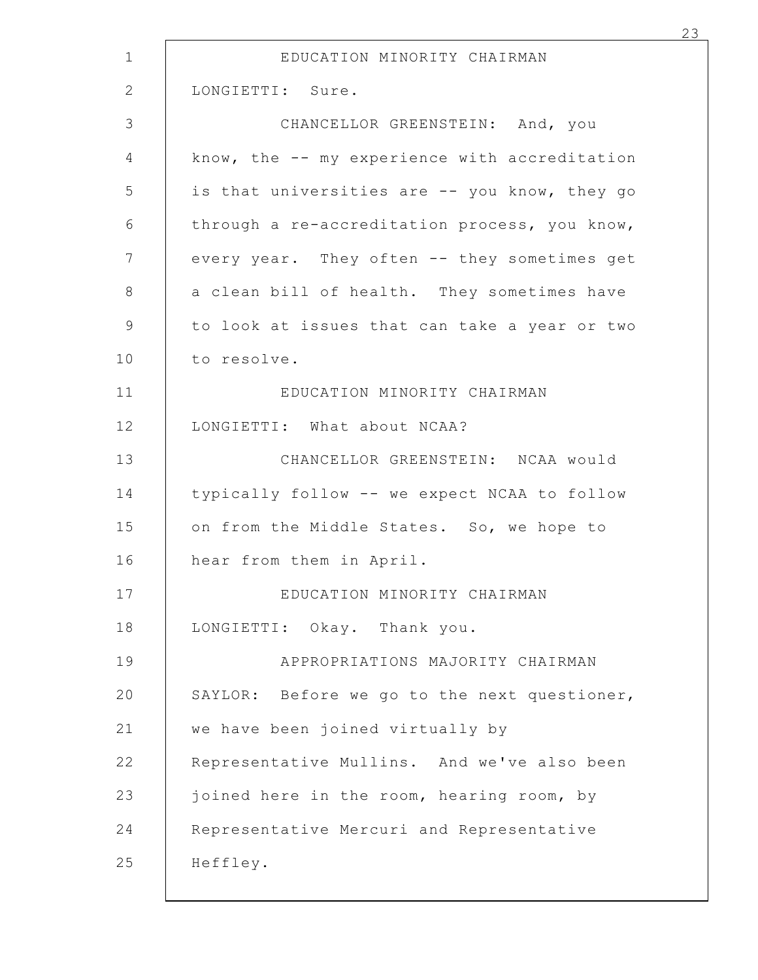| EDUCATION MINORITY CHAIRMAN                   |  |
|-----------------------------------------------|--|
| LONGIETTI: Sure.                              |  |
| CHANCELLOR GREENSTEIN: And, you               |  |
| know, the -- my experience with accreditation |  |
| is that universities are -- you know, they go |  |
| through a re-accreditation process, you know, |  |
| every year. They often -- they sometimes get  |  |
| a clean bill of health. They sometimes have   |  |
| to look at issues that can take a year or two |  |
| to resolve.                                   |  |
| EDUCATION MINORITY CHAIRMAN                   |  |
| LONGIETTI: What about NCAA?                   |  |
| CHANCELLOR GREENSTEIN: NCAA would             |  |
| typically follow -- we expect NCAA to follow  |  |
| on from the Middle States. So, we hope to     |  |
| hear from them in April.                      |  |
| EDUCATION MINORITY CHAIRMAN                   |  |
| LONGIETTI: Okay. Thank you.                   |  |
| APPROPRIATIONS MAJORITY CHAIRMAN              |  |
| SAYLOR: Before we go to the next questioner,  |  |
| we have been joined virtually by              |  |
| Representative Mullins. And we've also been   |  |
| joined here in the room, hearing room, by     |  |
| Representative Mercuri and Representative     |  |
| Heffley.                                      |  |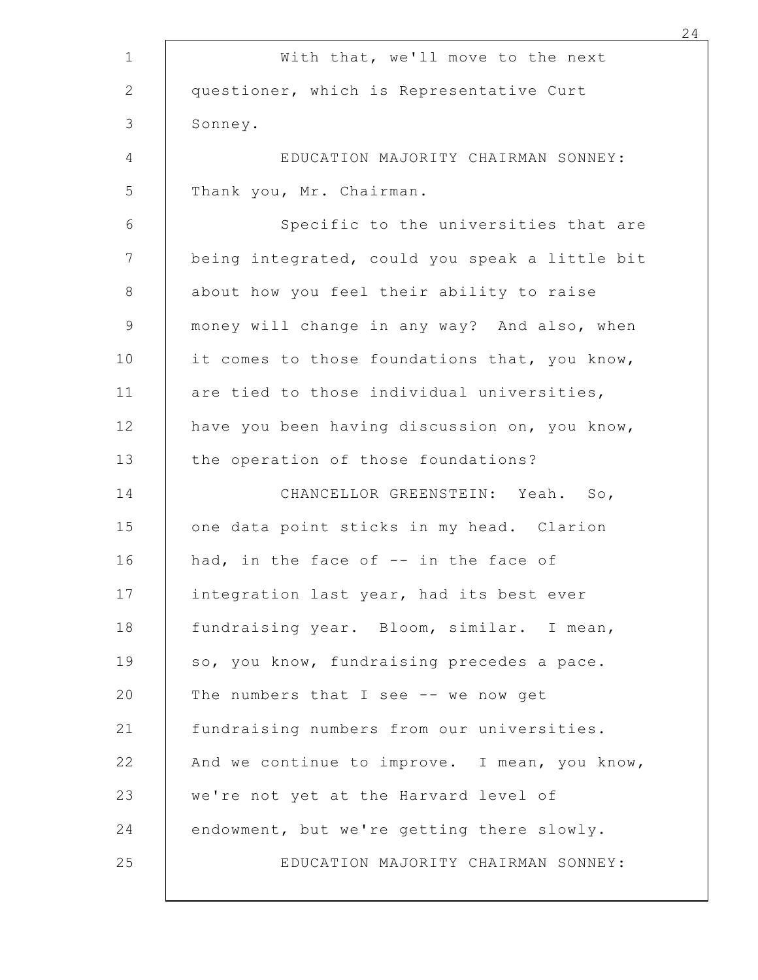| With that, we'll move to the next              |
|------------------------------------------------|
| questioner, which is Representative Curt       |
| Sonney.                                        |
| EDUCATION MAJORITY CHAIRMAN SONNEY:            |
| Thank you, Mr. Chairman.                       |
| Specific to the universities that are          |
| being integrated, could you speak a little bit |
| about how you feel their ability to raise      |
| money will change in any way? And also, when   |
| it comes to those foundations that, you know,  |
| are tied to those individual universities,     |
| have you been having discussion on, you know,  |
| the operation of those foundations?            |
| CHANCELLOR GREENSTEIN: Yeah. So,               |
| one data point sticks in my head. Clarion      |
| had, in the face of -- in the face of          |
| integration last year, had its best ever       |
| fundraising year. Bloom, similar. I mean,      |
| so, you know, fundraising precedes a pace.     |
| The numbers that I see -- we now get           |
| fundraising numbers from our universities.     |
| And we continue to improve. I mean, you know,  |
| we're not yet at the Harvard level of          |
| endowment, but we're getting there slowly.     |
| EDUCATION MAJORITY CHAIRMAN SONNEY:            |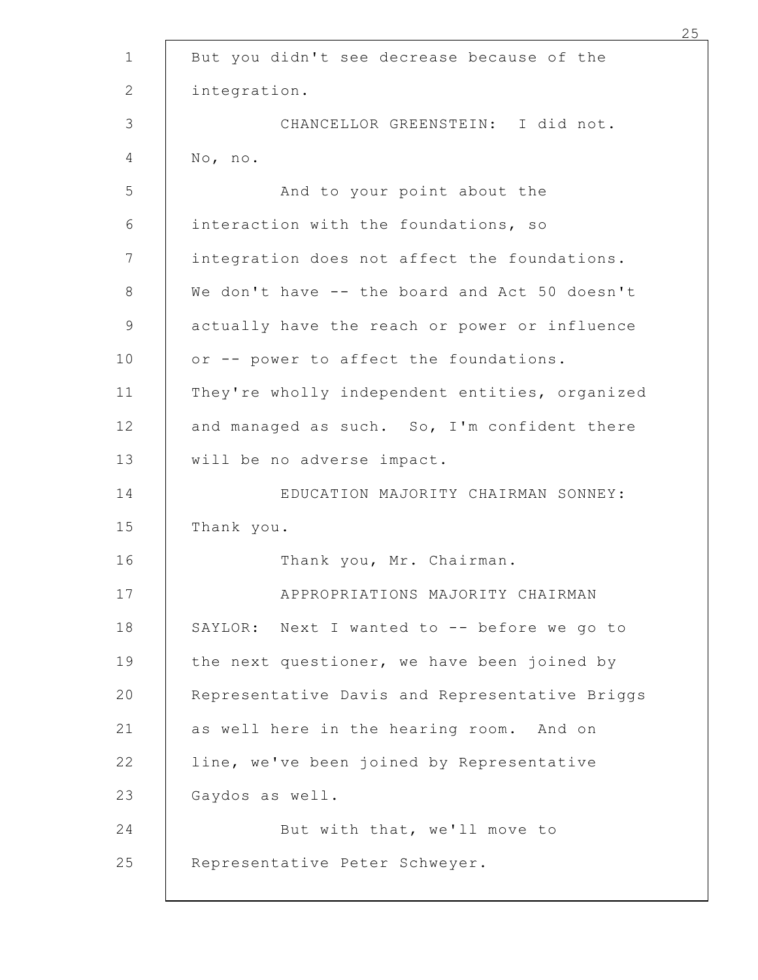|            | But you didn't see decrease because of the     |
|------------|------------------------------------------------|
|            | integration.                                   |
|            | CHANCELLOR GREENSTEIN: I did not.              |
| No, no.    |                                                |
|            | And to your point about the                    |
|            | interaction with the foundations, so           |
|            | integration does not affect the foundations.   |
|            | We don't have -- the board and Act 50 doesn't  |
|            | actually have the reach or power or influence  |
|            | or -- power to affect the foundations.         |
|            | They're wholly independent entities, organized |
|            | and managed as such. So, I'm confident there   |
|            | will be no adverse impact.                     |
|            | EDUCATION MAJORITY CHAIRMAN SONNEY:            |
| Thank you. |                                                |
|            | Thank you, Mr. Chairman.                       |
|            | APPROPRIATIONS MAJORITY CHAIRMAN               |
|            | SAYLOR: Next I wanted to -- before we go to    |
|            | the next questioner, we have been joined by    |
|            | Representative Davis and Representative Briggs |
|            | as well here in the hearing room. And on       |
|            | line, we've been joined by Representative      |
|            | Gaydos as well.                                |
|            | But with that, we'll move to                   |
|            | Representative Peter Schweyer.                 |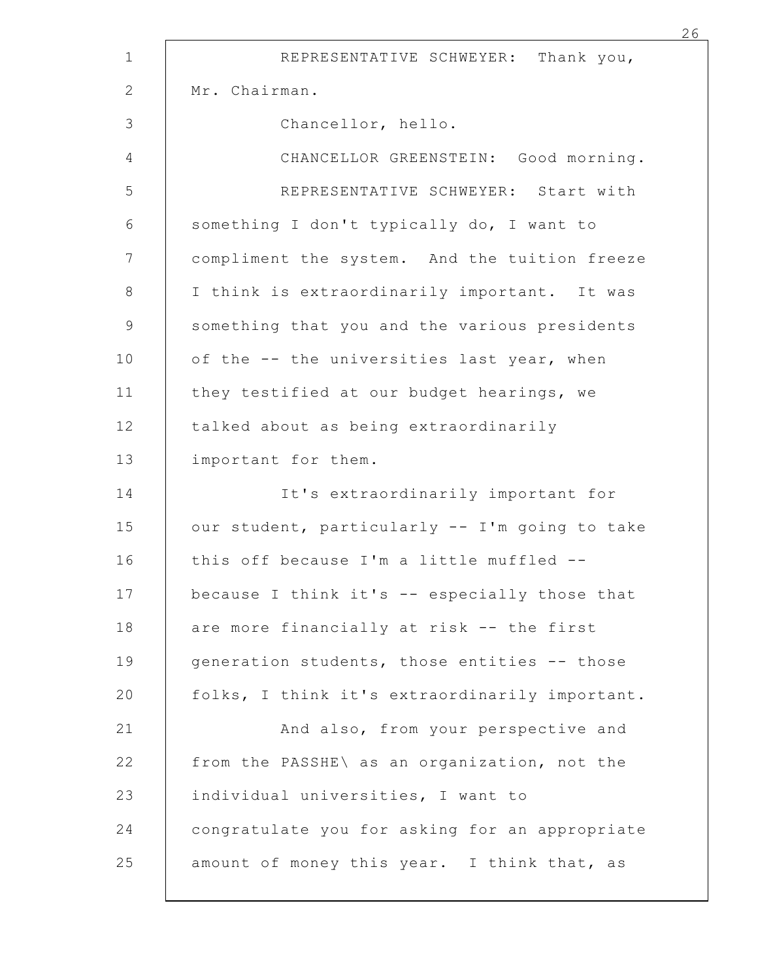| REPRESENTATIVE SCHWEYER: Thank you,            |
|------------------------------------------------|
| Mr. Chairman.                                  |
| Chancellor, hello.                             |
| CHANCELLOR GREENSTEIN: Good morning.           |
| REPRESENTATIVE SCHWEYER: Start with            |
| something I don't typically do, I want to      |
| compliment the system. And the tuition freeze  |
| I think is extraordinarily important. It was   |
| something that you and the various presidents  |
| of the -- the universities last year, when     |
| they testified at our budget hearings, we      |
| talked about as being extraordinarily          |
| important for them.                            |
| It's extraordinarily important for             |
| our student, particularly -- I'm going to take |
| this off because I'm a little muffled --       |
| because I think it's -- especially those that  |
| are more financially at risk -- the first      |
| generation students, those entities -- those   |
| folks, I think it's extraordinarily important. |
| And also, from your perspective and            |
| from the PASSHE\ as an organization, not the   |
| individual universities, I want to             |
| congratulate you for asking for an appropriate |
| amount of money this year. I think that, as    |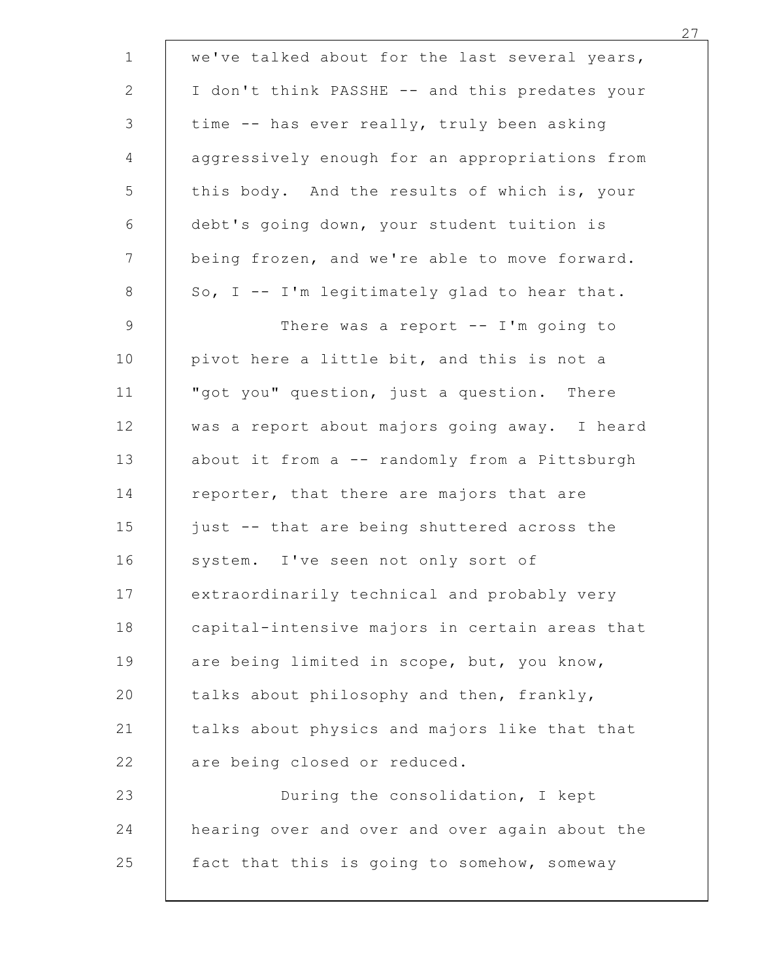| we've talked about for the last several years, |  |
|------------------------------------------------|--|
| I don't think PASSHE -- and this predates your |  |
| time -- has ever really, truly been asking     |  |
| aggressively enough for an appropriations from |  |
| this body. And the results of which is, your   |  |
| debt's going down, your student tuition is     |  |
| being frozen, and we're able to move forward.  |  |
| So, I -- I'm legitimately glad to hear that.   |  |
| There was a report $--$ I'm going to           |  |
| pivot here a little bit, and this is not a     |  |
| "got you" question, just a question. There     |  |
| was a report about majors going away. I heard  |  |
| about it from a -- randomly from a Pittsburgh  |  |
| reporter, that there are majors that are       |  |
| just -- that are being shuttered across the    |  |
| system. I've seen not only sort of             |  |
| extraordinarily technical and probably very    |  |
| capital-intensive majors in certain areas that |  |
| are being limited in scope, but, you know,     |  |
| talks about philosophy and then, frankly,      |  |
| talks about physics and majors like that that  |  |
| are being closed or reduced.                   |  |
| During the consolidation, I kept               |  |
| hearing over and over and over again about the |  |
| fact that this is going to somehow, someway    |  |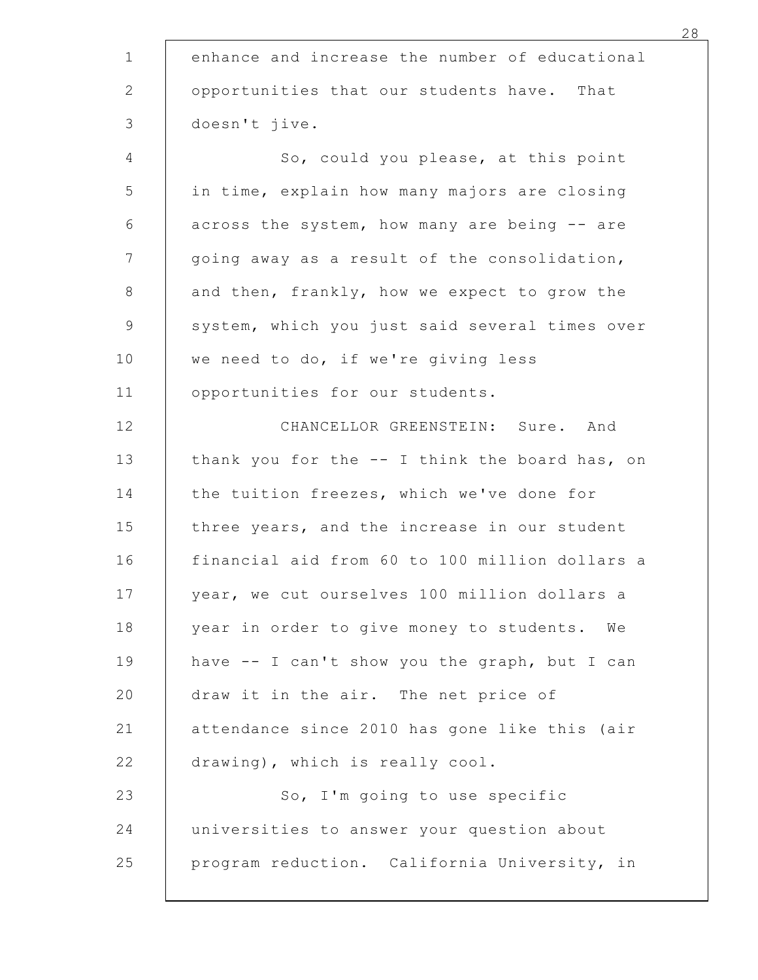|               | enhance and increase the number of educational |
|---------------|------------------------------------------------|
|               | opportunities that our students have. That     |
| doesn't jive. |                                                |
|               | So, could you please, at this point            |
|               | in time, explain how many majors are closing   |
|               | across the system, how many are being -- are   |
|               | going away as a result of the consolidation,   |
|               | and then, frankly, how we expect to grow the   |
|               | system, which you just said several times over |
|               | we need to do, if we're giving less            |
|               | opportunities for our students.                |
|               | CHANCELLOR GREENSTEIN: Sure. And               |
|               | thank you for the -- I think the board has, on |
|               | the tuition freezes, which we've done for      |
|               | three years, and the increase in our student   |
|               | financial aid from 60 to 100 million dollars a |
|               | year, we cut ourselves 100 million dollars a   |
|               | year in order to give money to students. We    |
|               | have -- I can't show you the graph, but I can  |
|               | draw it in the air. The net price of           |
|               | attendance since 2010 has gone like this (air  |
|               | drawing), which is really cool.                |
|               | So, I'm going to use specific                  |
|               | universities to answer your question about     |
|               | program reduction. California University, in   |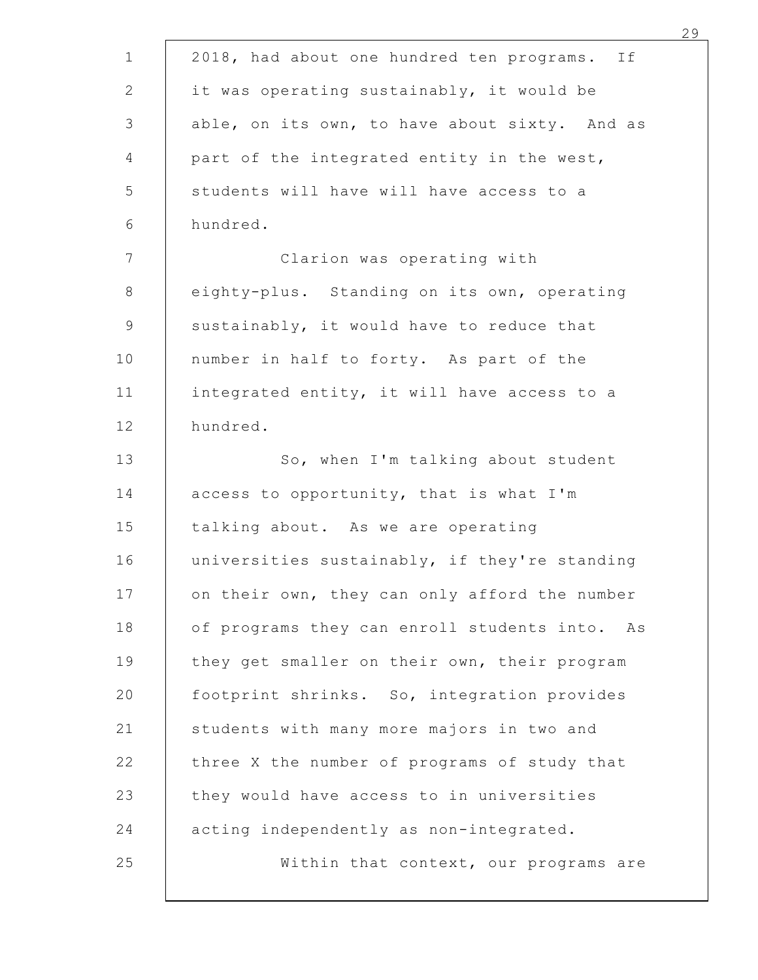| 2018, had about one hundred ten programs. If  |
|-----------------------------------------------|
| it was operating sustainably, it would be     |
| able, on its own, to have about sixty. And as |
| part of the integrated entity in the west,    |
| students will have will have access to a      |
| hundred.                                      |
| Clarion was operating with                    |
| eighty-plus. Standing on its own, operating   |
| sustainably, it would have to reduce that     |
| number in half to forty. As part of the       |
| integrated entity, it will have access to a   |
| hundred.                                      |
| So, when I'm talking about student            |
| access to opportunity, that is what I'm       |
| talking about. As we are operating            |
| universities sustainably, if they're standing |
| on their own, they can only afford the number |
| of programs they can enroll students into. As |
| they get smaller on their own, their program  |
| footprint shrinks. So, integration provides   |
| students with many more majors in two and     |
| three X the number of programs of study that  |
| they would have access to in universities     |
| acting independently as non-integrated.       |
| Within that context, our programs are         |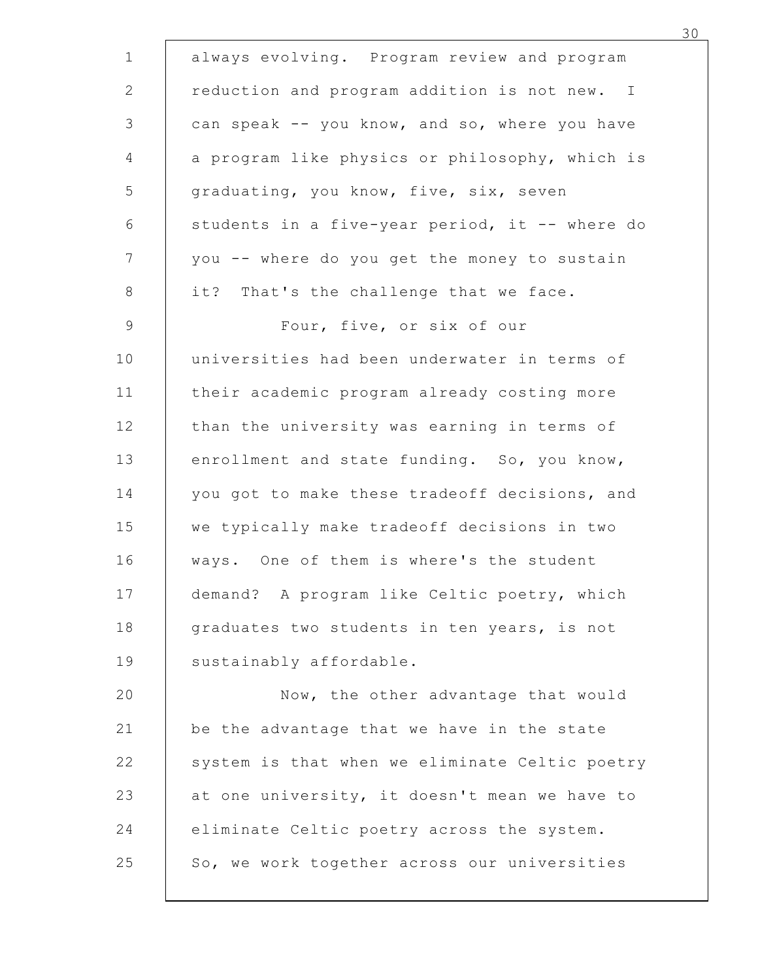| always evolving. Program review and program    |
|------------------------------------------------|
| reduction and program addition is not new. I   |
| can speak -- you know, and so, where you have  |
| a program like physics or philosophy, which is |
| graduating, you know, five, six, seven         |
| students in a five-year period, it -- where do |
| you -- where do you get the money to sustain   |
| it? That's the challenge that we face.         |
| Four, five, or six of our                      |
| universities had been underwater in terms of   |
| their academic program already costing more    |
| than the university was earning in terms of    |
| enrollment and state funding. So, you know,    |
| you got to make these tradeoff decisions, and  |
| we typically make tradeoff decisions in two    |
| ways. One of them is where's the student       |
| demand? A program like Celtic poetry, which    |
| graduates two students in ten years, is not    |
| sustainably affordable.                        |
| Now, the other advantage that would            |
| be the advantage that we have in the state     |
| system is that when we eliminate Celtic poetry |
| at one university, it doesn't mean we have to  |
| eliminate Celtic poetry across the system.     |
| So, we work together across our universities   |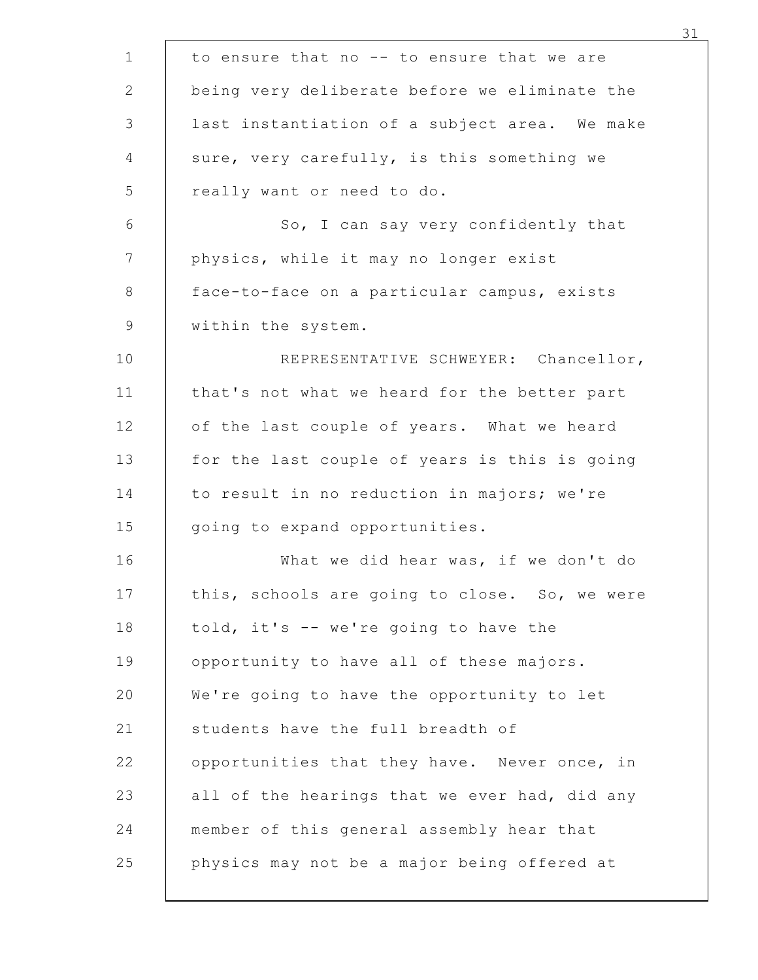| to ensure that no -- to ensure that we are    |
|-----------------------------------------------|
| being very deliberate before we eliminate the |
| last instantiation of a subject area. We make |
| sure, very carefully, is this something we    |
| really want or need to do.                    |
| So, I can say very confidently that           |
| physics, while it may no longer exist         |
| face-to-face on a particular campus, exists   |
| within the system.                            |
| REPRESENTATIVE SCHWEYER: Chancellor,          |
| that's not what we heard for the better part  |
| of the last couple of years. What we heard    |
| for the last couple of years is this is going |
| to result in no reduction in majors; we're    |
| going to expand opportunities.                |
| What we did hear was, if we don't do          |
| this, schools are going to close. So, we were |
| told, it's -- we're going to have the         |
| opportunity to have all of these majors.      |
| We're going to have the opportunity to let    |
| students have the full breadth of             |
| opportunities that they have. Never once, in  |
| all of the hearings that we ever had, did any |
| member of this general assembly hear that     |
| physics may not be a major being offered at   |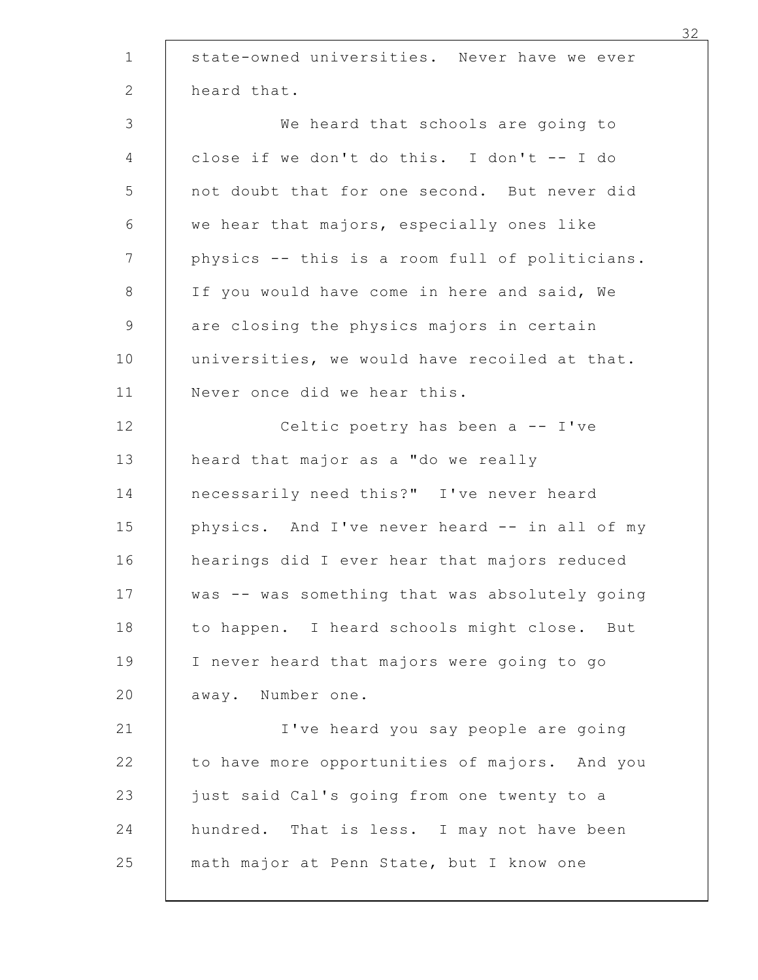| state-owned universities. Never have we ever   |
|------------------------------------------------|
| heard that.                                    |
| We heard that schools are going to             |
| close if we don't do this. I don't -- I do     |
| not doubt that for one second. But never did   |
| we hear that majors, especially ones like      |
| physics -- this is a room full of politicians. |
| If you would have come in here and said, We    |
| are closing the physics majors in certain      |
| universities, we would have recoiled at that.  |
| Never once did we hear this.                   |
| Celtic poetry has been a -- I've               |
| heard that major as a "do we really            |
| necessarily need this?" I've never heard       |
| physics. And I've never heard -- in all of my  |
| hearings did I ever hear that majors reduced   |
| was -- was something that was absolutely going |
| to happen. I heard schools might close. But    |
| I never heard that majors were going to go     |
| away. Number one.                              |
| I've heard you say people are going            |
| to have more opportunities of majors. And you  |
| just said Cal's going from one twenty to a     |
| hundred. That is less. I may not have been     |
| math major at Penn State, but I know one       |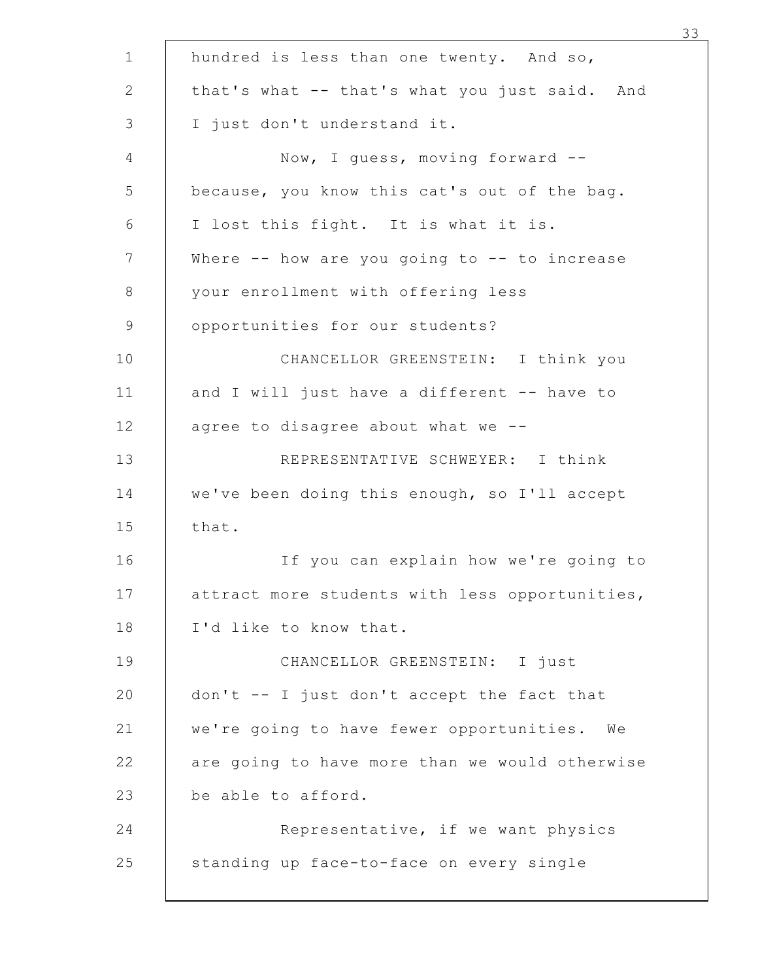|                                      | hundred is less than one twenty. And so,         |
|--------------------------------------|--------------------------------------------------|
|                                      | that's what -- that's what you just said. And    |
| I just don't understand it.          |                                                  |
|                                      | Now, I guess, moving forward --                  |
|                                      | because, you know this cat's out of the bag.     |
| I lost this fight. It is what it is. |                                                  |
|                                      | Where $--$ how are you going to $--$ to increase |
| your enrollment with offering less   |                                                  |
| opportunities for our students?      |                                                  |
|                                      | CHANCELLOR GREENSTEIN: I think you               |
|                                      | and I will just have a different -- have to      |
| agree to disagree about what we --   |                                                  |
|                                      | REPRESENTATIVE SCHWEYER: I think                 |
|                                      | we've been doing this enough, so I'll accept     |
| that.                                |                                                  |
|                                      | If you can explain how we're going to            |
|                                      | attract more students with less opportunities,   |
| I'd like to know that.               |                                                  |
|                                      | CHANCELLOR GREENSTEIN: I just                    |
|                                      | don't -- I just don't accept the fact that       |
|                                      | we're going to have fewer opportunities. We      |
|                                      | are going to have more than we would otherwise   |
| be able to afford.                   |                                                  |
|                                      | Representative, if we want physics               |
|                                      | standing up face-to-face on every single         |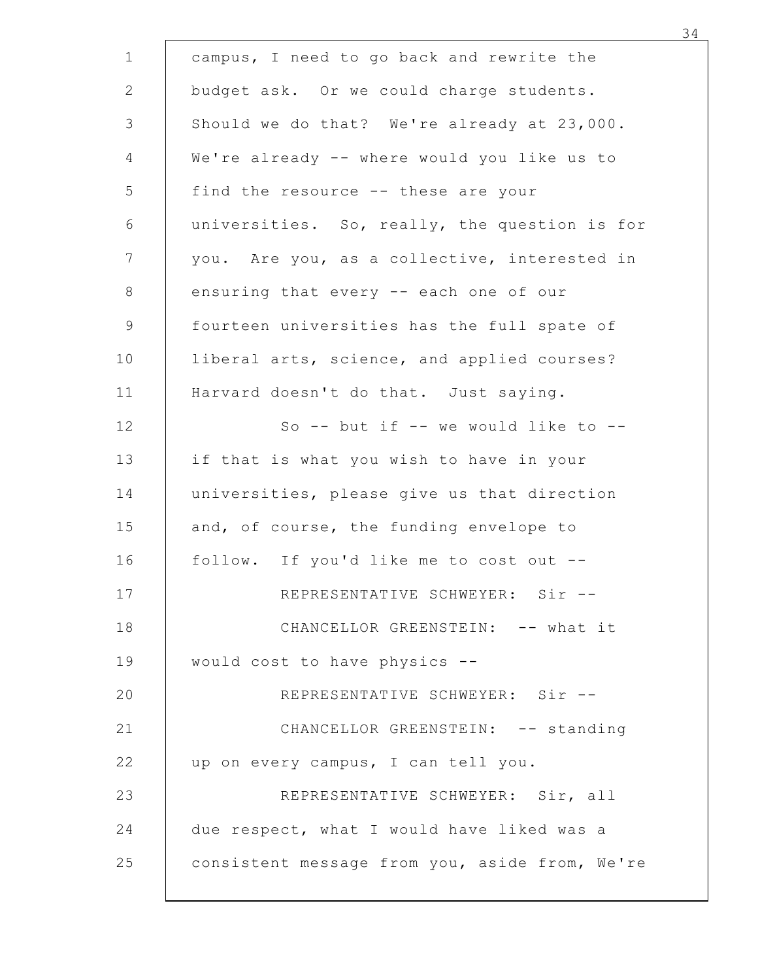| campus, I need to go back and rewrite the      |  |
|------------------------------------------------|--|
| budget ask. Or we could charge students.       |  |
| Should we do that? We're already at 23,000.    |  |
| We're already -- where would you like us to    |  |
| find the resource -- these are your            |  |
| universities. So, really, the question is for  |  |
| you. Are you, as a collective, interested in   |  |
| ensuring that every -- each one of our         |  |
| fourteen universities has the full spate of    |  |
| liberal arts, science, and applied courses?    |  |
| Harvard doesn't do that. Just saying.          |  |
| So -- but if -- we would like to --            |  |
| if that is what you wish to have in your       |  |
| universities, please give us that direction    |  |
| and, of course, the funding envelope to        |  |
| follow. If you'd like me to cost out --        |  |
| REPRESENTATIVE SCHWEYER: Sir --                |  |
| CHANCELLOR GREENSTEIN: -- what it              |  |
| would cost to have physics --                  |  |
| REPRESENTATIVE SCHWEYER: Sir --                |  |
| CHANCELLOR GREENSTEIN: -- standing             |  |
| up on every campus, I can tell you.            |  |
| REPRESENTATIVE SCHWEYER: Sir, all              |  |
| due respect, what I would have liked was a     |  |
| consistent message from you, aside from, We're |  |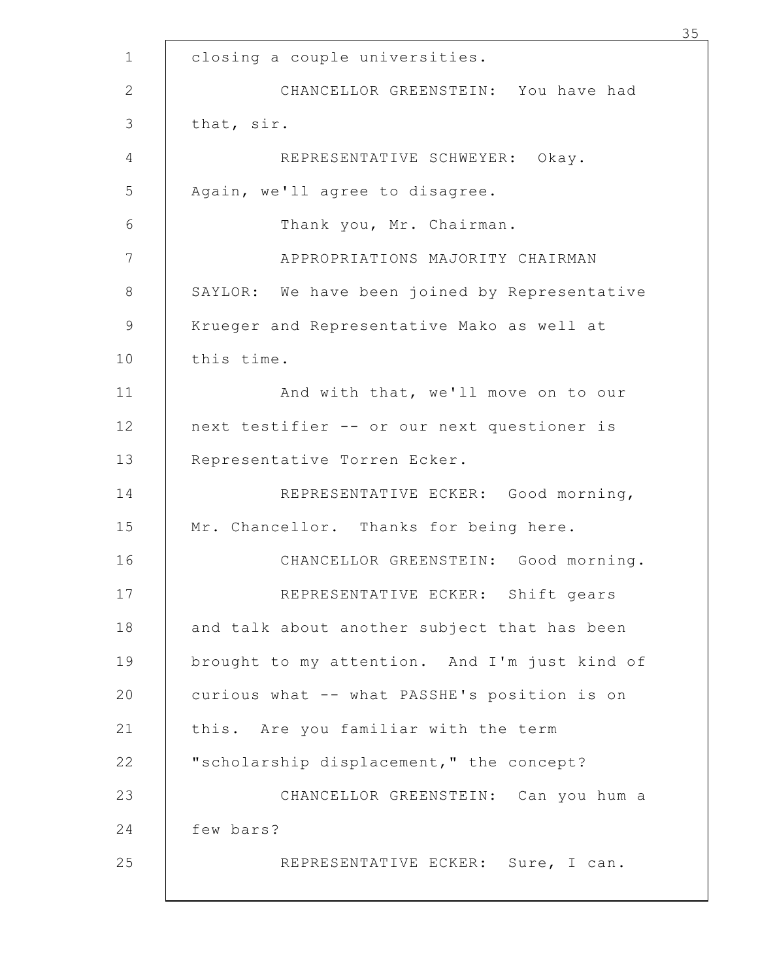| 35                                            |
|-----------------------------------------------|
| closing a couple universities.                |
| CHANCELLOR GREENSTEIN: You have had           |
| that, sir.                                    |
| REPRESENTATIVE SCHWEYER: Okay.                |
| Again, we'll agree to disagree.               |
| Thank you, Mr. Chairman.                      |
| APPROPRIATIONS MAJORITY CHAIRMAN              |
| SAYLOR: We have been joined by Representative |
| Krueger and Representative Mako as well at    |
| this time.                                    |
| And with that, we'll move on to our           |
| next testifier -- or our next questioner is   |
| Representative Torren Ecker.                  |
| REPRESENTATIVE ECKER: Good morning,           |
| Mr. Chancellor. Thanks for being here.        |
| CHANCELLOR GREENSTEIN: Good morning.          |
| REPRESENTATIVE ECKER: Shift gears             |
| and talk about another subject that has been  |
| brought to my attention. And I'm just kind of |
| curious what -- what PASSHE's position is on  |
| this. Are you familiar with the term          |
| "scholarship displacement," the concept?      |
| CHANCELLOR GREENSTEIN: Can you hum a          |
| few bars?                                     |
| REPRESENTATIVE ECKER: Sure, I can.            |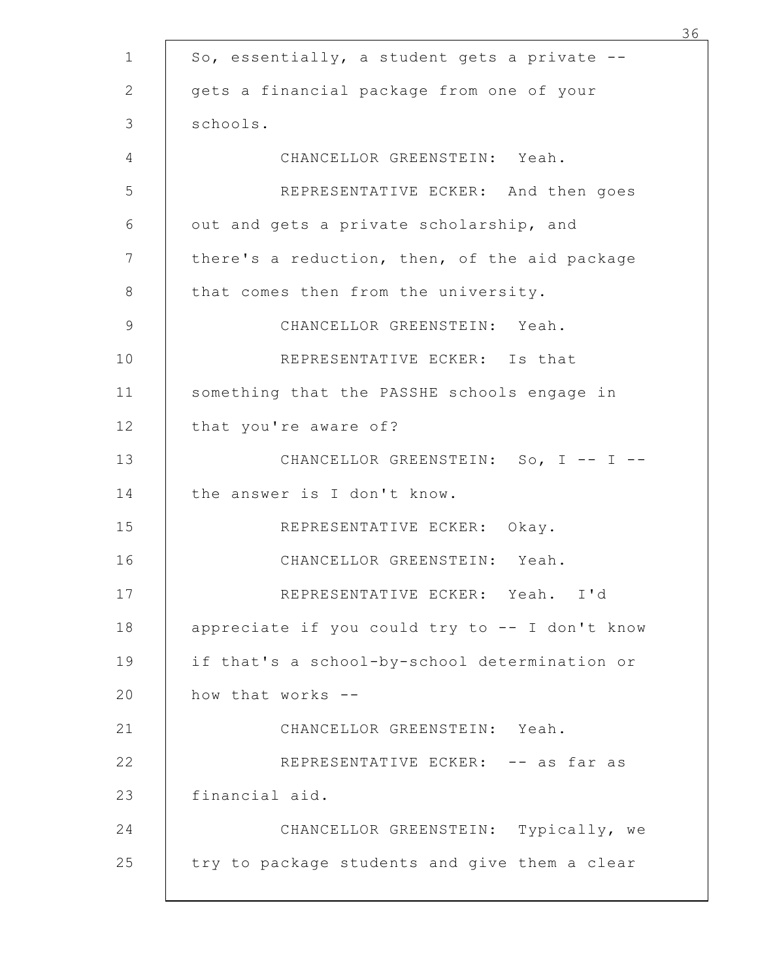| So, essentially, a student gets a private --   |  |
|------------------------------------------------|--|
| gets a financial package from one of your      |  |
| schools.                                       |  |
| CHANCELLOR GREENSTEIN: Yeah.                   |  |
| REPRESENTATIVE ECKER: And then goes            |  |
| out and gets a private scholarship, and        |  |
| there's a reduction, then, of the aid package  |  |
| that comes then from the university.           |  |
| CHANCELLOR GREENSTEIN: Yeah.                   |  |
| REPRESENTATIVE ECKER: Is that                  |  |
| something that the PASSHE schools engage in    |  |
| that you're aware of?                          |  |
| CHANCELLOR GREENSTEIN: So, I -- I --           |  |
| the answer is I don't know.                    |  |
| REPRESENTATIVE ECKER: Okay.                    |  |
| CHANCELLOR GREENSTEIN: Yeah.                   |  |
| REPRESENTATIVE ECKER: Yeah. I'd                |  |
| appreciate if you could try to -- I don't know |  |
| if that's a school-by-school determination or  |  |
| how that works --                              |  |
| CHANCELLOR GREENSTEIN: Yeah.                   |  |
| REPRESENTATIVE ECKER: -- as far as             |  |
| financial aid.                                 |  |
| CHANCELLOR GREENSTEIN: Typically, we           |  |
| try to package students and give them a clear  |  |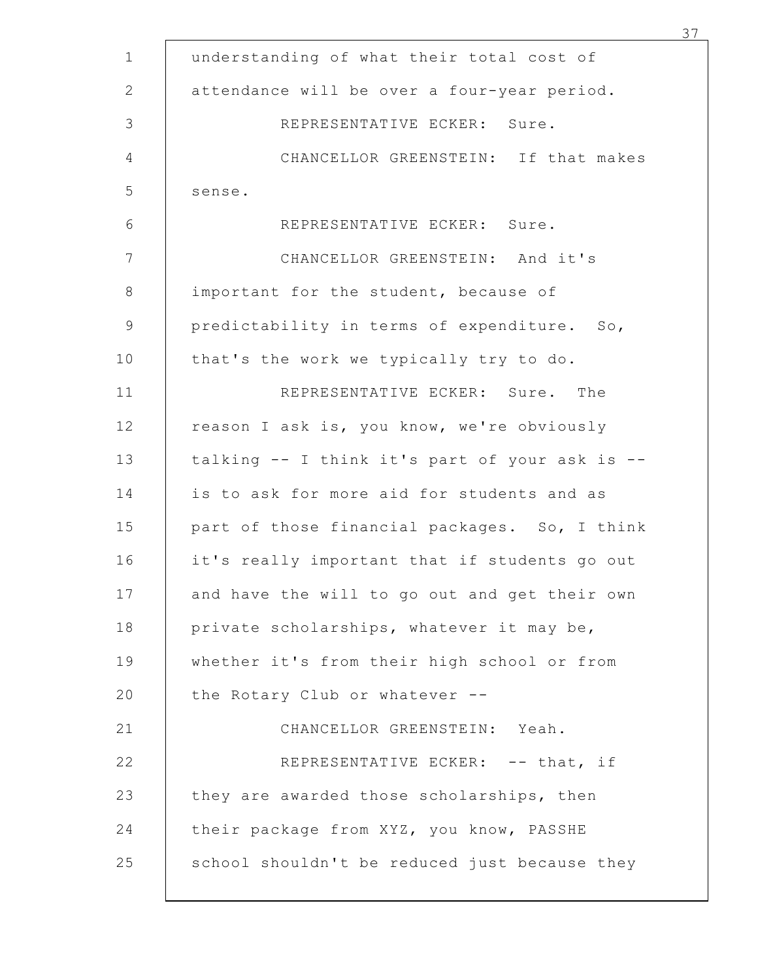| understanding of what their total cost of      |  |
|------------------------------------------------|--|
| attendance will be over a four-year period.    |  |
| REPRESENTATIVE ECKER: Sure.                    |  |
| CHANCELLOR GREENSTEIN: If that makes           |  |
| sense.                                         |  |
| REPRESENTATIVE ECKER: Sure.                    |  |
| CHANCELLOR GREENSTEIN: And it's                |  |
| important for the student, because of          |  |
| predictability in terms of expenditure. So,    |  |
| that's the work we typically try to do.        |  |
| REPRESENTATIVE ECKER: Sure. The                |  |
| reason I ask is, you know, we're obviously     |  |
| talking -- I think it's part of your ask is -- |  |
| is to ask for more aid for students and as     |  |
| part of those financial packages. So, I think  |  |
| it's really important that if students go out  |  |
| and have the will to go out and get their own  |  |
| private scholarships, whatever it may be,      |  |
| whether it's from their high school or from    |  |
| the Rotary Club or whatever --                 |  |
| CHANCELLOR GREENSTEIN: Yeah.                   |  |
| REPRESENTATIVE ECKER: -- that, if              |  |
| they are awarded those scholarships, then      |  |
| their package from XYZ, you know, PASSHE       |  |
| school shouldn't be reduced just because they  |  |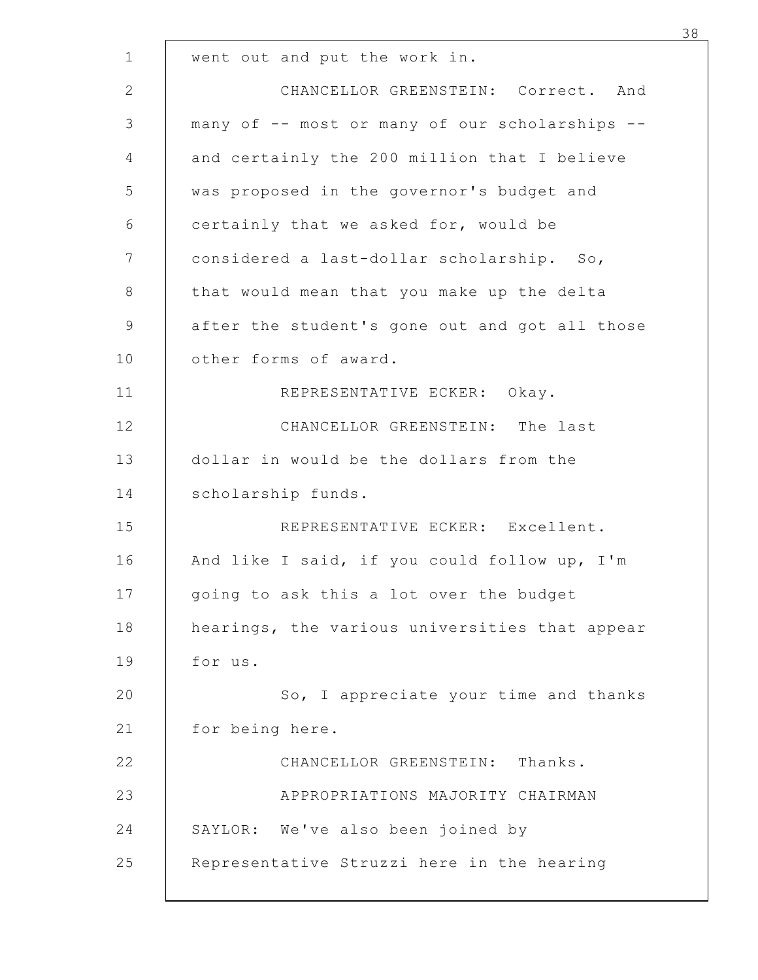| went out and put the work in. |                                                |
|-------------------------------|------------------------------------------------|
|                               | CHANCELLOR GREENSTEIN: Correct. And            |
|                               | many of -- most or many of our scholarships -- |
|                               | and certainly the 200 million that I believe   |
|                               | was proposed in the governor's budget and      |
|                               | certainly that we asked for, would be          |
|                               | considered a last-dollar scholarship. So,      |
|                               | that would mean that you make up the delta     |
|                               | after the student's gone out and got all those |
| other forms of award.         |                                                |
|                               | REPRESENTATIVE ECKER: Okay.                    |
|                               | CHANCELLOR GREENSTEIN: The last                |
|                               | dollar in would be the dollars from the        |
| scholarship funds.            |                                                |
|                               | REPRESENTATIVE ECKER: Excellent.               |
|                               | And like I said, if you could follow up, I'm   |
|                               | going to ask this a lot over the budget        |
|                               | hearings, the various universities that appear |
| for us.                       |                                                |
|                               | So, I appreciate your time and thanks          |
| for being here.               |                                                |
|                               | CHANCELLOR GREENSTEIN: Thanks.                 |
|                               | APPROPRIATIONS MAJORITY CHAIRMAN               |
|                               | SAYLOR: We've also been joined by              |
|                               | Representative Struzzi here in the hearing     |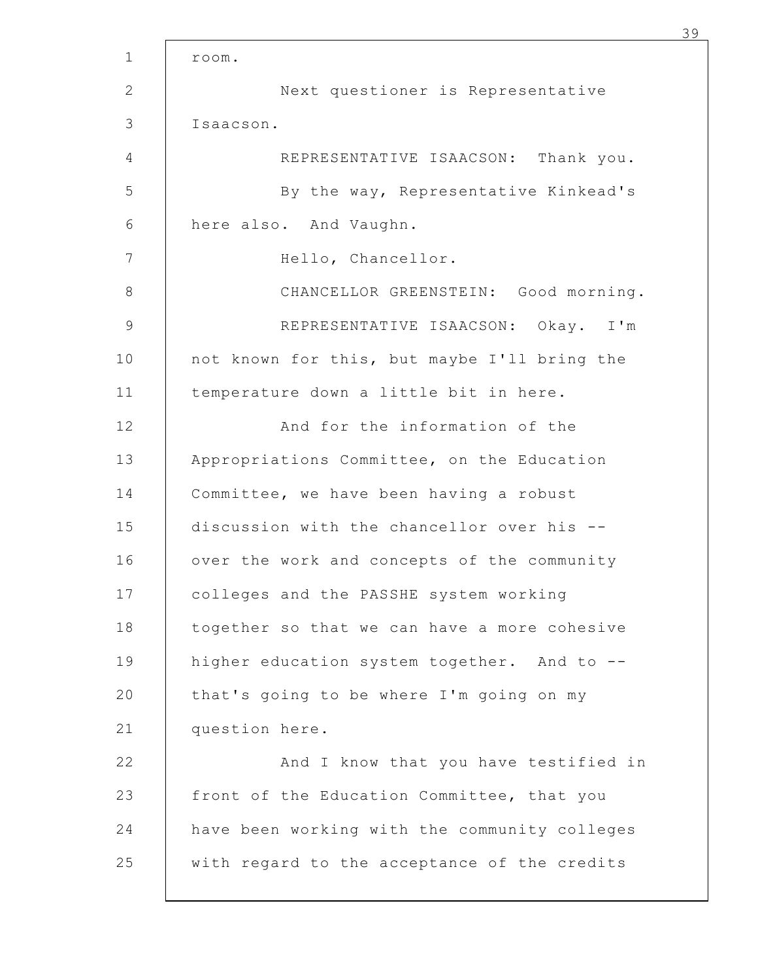| room.     |                                               |
|-----------|-----------------------------------------------|
|           | Next questioner is Representative             |
| Isaacson. |                                               |
|           | REPRESENTATIVE ISAACSON: Thank you.           |
|           | By the way, Representative Kinkead's          |
|           | here also. And Vaughn.                        |
|           | Hello, Chancellor.                            |
|           | CHANCELLOR GREENSTEIN: Good morning.          |
|           | REPRESENTATIVE ISAACSON: Okay. I'm            |
|           | not known for this, but maybe I'll bring the  |
|           | temperature down a little bit in here.        |
|           | And for the information of the                |
|           | Appropriations Committee, on the Education    |
|           | Committee, we have been having a robust       |
|           | discussion with the chancellor over his --    |
|           | over the work and concepts of the community   |
|           | colleges and the PASSHE system working        |
|           | together so that we can have a more cohesive  |
|           | higher education system together. And to --   |
|           | that's going to be where I'm going on my      |
|           | question here.                                |
|           | And I know that you have testified in         |
|           | front of the Education Committee, that you    |
|           | have been working with the community colleges |
|           | with regard to the acceptance of the credits  |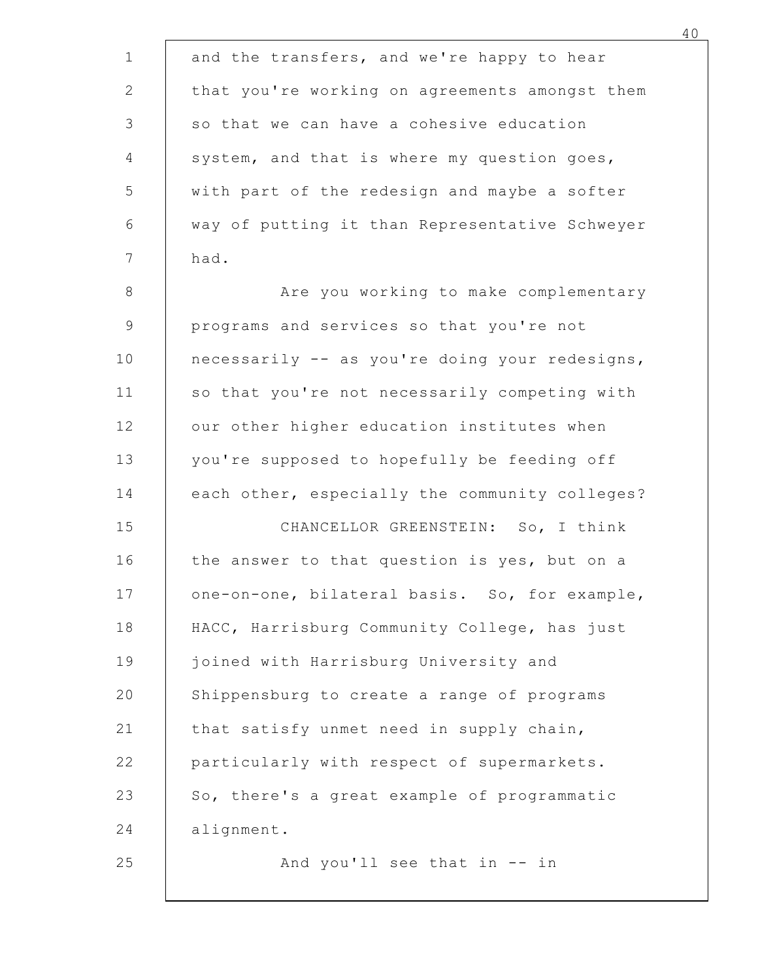| and the transfers, and we're happy to hear<br>that you're working on agreements amongst them<br>so that we can have a cohesive education<br>system, and that is where my question goes,<br>with part of the redesign and maybe a softer<br>way of putting it than Representative Schweyer<br>had.<br>Are you working to make complementary<br>programs and services so that you're not<br>necessarily -- as you're doing your redesigns,<br>so that you're not necessarily competing with<br>our other higher education institutes when<br>you're supposed to hopefully be feeding off |
|----------------------------------------------------------------------------------------------------------------------------------------------------------------------------------------------------------------------------------------------------------------------------------------------------------------------------------------------------------------------------------------------------------------------------------------------------------------------------------------------------------------------------------------------------------------------------------------|
|                                                                                                                                                                                                                                                                                                                                                                                                                                                                                                                                                                                        |
|                                                                                                                                                                                                                                                                                                                                                                                                                                                                                                                                                                                        |
|                                                                                                                                                                                                                                                                                                                                                                                                                                                                                                                                                                                        |
|                                                                                                                                                                                                                                                                                                                                                                                                                                                                                                                                                                                        |
|                                                                                                                                                                                                                                                                                                                                                                                                                                                                                                                                                                                        |
|                                                                                                                                                                                                                                                                                                                                                                                                                                                                                                                                                                                        |
|                                                                                                                                                                                                                                                                                                                                                                                                                                                                                                                                                                                        |
|                                                                                                                                                                                                                                                                                                                                                                                                                                                                                                                                                                                        |
|                                                                                                                                                                                                                                                                                                                                                                                                                                                                                                                                                                                        |
|                                                                                                                                                                                                                                                                                                                                                                                                                                                                                                                                                                                        |
|                                                                                                                                                                                                                                                                                                                                                                                                                                                                                                                                                                                        |
|                                                                                                                                                                                                                                                                                                                                                                                                                                                                                                                                                                                        |
|                                                                                                                                                                                                                                                                                                                                                                                                                                                                                                                                                                                        |
| each other, especially the community colleges?                                                                                                                                                                                                                                                                                                                                                                                                                                                                                                                                         |
| CHANCELLOR GREENSTEIN: So, I think                                                                                                                                                                                                                                                                                                                                                                                                                                                                                                                                                     |
| the answer to that question is yes, but on a                                                                                                                                                                                                                                                                                                                                                                                                                                                                                                                                           |
| one-on-one, bilateral basis. So, for example,                                                                                                                                                                                                                                                                                                                                                                                                                                                                                                                                          |
| HACC, Harrisburg Community College, has just                                                                                                                                                                                                                                                                                                                                                                                                                                                                                                                                           |
| joined with Harrisburg University and                                                                                                                                                                                                                                                                                                                                                                                                                                                                                                                                                  |
| Shippensburg to create a range of programs                                                                                                                                                                                                                                                                                                                                                                                                                                                                                                                                             |
| that satisfy unmet need in supply chain,                                                                                                                                                                                                                                                                                                                                                                                                                                                                                                                                               |
| particularly with respect of supermarkets.                                                                                                                                                                                                                                                                                                                                                                                                                                                                                                                                             |
| So, there's a great example of programmatic                                                                                                                                                                                                                                                                                                                                                                                                                                                                                                                                            |
| alignment.<br>And you'll see that in -- in                                                                                                                                                                                                                                                                                                                                                                                                                                                                                                                                             |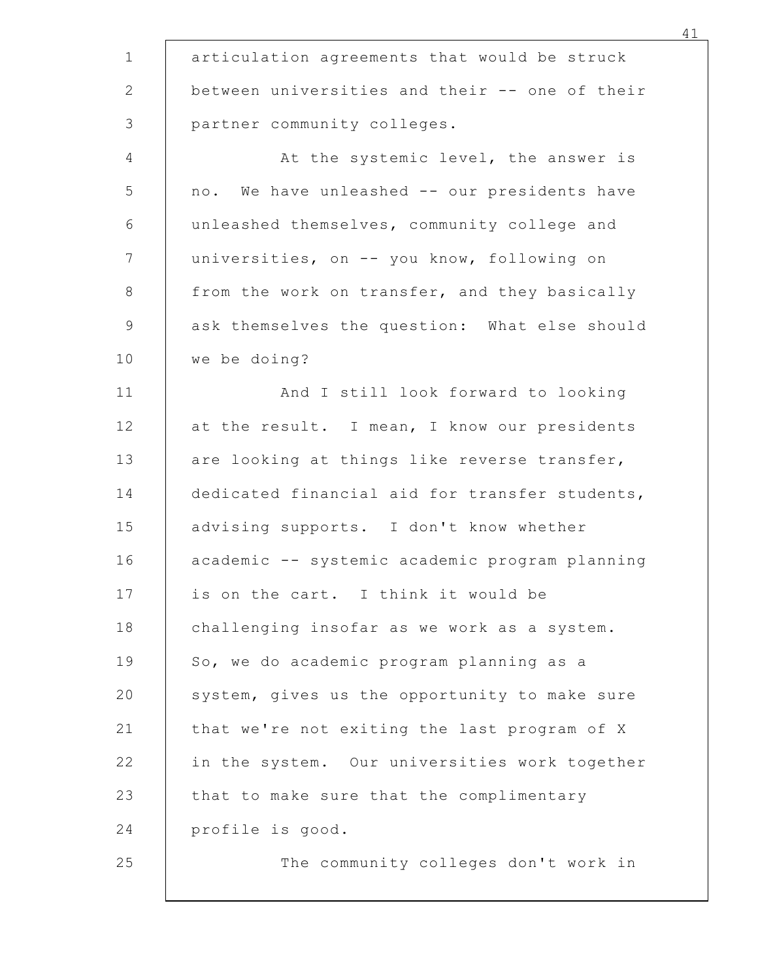| articulation agreements that would be struck                                                |
|---------------------------------------------------------------------------------------------|
| between universities and their -- one of their                                              |
| partner community colleges.                                                                 |
| At the systemic level, the answer is                                                        |
| no. We have unleashed -- our presidents have<br>unleashed themselves, community college and |
|                                                                                             |
| universities, on -- you know, following on<br>from the work on transfer, and they basically |
| ask themselves the question: What else should                                               |
| we be doing?                                                                                |
| And I still look forward to looking                                                         |
| at the result. I mean, I know our presidents                                                |
| are looking at things like reverse transfer,                                                |
| dedicated financial aid for transfer students,                                              |
| advising supports. I don't know whether                                                     |
| academic -- systemic academic program planning                                              |
| is on the cart. I think it would be                                                         |
| challenging insofar as we work as a system.                                                 |
| So, we do academic program planning as a                                                    |
| system, gives us the opportunity to make sure                                               |
| that we're not exiting the last program of X                                                |
| in the system. Our universities work together                                               |
| that to make sure that the complimentary                                                    |
| profile is good.                                                                            |
| The community colleges don't work in                                                        |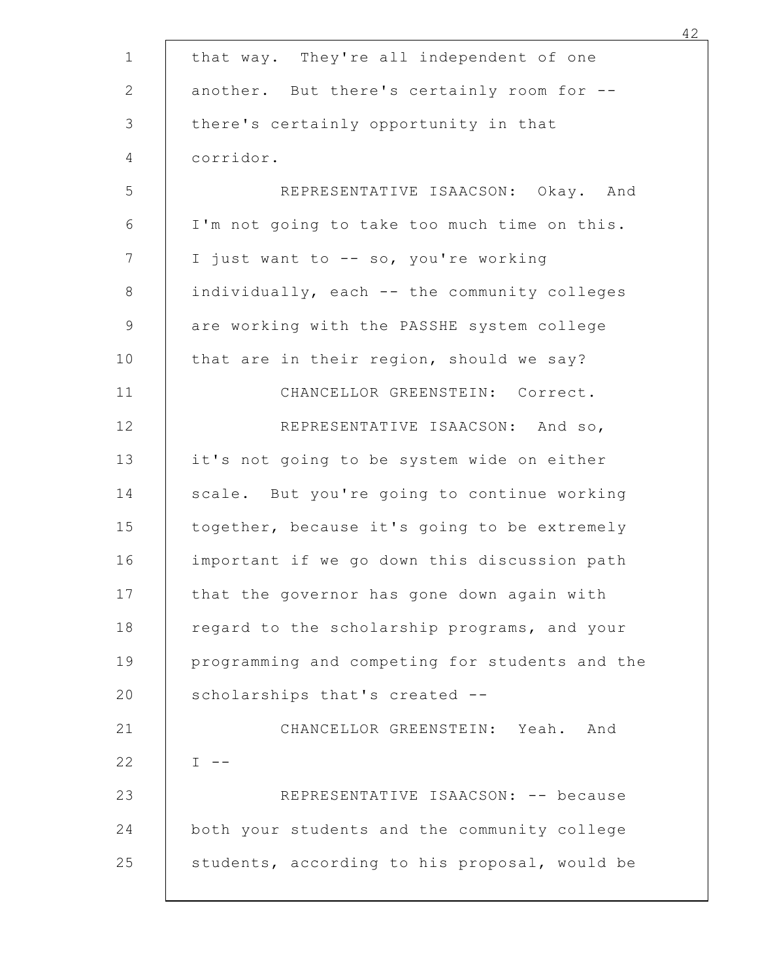|           | that way. They're all independent of one       |
|-----------|------------------------------------------------|
|           | another. But there's certainly room for --     |
|           | there's certainly opportunity in that          |
| corridor. |                                                |
|           | REPRESENTATIVE ISAACSON: Okay. And             |
|           | I'm not going to take too much time on this.   |
|           | I just want to -- so, you're working           |
|           | individually, each -- the community colleges   |
|           | are working with the PASSHE system college     |
|           | that are in their region, should we say?       |
|           | CHANCELLOR GREENSTEIN: Correct.                |
|           | REPRESENTATIVE ISAACSON: And so,               |
|           | it's not going to be system wide on either     |
|           | scale. But you're going to continue working    |
|           | together, because it's going to be extremely   |
|           | important if we go down this discussion path   |
|           | that the governor has gone down again with     |
|           | regard to the scholarship programs, and your   |
|           | programming and competing for students and the |
|           | scholarships that's created --                 |
|           | CHANCELLOR GREENSTEIN: Yeah. And               |
| $I - -$   |                                                |
|           | REPRESENTATIVE ISAACSON: -- because            |
|           | both your students and the community college   |
|           | students, according to his proposal, would be  |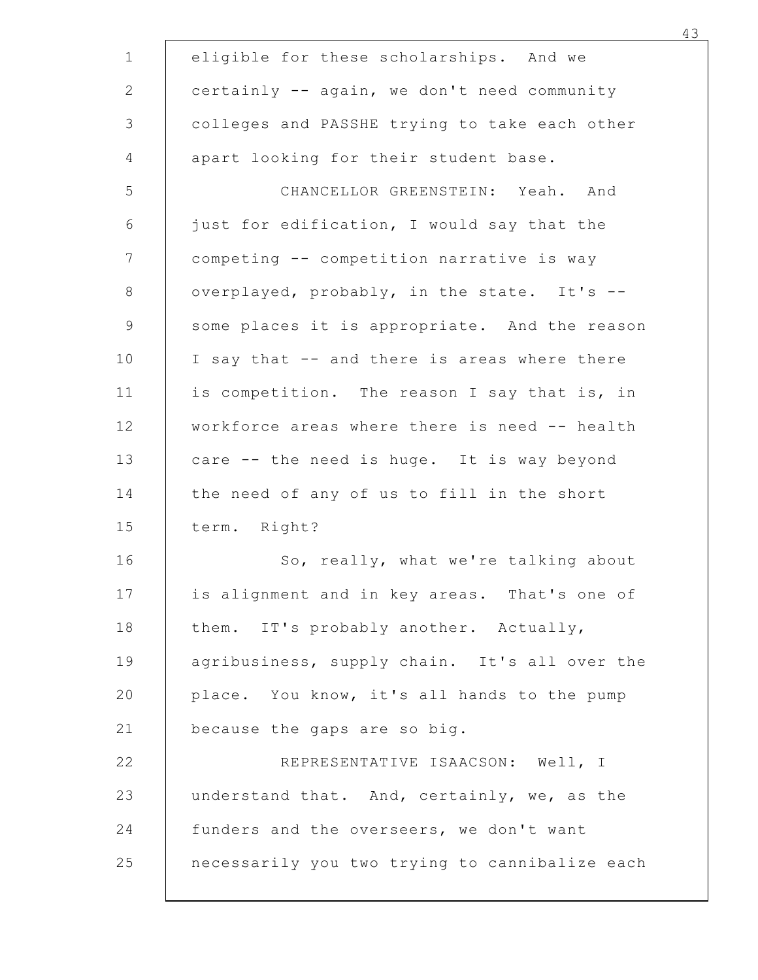| eligible for these scholarships. And we        |  |
|------------------------------------------------|--|
| certainly -- again, we don't need community    |  |
| colleges and PASSHE trying to take each other  |  |
| apart looking for their student base.          |  |
| CHANCELLOR GREENSTEIN: Yeah. And               |  |
| just for edification, I would say that the     |  |
| competing -- competition narrative is way      |  |
| overplayed, probably, in the state. It's --    |  |
| some places it is appropriate. And the reason  |  |
| I say that -- and there is areas where there   |  |
| is competition. The reason I say that is, in   |  |
| workforce areas where there is need -- health  |  |
| care -- the need is huge. It is way beyond     |  |
| the need of any of us to fill in the short     |  |
| term. Right?                                   |  |
| So, really, what we're talking about           |  |
| is alignment and in key areas. That's one of   |  |
| them. IT's probably another. Actually,         |  |
| agribusiness, supply chain. It's all over the  |  |
| place. You know, it's all hands to the pump    |  |
| because the gaps are so big.                   |  |
| REPRESENTATIVE ISAACSON: Well, I               |  |
| understand that. And, certainly, we, as the    |  |
| funders and the overseers, we don't want       |  |
| necessarily you two trying to cannibalize each |  |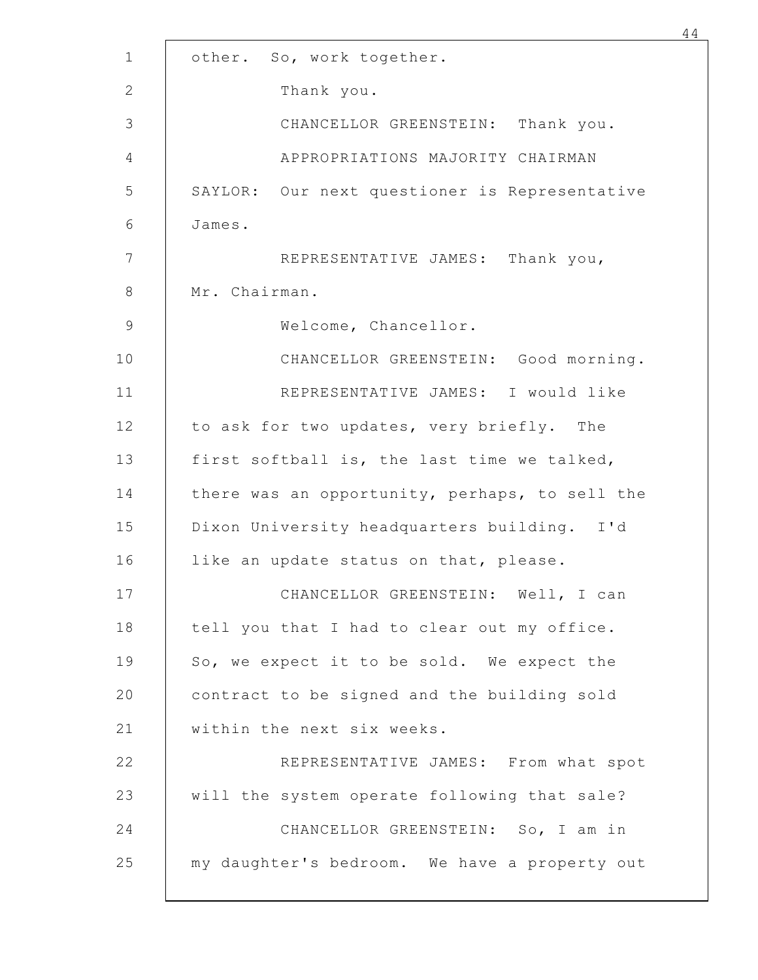| other.        | So, work together.                             |
|---------------|------------------------------------------------|
|               | Thank you.                                     |
|               | CHANCELLOR GREENSTEIN: Thank you.              |
|               | APPROPRIATIONS MAJORITY CHAIRMAN               |
| SAYLOR:       | Our next questioner is Representative          |
| James.        |                                                |
|               | REPRESENTATIVE JAMES: Thank you,               |
| Mr. Chairman. |                                                |
|               | Welcome, Chancellor.                           |
|               | CHANCELLOR GREENSTEIN: Good morning.           |
|               | REPRESENTATIVE JAMES: I would like             |
|               | to ask for two updates, very briefly. The      |
|               | first softball is, the last time we talked,    |
|               | there was an opportunity, perhaps, to sell the |
|               | Dixon University headquarters building. I'd    |
|               | like an update status on that, please.         |
|               | CHANCELLOR GREENSTEIN: Well, I can             |
|               | tell you that I had to clear out my office.    |
|               | So, we expect it to be sold. We expect the     |
|               | contract to be signed and the building sold    |
|               | within the next six weeks.                     |
|               | REPRESENTATIVE JAMES: From what spot           |
|               | will the system operate following that sale?   |
|               | CHANCELLOR GREENSTEIN: So, I am in             |
|               | my daughter's bedroom. We have a property out  |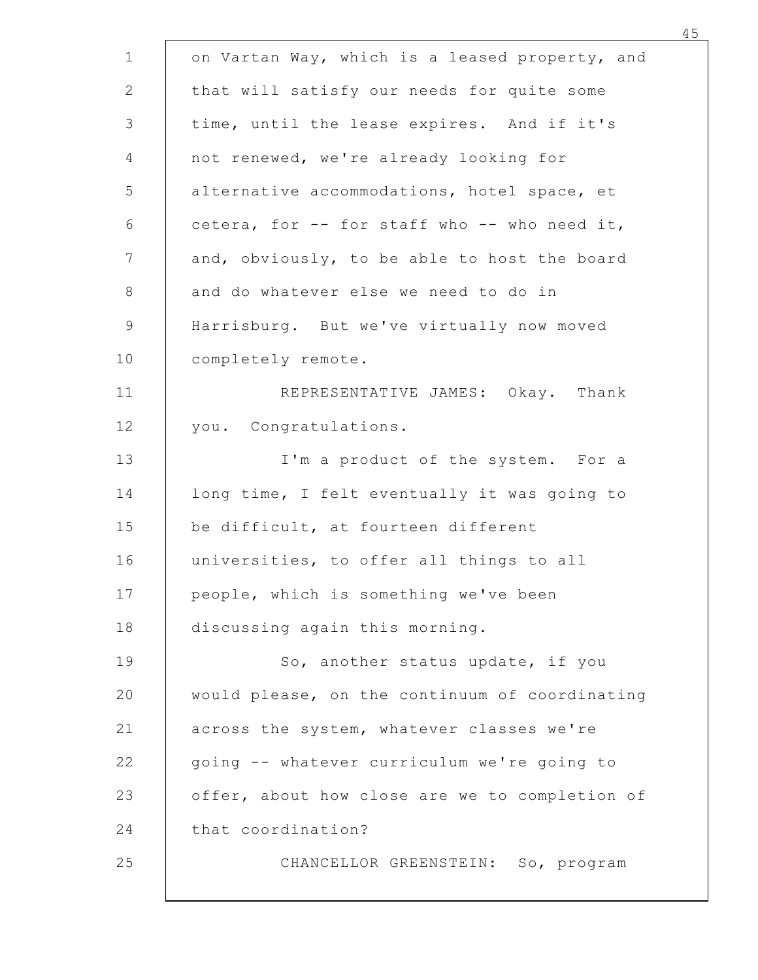| on Vartan Way, which is a leased property, and                                        |
|---------------------------------------------------------------------------------------|
| that will satisfy our needs for quite some                                            |
| time, until the lease expires. And if it's                                            |
| not renewed, we're already looking for<br>alternative accommodations, hotel space, et |
| cetera, for -- for staff who -- who need it,                                          |
| and, obviously, to be able to host the board                                          |
| and do whatever else we need to do in                                                 |
| Harrisburg. But we've virtually now moved                                             |
| completely remote.                                                                    |
| REPRESENTATIVE JAMES: Okay. Thank                                                     |
| you. Congratulations.                                                                 |
| I'm a product of the system. For a                                                    |
| long time, I felt eventually it was going to                                          |
| be difficult, at fourteen different                                                   |
| universities, to offer all things to all                                              |
| people, which is something we've been                                                 |
| discussing again this morning.                                                        |
| So, another status update, if you                                                     |
| would please, on the continuum of coordinating                                        |
| across the system, whatever classes we're                                             |
| going -- whatever curriculum we're going to                                           |
| offer, about how close are we to completion of                                        |
| that coordination?                                                                    |
| CHANCELLOR GREENSTEIN: So, program                                                    |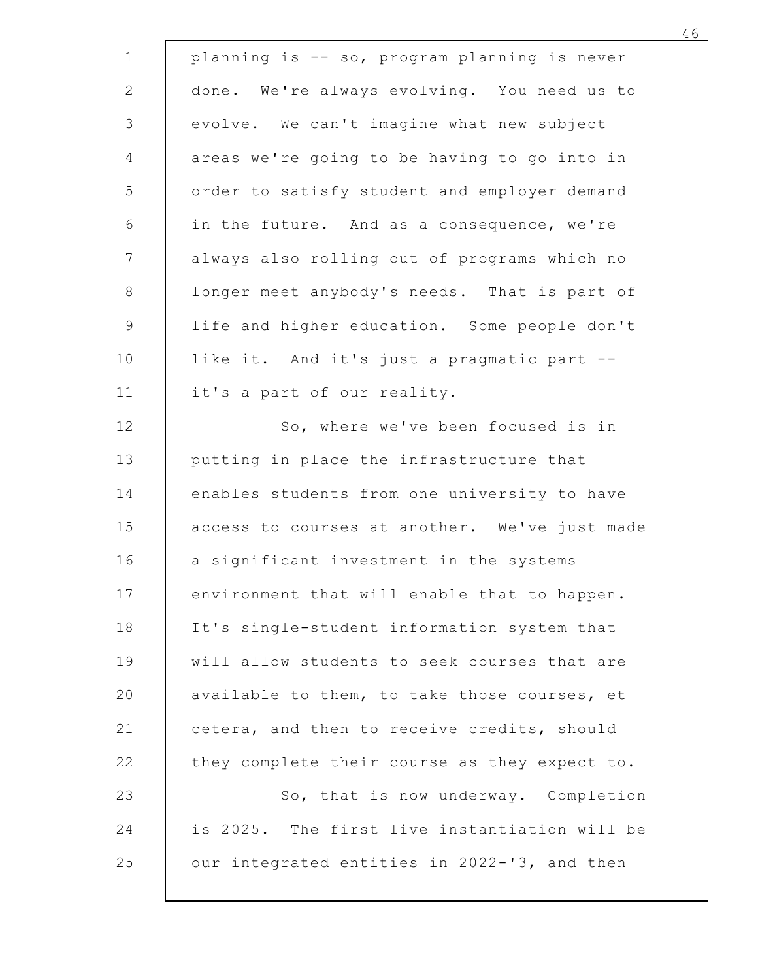| planning is -- so, program planning is never  |  |
|-----------------------------------------------|--|
| done. We're always evolving. You need us to   |  |
| evolve. We can't imagine what new subject     |  |
| areas we're going to be having to go into in  |  |
| order to satisfy student and employer demand  |  |
| in the future. And as a consequence, we're    |  |
| always also rolling out of programs which no  |  |
| longer meet anybody's needs. That is part of  |  |
| life and higher education. Some people don't  |  |
| like it. And it's just a pragmatic part --    |  |
| it's a part of our reality.                   |  |
| So, where we've been focused is in            |  |
| putting in place the infrastructure that      |  |
| enables students from one university to have  |  |
| access to courses at another. We've just made |  |
| a significant investment in the systems       |  |
| environment that will enable that to happen.  |  |
| It's single-student information system that   |  |
| will allow students to seek courses that are  |  |
| available to them, to take those courses, et  |  |
| cetera, and then to receive credits, should   |  |
| they complete their course as they expect to. |  |
| So, that is now underway. Completion          |  |
| is 2025. The first live instantiation will be |  |
| our integrated entities in 2022-'3, and then  |  |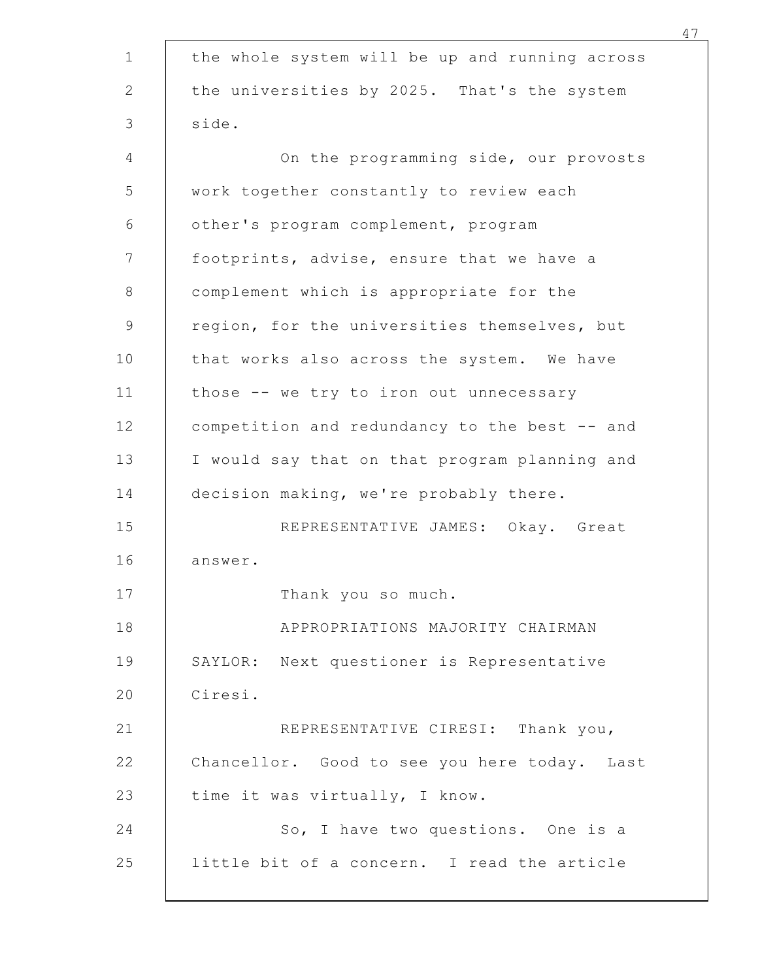|         | the whole system will be up and running across |
|---------|------------------------------------------------|
|         | the universities by 2025. That's the system    |
| side.   |                                                |
|         | On the programming side, our provosts          |
|         | work together constantly to review each        |
|         | other's program complement, program            |
|         | footprints, advise, ensure that we have a      |
|         | complement which is appropriate for the        |
|         | region, for the universities themselves, but   |
|         | that works also across the system. We have     |
|         | those -- we try to iron out unnecessary        |
|         | competition and redundancy to the best -- and  |
|         | I would say that on that program planning and  |
|         | decision making, we're probably there.         |
|         | REPRESENTATIVE JAMES: Okay. Great              |
| answer. |                                                |
|         | Thank you so much.                             |
|         | APPROPRIATIONS MAJORITY CHAIRMAN               |
|         | SAYLOR: Next questioner is Representative      |
| Ciresi. |                                                |
|         | REPRESENTATIVE CIRESI: Thank you,              |
|         | Chancellor. Good to see you here today. Last   |
|         | time it was virtually, I know.                 |
|         | So, I have two questions. One is a             |
|         | little bit of a concern. I read the article    |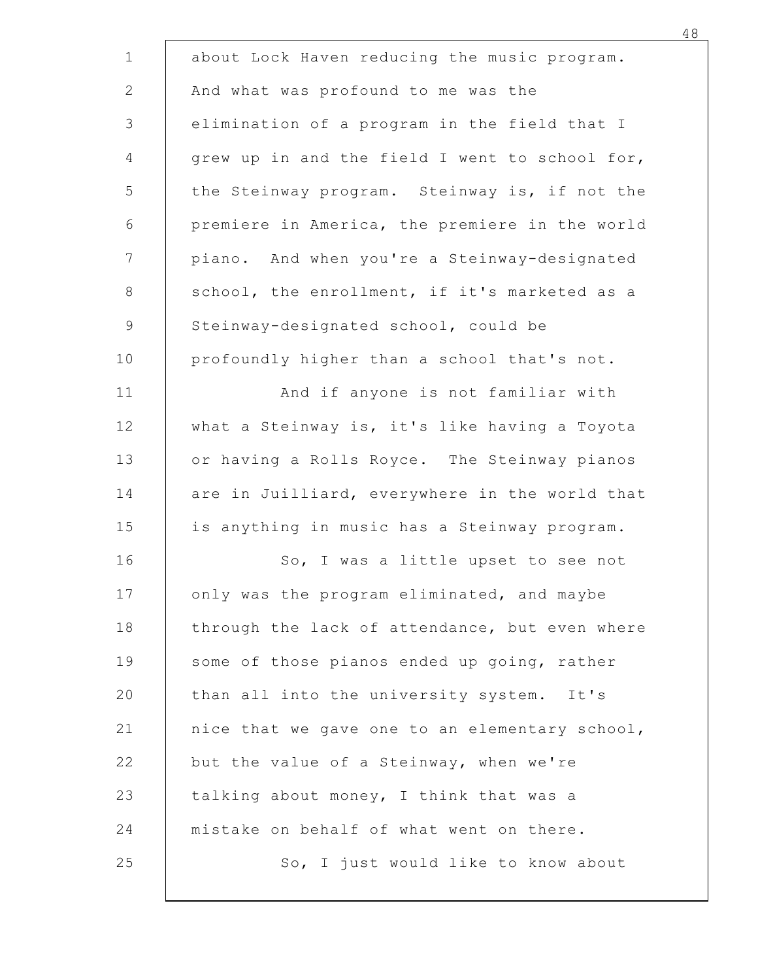| about Lock Haven reducing the music program.   |  |
|------------------------------------------------|--|
| And what was profound to me was the            |  |
| elimination of a program in the field that I   |  |
| grew up in and the field I went to school for, |  |
| the Steinway program. Steinway is, if not the  |  |
| premiere in America, the premiere in the world |  |
| piano. And when you're a Steinway-designated   |  |
| school, the enrollment, if it's marketed as a  |  |
| Steinway-designated school, could be           |  |
| profoundly higher than a school that's not.    |  |
| And if anyone is not familiar with             |  |
| what a Steinway is, it's like having a Toyota  |  |
| or having a Rolls Royce. The Steinway pianos   |  |
| are in Juilliard, everywhere in the world that |  |
| is anything in music has a Steinway program.   |  |
| So, I was a little upset to see not            |  |
| only was the program eliminated, and maybe     |  |
| through the lack of attendance, but even where |  |
| some of those pianos ended up going, rather    |  |
| than all into the university system. It's      |  |
| nice that we gave one to an elementary school, |  |
| but the value of a Steinway, when we're        |  |
| talking about money, I think that was a        |  |
| mistake on behalf of what went on there.       |  |
| So, I just would like to know about            |  |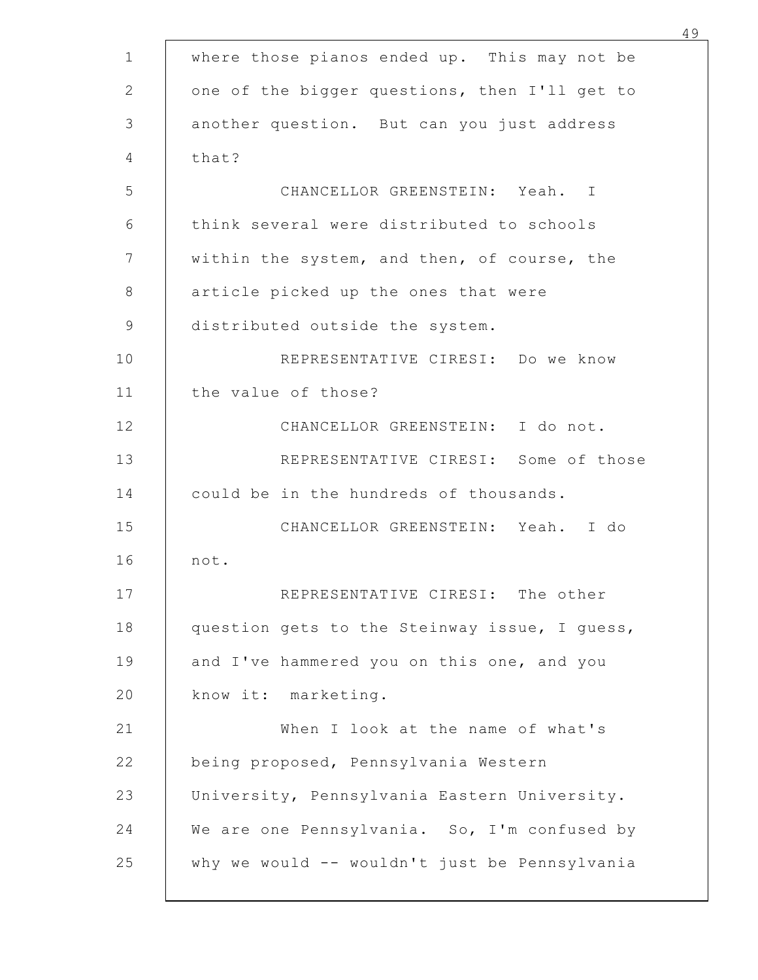| where those pianos ended up. This may not be  |  |
|-----------------------------------------------|--|
| one of the bigger questions, then I'll get to |  |
| another question. But can you just address    |  |
| that?                                         |  |
| CHANCELLOR GREENSTEIN: Yeah. I                |  |
| think several were distributed to schools     |  |
| within the system, and then, of course, the   |  |
| article picked up the ones that were          |  |
| distributed outside the system.               |  |
| REPRESENTATIVE CIRESI: Do we know             |  |
| the value of those?                           |  |
| CHANCELLOR GREENSTEIN: I do not.              |  |
| REPRESENTATIVE CIRESI: Some of those          |  |
| could be in the hundreds of thousands.        |  |
| CHANCELLOR GREENSTEIN: Yeah. I do             |  |
| not.                                          |  |
| REPRESENTATIVE CIRESI: The other              |  |
| question gets to the Steinway issue, I guess, |  |
| and I've hammered you on this one, and you    |  |
| know it: marketing.                           |  |
| When I look at the name of what's             |  |
| being proposed, Pennsylvania Western          |  |
| University, Pennsylvania Eastern University.  |  |
| We are one Pennsylvania. So, I'm confused by  |  |
| why we would -- wouldn't just be Pennsylvania |  |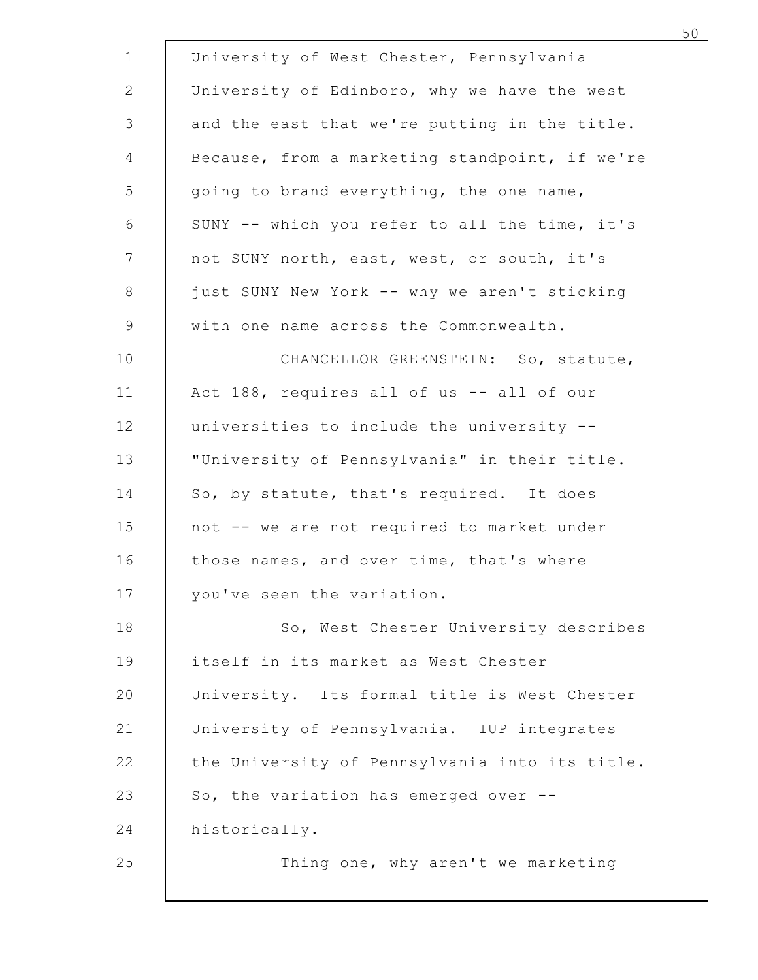| University of West Chester, Pennsylvania                                               |  |
|----------------------------------------------------------------------------------------|--|
| University of Edinboro, why we have the west                                           |  |
| and the east that we're putting in the title.                                          |  |
| Because, from a marketing standpoint, if we're                                         |  |
| going to brand everything, the one name,                                               |  |
| SUNY -- which you refer to all the time, it's                                          |  |
| not SUNY north, east, west, or south, it's                                             |  |
| just SUNY New York -- why we aren't sticking<br>with one name across the Commonwealth. |  |
|                                                                                        |  |
| CHANCELLOR GREENSTEIN: So, statute,<br>Act 188, requires all of us -- all of our       |  |
| universities to include the university --                                              |  |
| "University of Pennsylvania" in their title.                                           |  |
| So, by statute, that's required. It does                                               |  |
| not -- we are not required to market under                                             |  |
| those names, and over time, that's where                                               |  |
| you've seen the variation.                                                             |  |
| So, West Chester University describes                                                  |  |
| itself in its market as West Chester                                                   |  |
| University. Its formal title is West Chester                                           |  |
| University of Pennsylvania. IUP integrates                                             |  |
| the University of Pennsylvania into its title.                                         |  |
| So, the variation has emerged over --                                                  |  |
| historically.                                                                          |  |
| Thing one, why aren't we marketing                                                     |  |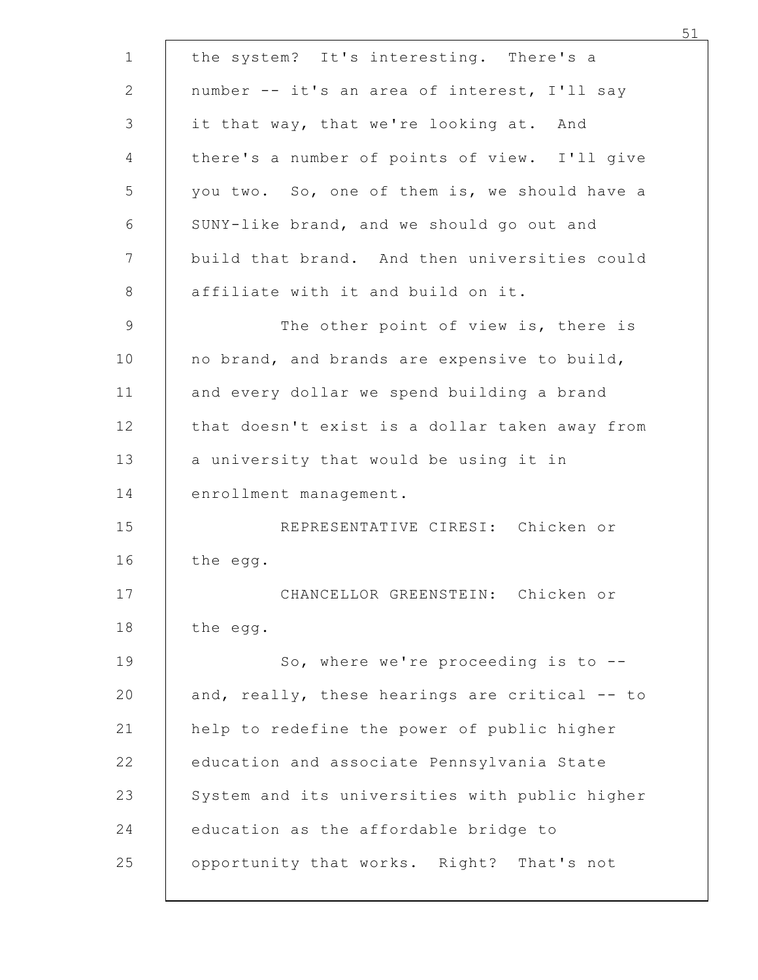| the system? It's interesting. There's a        |
|------------------------------------------------|
| number -- it's an area of interest, I'll say   |
| it that way, that we're looking at. And        |
| there's a number of points of view. I'll give  |
| you two. So, one of them is, we should have a  |
| SUNY-like brand, and we should go out and      |
| build that brand. And then universities could  |
| affiliate with it and build on it.             |
| The other point of view is, there is           |
| no brand, and brands are expensive to build,   |
| and every dollar we spend building a brand     |
| that doesn't exist is a dollar taken away from |
| a university that would be using it in         |
| enrollment management.                         |
| REPRESENTATIVE CIRESI: Chicken or              |
| the egg.                                       |
| CHANCELLOR GREENSTEIN: Chicken or              |
| the egg.                                       |
| So, where we're proceeding is to --            |
| and, really, these hearings are critical -- to |
| help to redefine the power of public higher    |
| education and associate Pennsylvania State     |
| System and its universities with public higher |
| education as the affordable bridge to          |
| opportunity that works. Right? That's not      |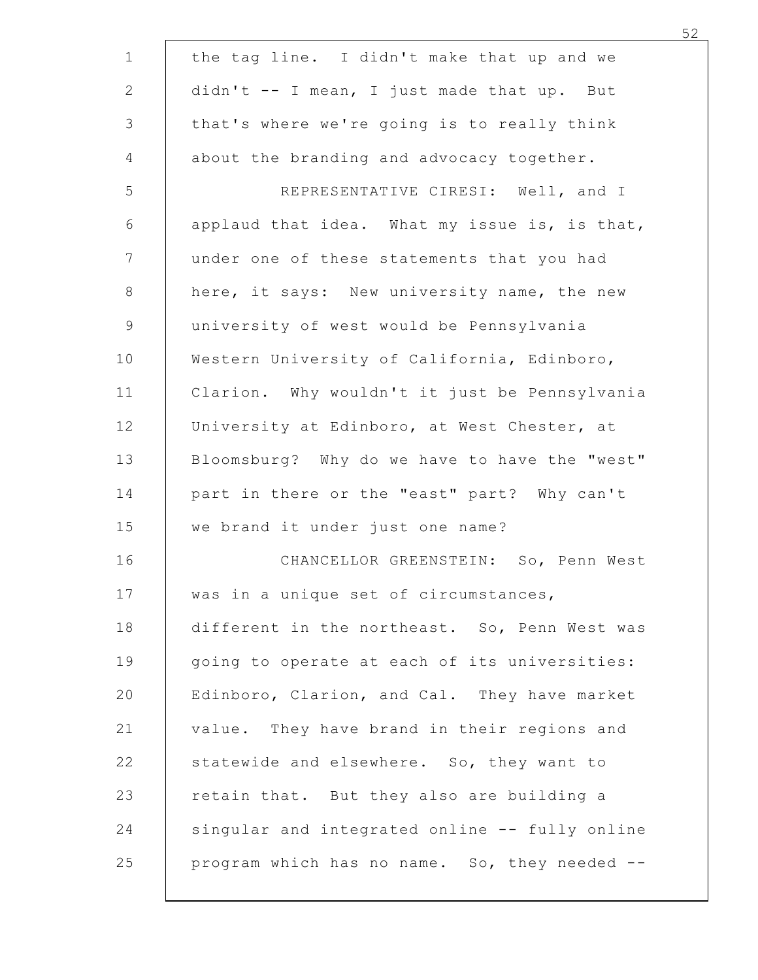| the tag line. I didn't make that up and we     |
|------------------------------------------------|
| didn't -- I mean, I just made that up. But     |
| that's where we're going is to really think    |
| about the branding and advocacy together.      |
| REPRESENTATIVE CIRESI: Well, and I             |
| applaud that idea. What my issue is, is that,  |
| under one of these statements that you had     |
| here, it says: New university name, the new    |
| university of west would be Pennsylvania       |
| Western University of California, Edinboro,    |
| Clarion. Why wouldn't it just be Pennsylvania  |
| University at Edinboro, at West Chester, at    |
| Bloomsburg? Why do we have to have the "west"  |
| part in there or the "east" part? Why can't    |
| we brand it under just one name?               |
| CHANCELLOR GREENSTEIN: So, Penn West           |
| was in a unique set of circumstances,          |
| different in the northeast. So, Penn West was  |
| going to operate at each of its universities:  |
| Edinboro, Clarion, and Cal. They have market   |
| value. They have brand in their regions and    |
| statewide and elsewhere. So, they want to      |
| retain that. But they also are building a      |
| singular and integrated online -- fully online |
| program which has no name. So, they needed --  |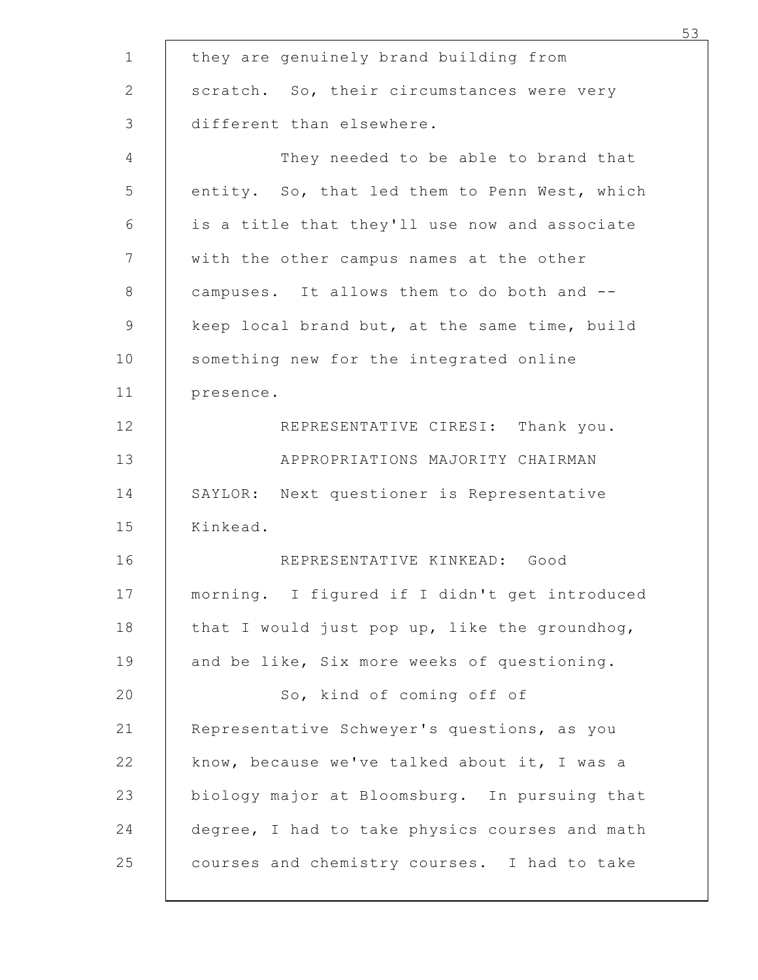| they are genuinely brand building from                                                         |  |
|------------------------------------------------------------------------------------------------|--|
| scratch. So, their circumstances were very                                                     |  |
| different than elsewhere.                                                                      |  |
| They needed to be able to brand that                                                           |  |
| entity. So, that led them to Penn West, which<br>is a title that they'll use now and associate |  |
| with the other campus names at the other                                                       |  |
| campuses. It allows them to do both and --                                                     |  |
| keep local brand but, at the same time, build                                                  |  |
| something new for the integrated online                                                        |  |
| presence.                                                                                      |  |
| REPRESENTATIVE CIRESI: Thank you.                                                              |  |
| APPROPRIATIONS MAJORITY CHAIRMAN                                                               |  |
| SAYLOR: Next questioner is Representative                                                      |  |
| Kinkead.                                                                                       |  |
| REPRESENTATIVE KINKEAD: Good                                                                   |  |
| morning. I figured if I didn't get introduced                                                  |  |
| that I would just pop up, like the groundhog,                                                  |  |
| and be like, Six more weeks of questioning.                                                    |  |
| So, kind of coming off of                                                                      |  |
| Representative Schweyer's questions, as you                                                    |  |
| know, because we've talked about it, I was a                                                   |  |
| biology major at Bloomsburg. In pursuing that                                                  |  |
| degree, I had to take physics courses and math                                                 |  |
| courses and chemistry courses. I had to take                                                   |  |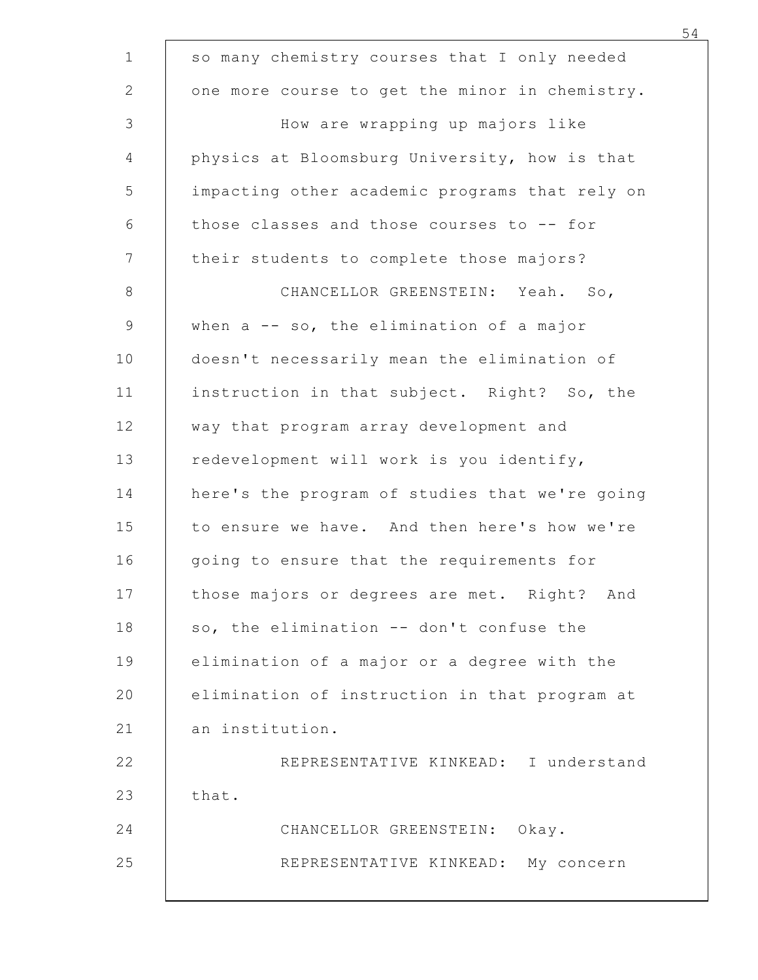| so many chemistry courses that I only needed   |     |
|------------------------------------------------|-----|
| one more course to get the minor in chemistry. |     |
| How are wrapping up majors like                |     |
| physics at Bloomsburg University, how is that  |     |
| impacting other academic programs that rely on |     |
| those classes and those courses to -- for      |     |
| their students to complete those majors?       |     |
| CHANCELLOR GREENSTEIN: Yeah.                   | So, |
| when $a - - so$ , the elimination of a major   |     |
| doesn't necessarily mean the elimination of    |     |
| instruction in that subject. Right? So, the    |     |
| way that program array development and         |     |
| redevelopment will work is you identify,       |     |
| here's the program of studies that we're going |     |
| to ensure we have. And then here's how we're   |     |
| going to ensure that the requirements for      |     |
| those majors or degrees are met. Right? And    |     |
| so, the elimination -- don't confuse the       |     |
| elimination of a major or a degree with the    |     |
| elimination of instruction in that program at  |     |
| an institution.                                |     |
| REPRESENTATIVE KINKEAD: I understand           |     |
| that.                                          |     |
| CHANCELLOR GREENSTEIN: Okay.                   |     |
| REPRESENTATIVE KINKEAD: My concern             |     |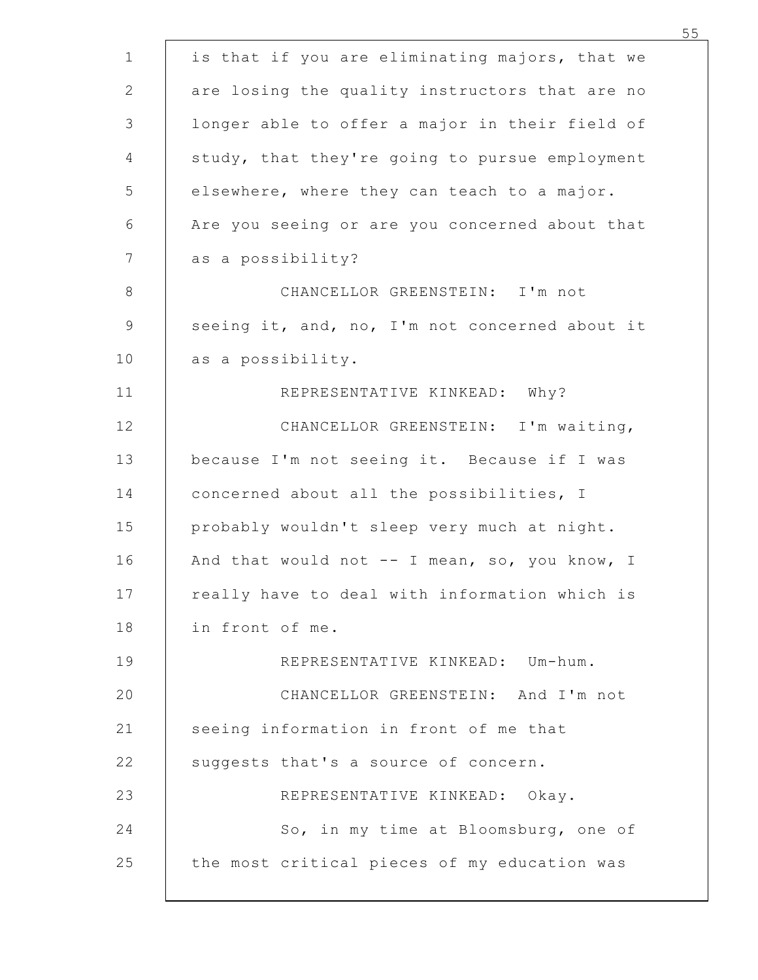| is that if you are eliminating majors, that we    |  |
|---------------------------------------------------|--|
| are losing the quality instructors that are no    |  |
| longer able to offer a major in their field of    |  |
| study, that they're going to pursue employment    |  |
| elsewhere, where they can teach to a major.       |  |
| Are you seeing or are you concerned about that    |  |
| as a possibility?                                 |  |
| CHANCELLOR GREENSTEIN: I'm not                    |  |
| seeing it, and, no, I'm not concerned about it    |  |
| as a possibility.<br>REPRESENTATIVE KINKEAD: Why? |  |
| CHANCELLOR GREENSTEIN: I'm waiting,               |  |
| because I'm not seeing it. Because if I was       |  |
| concerned about all the possibilities, I          |  |
| probably wouldn't sleep very much at night.       |  |
| And that would not -- I mean, so, you know, I     |  |
| really have to deal with information which is     |  |
| in front of me.                                   |  |
| REPRESENTATIVE KINKEAD: Um-hum.                   |  |
| CHANCELLOR GREENSTEIN: And I'm not                |  |
| seeing information in front of me that            |  |
| suggests that's a source of concern.              |  |
| REPRESENTATIVE KINKEAD: Okay.                     |  |
| So, in my time at Bloomsburg, one of              |  |
| the most critical pieces of my education was      |  |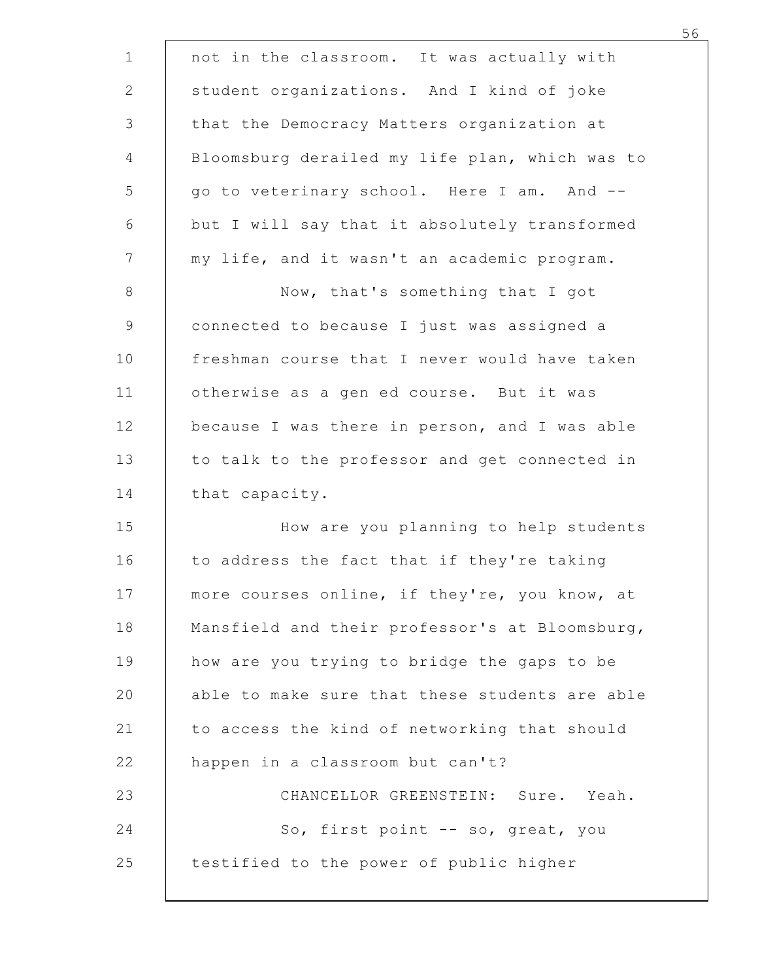| not in the classroom. It was actually with     |  |
|------------------------------------------------|--|
| student organizations. And I kind of joke      |  |
| that the Democracy Matters organization at     |  |
| Bloomsburg derailed my life plan, which was to |  |
| go to veterinary school. Here I am. And --     |  |
| but I will say that it absolutely transformed  |  |
| my life, and it wasn't an academic program.    |  |
| Now, that's something that I got               |  |
| connected to because I just was assigned a     |  |
| freshman course that I never would have taken  |  |
| otherwise as a gen ed course. But it was       |  |
| because I was there in person, and I was able  |  |
| to talk to the professor and get connected in  |  |
| that capacity.                                 |  |
| How are you planning to help students          |  |
| to address the fact that if they're taking     |  |
| more courses online, if they're, you know, at  |  |
| Mansfield and their professor's at Bloomsburg, |  |
| how are you trying to bridge the gaps to be    |  |
| able to make sure that these students are able |  |
| to access the kind of networking that should   |  |
| happen in a classroom but can't?               |  |
| CHANCELLOR GREENSTEIN: Sure. Yeah.             |  |
| So, first point -- so, great, you              |  |
| testified to the power of public higher        |  |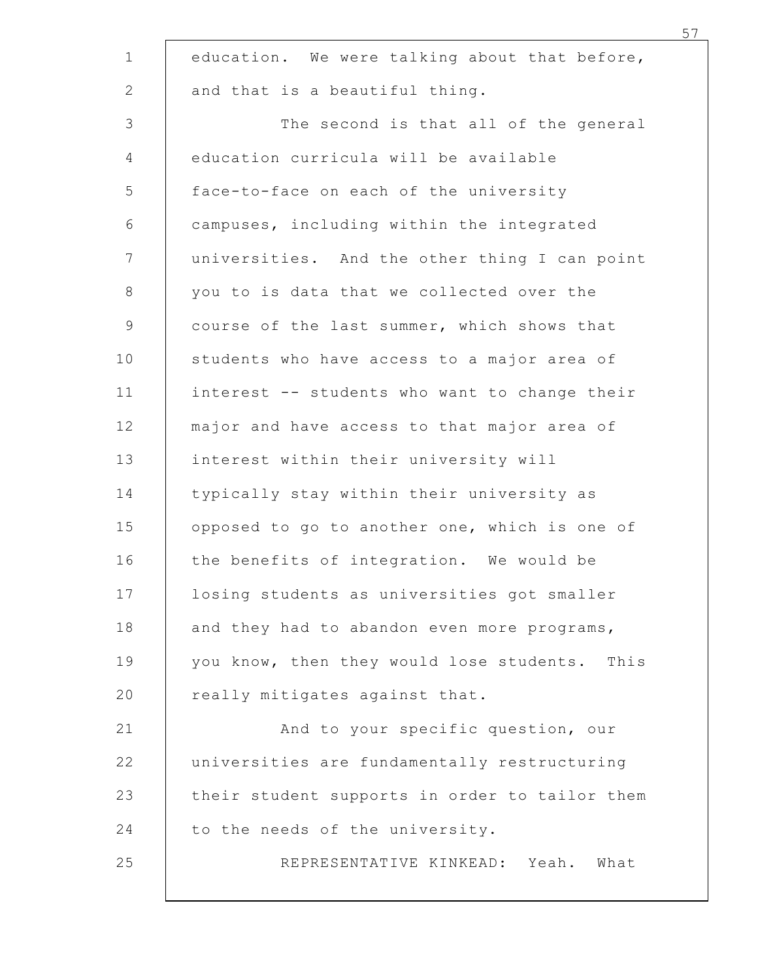| education. We were talking about that before,                                       |
|-------------------------------------------------------------------------------------|
| and that is a beautiful thing.                                                      |
|                                                                                     |
| The second is that all of the general<br>education curricula will be available      |
|                                                                                     |
| face-to-face on each of the university<br>campuses, including within the integrated |
| universities. And the other thing I can point                                       |
| you to is data that we collected over the                                           |
| course of the last summer, which shows that                                         |
| students who have access to a major area of                                         |
| interest -- students who want to change their                                       |
| major and have access to that major area of                                         |
| interest within their university will                                               |
| typically stay within their university as                                           |
| opposed to go to another one, which is one of                                       |
| the benefits of integration. We would be                                            |
| losing students as universities got smaller                                         |
| and they had to abandon even more programs,                                         |
| you know, then they would lose students. This                                       |
| really mitigates against that.                                                      |
| And to your specific question, our                                                  |
| universities are fundamentally restructuring                                        |
| their student supports in order to tailor them                                      |
| to the needs of the university.                                                     |
| REPRESENTATIVE KINKEAD: Yeah.<br>What                                               |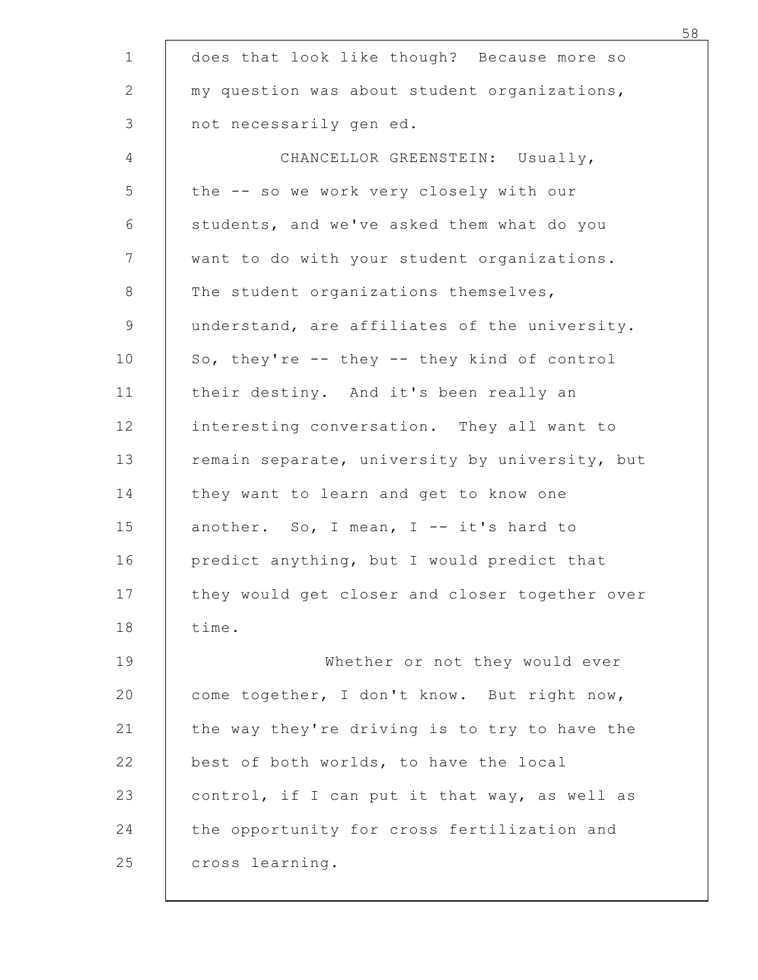| does that look like though? Because more so                             |  |
|-------------------------------------------------------------------------|--|
| my question was about student organizations,<br>not necessarily gen ed. |  |
| CHANCELLOR GREENSTEIN: Usually,                                         |  |
| the -- so we work very closely with our                                 |  |
| students, and we've asked them what do you                              |  |
| want to do with your student organizations.                             |  |
| The student organizations themselves,                                   |  |
| understand, are affiliates of the university.                           |  |
| So, they're -- they -- they kind of control                             |  |
| their destiny. And it's been really an                                  |  |
| interesting conversation. They all want to                              |  |
| remain separate, university by university, but                          |  |
| they want to learn and get to know one                                  |  |
| another. So, I mean, I -- it's hard to                                  |  |
| predict anything, but I would predict that                              |  |
| they would get closer and closer together over                          |  |
| time.                                                                   |  |
| Whether or not they would ever                                          |  |
| come together, I don't know. But right now,                             |  |
| the way they're driving is to try to have the                           |  |
| best of both worlds, to have the local                                  |  |
| control, if I can put it that way, as well as                           |  |
| the opportunity for cross fertilization and                             |  |
| cross learning.                                                         |  |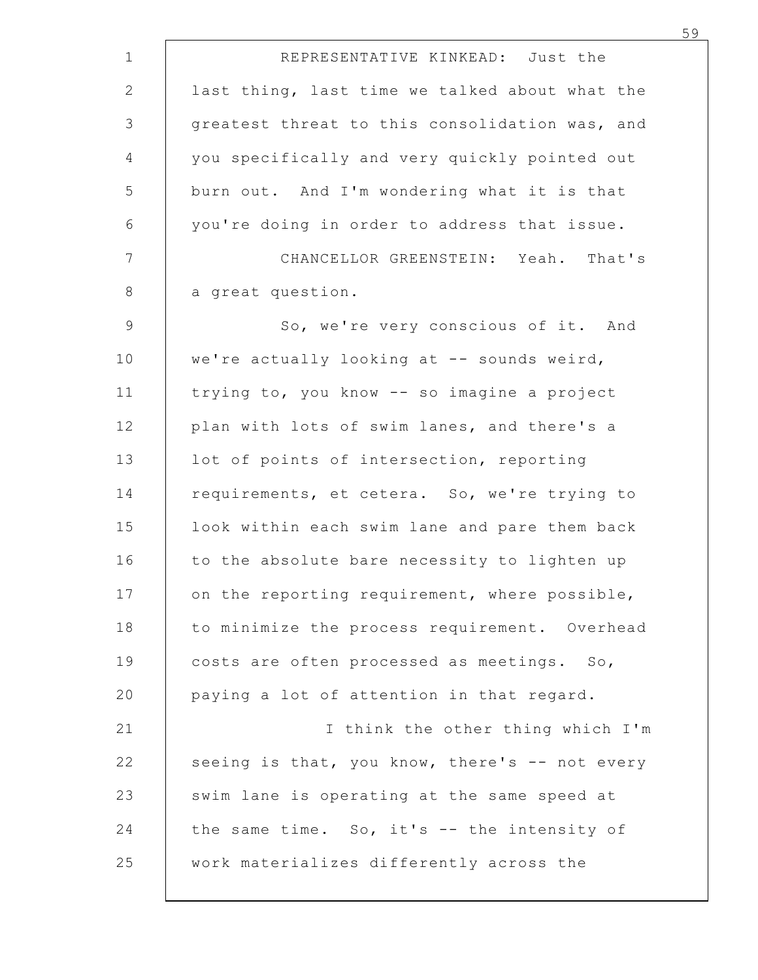| REPRESENTATIVE KINKEAD: Just the               |
|------------------------------------------------|
| last thing, last time we talked about what the |
| greatest threat to this consolidation was, and |
| you specifically and very quickly pointed out  |
| burn out. And I'm wondering what it is that    |
| you're doing in order to address that issue.   |
| CHANCELLOR GREENSTEIN: Yeah. That's            |
| a great question.                              |
| So, we're very conscious of it. And            |
| we're actually looking at -- sounds weird,     |
| trying to, you know -- so imagine a project    |
| plan with lots of swim lanes, and there's a    |
| lot of points of intersection, reporting       |
| requirements, et cetera. So, we're trying to   |
| look within each swim lane and pare them back  |
| to the absolute bare necessity to lighten up   |
| on the reporting requirement, where possible,  |
| to minimize the process requirement. Overhead  |
| costs are often processed as meetings. So,     |
| paying a lot of attention in that regard.      |
| I think the other thing which I'm              |
| seeing is that, you know, there's -- not every |
| swim lane is operating at the same speed at    |
| the same time. So, it's -- the intensity of    |
| work materializes differently across the       |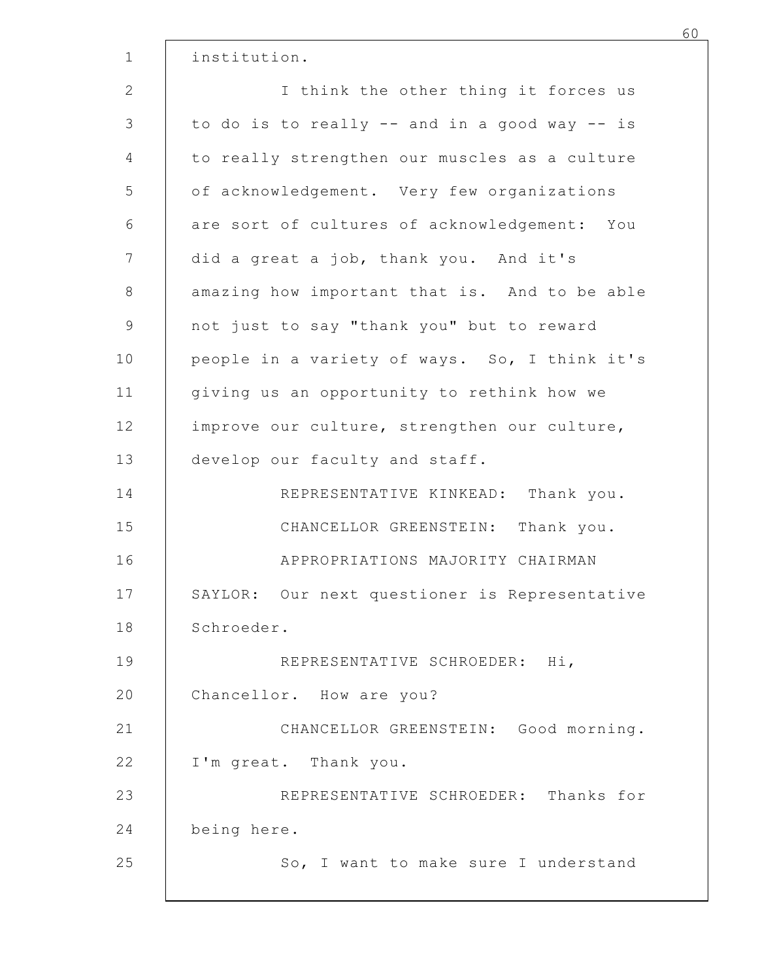| institution.                                  |  |
|-----------------------------------------------|--|
| I think the other thing it forces us          |  |
| to do is to really -- and in a good way -- is |  |
| to really strengthen our muscles as a culture |  |
| of acknowledgement. Very few organizations    |  |
| are sort of cultures of acknowledgement: You  |  |
| did a great a job, thank you. And it's        |  |
| amazing how important that is. And to be able |  |
| not just to say "thank you" but to reward     |  |
| people in a variety of ways. So, I think it's |  |
| giving us an opportunity to rethink how we    |  |
| improve our culture, strengthen our culture,  |  |
| develop our faculty and staff.                |  |
| REPRESENTATIVE KINKEAD: Thank you.            |  |
| CHANCELLOR GREENSTEIN: Thank you.             |  |
| APPROPRIATIONS MAJORITY CHAIRMAN              |  |
| SAYLOR: Our next questioner is Representative |  |
| Schroeder.                                    |  |
| REPRESENTATIVE SCHROEDER: Hi,                 |  |
| Chancellor. How are you?                      |  |
| CHANCELLOR GREENSTEIN: Good morning.          |  |
| I'm great. Thank you.                         |  |
| REPRESENTATIVE SCHROEDER: Thanks for          |  |
| being here.                                   |  |
| So, I want to make sure I understand          |  |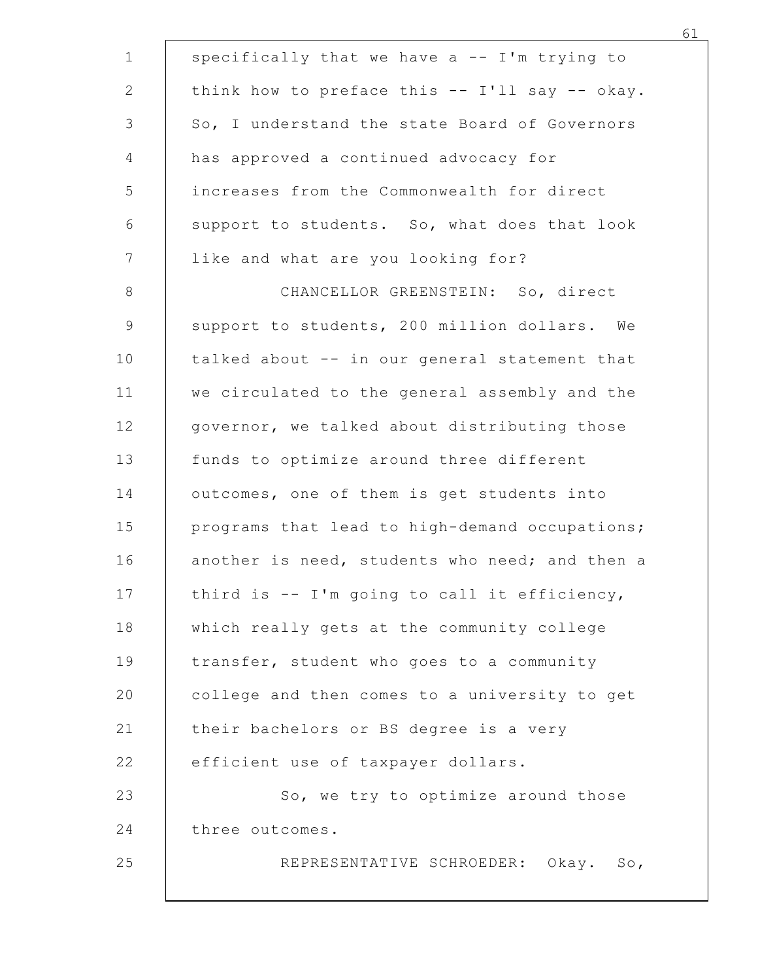|                 | specifically that we have a -- I'm trying to   |
|-----------------|------------------------------------------------|
|                 | think how to preface this -- I'll say -- okay. |
|                 | So, I understand the state Board of Governors  |
|                 | has approved a continued advocacy for          |
|                 | increases from the Commonwealth for direct     |
|                 | support to students. So, what does that look   |
|                 | like and what are you looking for?             |
|                 | CHANCELLOR GREENSTEIN: So, direct              |
|                 | support to students, 200 million dollars. We   |
|                 | talked about -- in our general statement that  |
|                 | we circulated to the general assembly and the  |
|                 | governor, we talked about distributing those   |
|                 | funds to optimize around three different       |
|                 | outcomes, one of them is get students into     |
|                 | programs that lead to high-demand occupations; |
|                 | another is need, students who need; and then a |
|                 | third is -- I'm going to call it efficiency,   |
|                 | which really gets at the community college     |
|                 | transfer, student who goes to a community      |
|                 | college and then comes to a university to get  |
|                 | their bachelors or BS degree is a very         |
|                 | efficient use of taxpayer dollars.             |
|                 | So, we try to optimize around those            |
| three outcomes. |                                                |
|                 | REPRESENTATIVE SCHROEDER: Okay. So,            |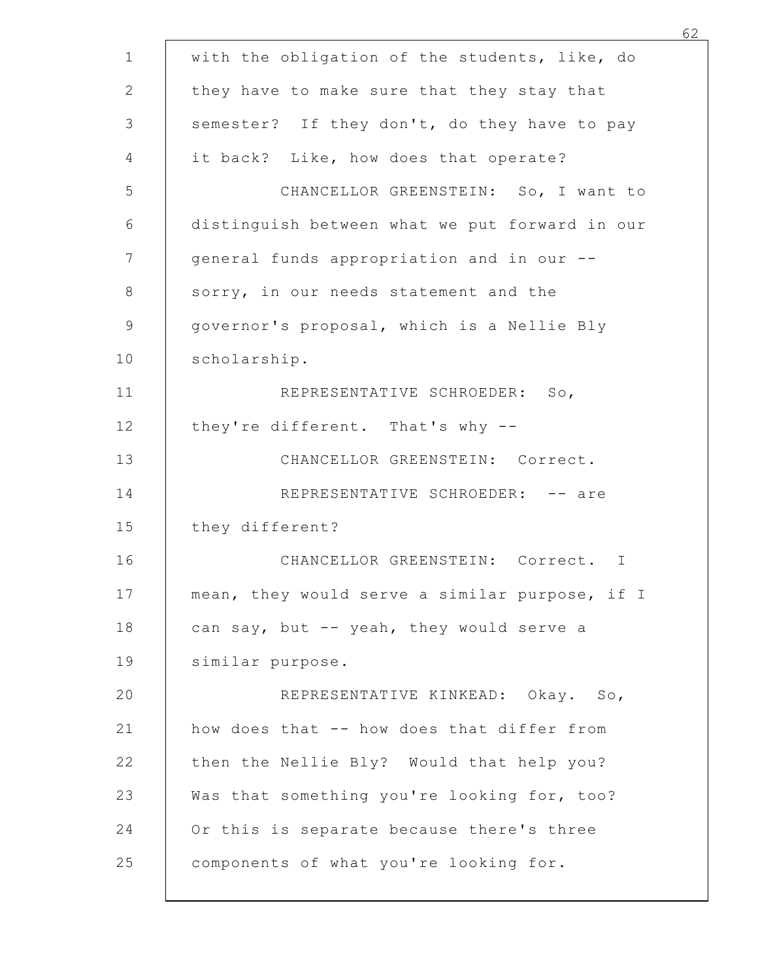| with the obligation of the students, like, do  |
|------------------------------------------------|
| they have to make sure that they stay that     |
| semester? If they don't, do they have to pay   |
| it back? Like, how does that operate?          |
| CHANCELLOR GREENSTEIN: So, I want to           |
| distinguish between what we put forward in our |
| general funds appropriation and in our --      |
| sorry, in our needs statement and the          |
| governor's proposal, which is a Nellie Bly     |
| scholarship.                                   |
| REPRESENTATIVE SCHROEDER: So,                  |
| they're different. That's why --               |
| CHANCELLOR GREENSTEIN: Correct.                |
| REPRESENTATIVE SCHROEDER: -- are               |
| they different?                                |
| CHANCELLOR GREENSTEIN: Correct. I              |
| mean, they would serve a similar purpose, if I |
| can say, but -- yeah, they would serve a       |
| similar purpose.                               |
| REPRESENTATIVE KINKEAD: Okay. So,              |
| how does that -- how does that differ from     |
| then the Nellie Bly? Would that help you?      |
| Was that something you're looking for, too?    |
| Or this is separate because there's three      |
| components of what you're looking for.         |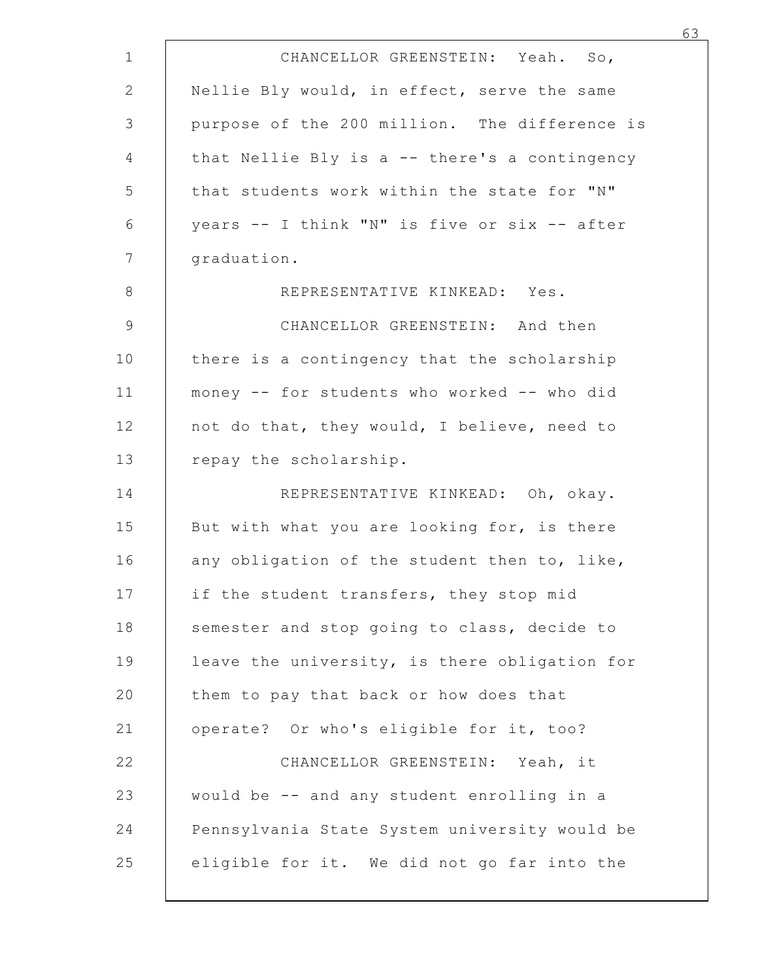| CHANCELLOR GREENSTEIN: Yeah. So,              |
|-----------------------------------------------|
| Nellie Bly would, in effect, serve the same   |
| purpose of the 200 million. The difference is |
| that Nellie Bly is a -- there's a contingency |
| that students work within the state for "N"   |
| years -- I think "N" is five or six -- after  |
| graduation.                                   |
| REPRESENTATIVE KINKEAD: Yes.                  |
| CHANCELLOR GREENSTEIN: And then               |
| there is a contingency that the scholarship   |
| money -- for students who worked -- who did   |
| not do that, they would, I believe, need to   |
| repay the scholarship.                        |
| REPRESENTATIVE KINKEAD: Oh, okay.             |
| But with what you are looking for, is there   |
| any obligation of the student then to, like,  |
| if the student transfers, they stop mid       |
| semester and stop going to class, decide to   |
| leave the university, is there obligation for |
| them to pay that back or how does that        |
| operate? Or who's eligible for it, too?       |
| CHANCELLOR GREENSTEIN: Yeah, it               |
| would be -- and any student enrolling in a    |
| Pennsylvania State System university would be |
| eligible for it. We did not go far into the   |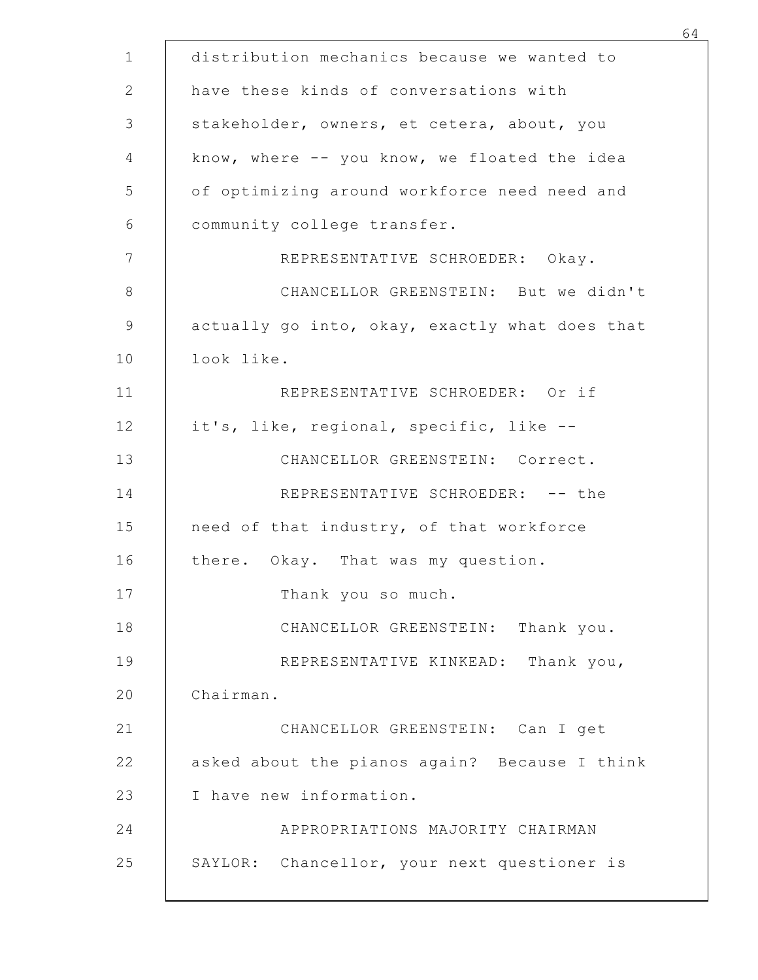|            | distribution mechanics because we wanted to    |
|------------|------------------------------------------------|
|            | have these kinds of conversations with         |
|            | stakeholder, owners, et cetera, about, you     |
|            | know, where -- you know, we floated the idea   |
|            | of optimizing around workforce need need and   |
|            | community college transfer.                    |
|            | REPRESENTATIVE SCHROEDER: Okay.                |
|            | CHANCELLOR GREENSTEIN: But we didn't           |
|            | actually go into, okay, exactly what does that |
| look like. |                                                |
|            | REPRESENTATIVE SCHROEDER: Or if                |
|            | it's, like, regional, specific, like --        |
|            | CHANCELLOR GREENSTEIN: Correct.                |
|            | REPRESENTATIVE SCHROEDER: -- the               |
|            | need of that industry, of that workforce       |
|            | there. Okay. That was my question.             |
|            | Thank you so much.                             |
|            | CHANCELLOR GREENSTEIN: Thank you.              |
|            | REPRESENTATIVE KINKEAD: Thank you,             |
| Chairman.  |                                                |
|            | CHANCELLOR GREENSTEIN: Can I get               |
|            | asked about the pianos again? Because I think  |
|            | I have new information.                        |
|            | APPROPRIATIONS MAJORITY CHAIRMAN               |
|            | SAYLOR: Chancellor, your next questioner is    |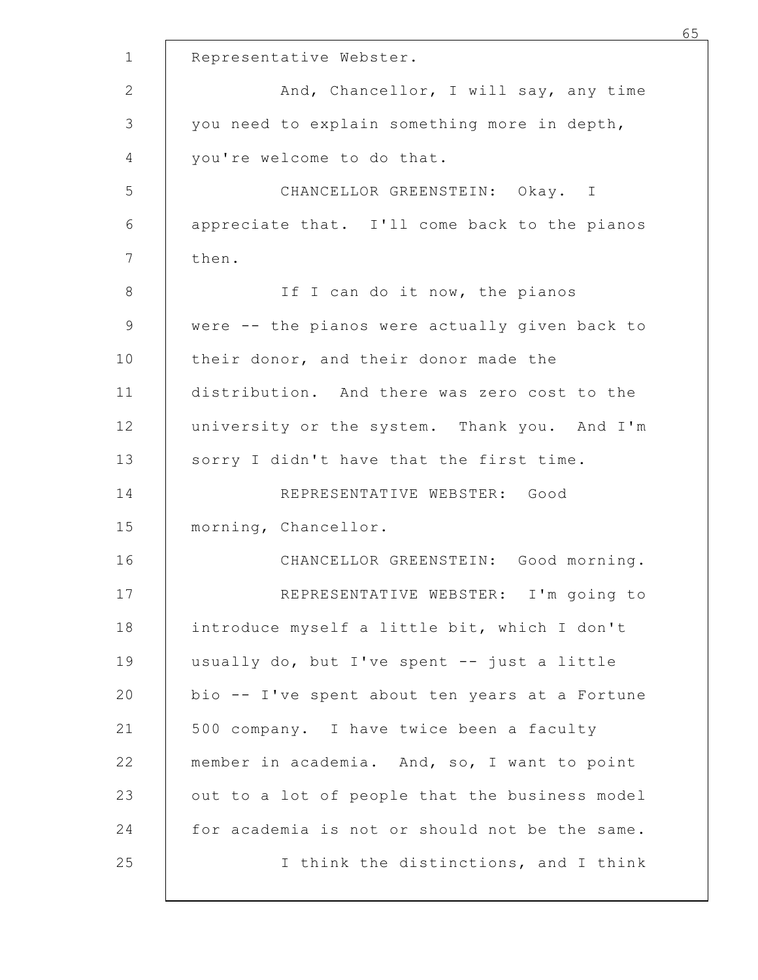|                                                | 65 |
|------------------------------------------------|----|
| Representative Webster.                        |    |
| And, Chancellor, I will say, any time          |    |
| you need to explain something more in depth,   |    |
| you're welcome to do that.                     |    |
| CHANCELLOR GREENSTEIN: Okay. I                 |    |
| appreciate that. I'll come back to the pianos  |    |
| then.                                          |    |
| If I can do it now, the pianos                 |    |
| were -- the pianos were actually given back to |    |
| their donor, and their donor made the          |    |
| distribution. And there was zero cost to the   |    |
| university or the system. Thank you. And I'm   |    |
| sorry I didn't have that the first time.       |    |
| REPRESENTATIVE WEBSTER: Good                   |    |
| morning, Chancellor.                           |    |
| CHANCELLOR GREENSTEIN: Good morning.           |    |
| REPRESENTATIVE WEBSTER: I'm going to           |    |
| introduce myself a little bit, which I don't   |    |
| usually do, but I've spent -- just a little    |    |
| bio -- I've spent about ten years at a Fortune |    |
| 500 company. I have twice been a faculty       |    |
| member in academia. And, so, I want to point   |    |
| out to a lot of people that the business model |    |
| for academia is not or should not be the same. |    |
| I think the distinctions, and I think          |    |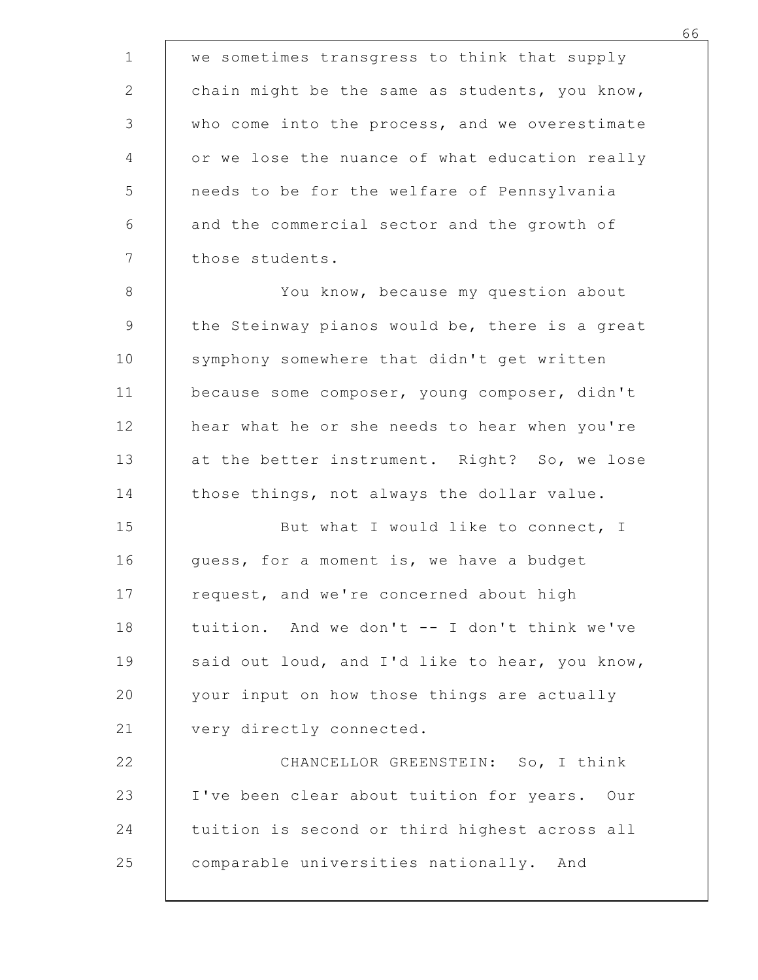we sometimes transgress to think that supply<br>
2 chain might be the same as students, you know,<br>
3 who come into the process, and we overestimate<br>
4 or we lose the nuance of what education really <sup>66</sup><br>
2 chain might be the same as students, you know,<br>
3 who come into the process, and we overestimate<br>
or we lose the nuance of what education really<br>
5 needs to be for the welfare of Pennsylvania <sup>66</sup><br>
3 who come into the same as students, you know,<br>
3 who come into the process, and we overestimate<br>
9 or we lose the nuance of what education really<br>
1 needs to be for the welfare of Pennsylvania<br>
6 and the commercial <sup>66</sup><br>
2 ohain might be the same as students, you know,<br>
3 who come into the process, and we overestimate<br>
or we lose the nuance of what education really<br>
needs to be for the welfare of Pennsylvania<br>
4 needs to be for the w We sometimes transgress to think that supply<br>chain might be the same as students, you know,<br>who come into the process, and we overestimate<br>or we lose the nuance of what education really<br>needs to be for the welfare of Penns 6 6<br>
We sometimes transgress to think that supply<br>
chain might be the same as students, you know,<br>
who come into the process, and we overestimate<br>
or we lose the nuance of what education really<br>
needs to be for the welfare we sometimes transgress to think that sup<br>chain might be the same as students, you<br>who come into the process, and we overest<br>or we lose the nuance of what education r<br>needs to be for the welfare of Pennsylvan<br>and the comme 66<br>
8 You know, the same as students, you know,<br>
8 You know, who come into the process, and we overestimate<br>
9 To we lose the nuance of what education really<br>
16 To we lose the nuance of what education really<br>
16 Those stu we sometimes transgress to think that supply<br>
chain might be the same as students, you know,<br>
3 who come into the process, and we overestimate<br>
or we lose the nuance of what education really<br>
needs to be for the welfare of chain might be the same as students, you know,<br>
who come into the process, and we overestimate<br>
or we lose the nuance of what education really<br>
needs to be for the welfare of Pennsylvania<br>
and the commercial sector and the who come into the process, and we overestimate<br>
or we lose the nuance of what education really<br>
needs to be for the welfare of Pennsylvania<br>
and the commercial sector and the growth of<br>
those students.<br>
You know, because m 9 heart of the muance of what education really<br>
12 heeds to be for the welfare of Pennsylvania<br>
16 and the commercial sector and the growth of<br>
17 those students.<br>
18 You know, because my question about<br>
19 the Steinway pi 13 and the commercial sector and the growth of<br>
13 and the commercial sector and the growth of<br>
13 cou know, because my question about<br>
19 the Steinway pianos would be, there is a great<br>
10 symphony somewhere that didn't g and the commercial sector and the growth of<br>
those students.<br>
8 to know, because my question about<br>
9 the Steinway pianos would be, there is a great<br>
symphony somewhere that didn't get written<br>
10 because some composer, yo those students.<br>
8 You know, because my question about<br>
9 the Steinway pianos would be, there is a great<br>
9 symphony somewhere that didn't get written<br>
10 because some composer, young composer, didn't<br>
12 hear what he or s The Steinway pianos would be, there is a great<br>
10 the Steinway pianos would be, there is a great<br>
symphony somewhere that didn't get written<br>
11 because some composer, young composer, didn't<br>
hear what he or she needs to the Steinway pianos would be, there is a great<br>symphony somewhere that didn't get written<br>11 because some composer, young composer, didn't<br>12 hear what he or she needs to hear when you're<br>at the better instrument. Right? S symphony somewhere that didn't get written<br>
11 because some composer, young composer, didn't<br>
hear what he or she needs to hear when you're<br>
12 at the better instrument. Right? So, we lose<br>
those things, not always the dol because some composer, young composer, didn't<br>
hear what he or she needs to hear when you're<br>
at the better instrument. Right? So, we lose<br>
those things, not always the dollar value.<br>
But what I would like to connect, I<br>
g hear what he or she needs to hear when you're<br>
20 at the better instrument. Right? So, we lose<br>
those things, not always the dollar value.<br>
20 But what I would like to connect, I<br>
20 But what I would like to connect, I<br>
20 at the better instrument. Right? So, we lose<br>those things, not always the dollar value.<br>But what I would like to connect, I<br>guess, for a moment is, we have a budget<br>request, and we're concerned about high<br>tuition. And we d 23 the settings, not always the dollar value.<br>
22 connect, 1<br>
22 connect, and we're concerned about high<br>
22 connect and we're concerned about high<br>
22 connected.<br>
22 connected.<br>
22 connected.<br>
23 connected.<br>
23 comparable But what I would like to connect, I<br>
guess, for a moment is, we have a budget<br>
request, and we're concerned about high<br>
tuition. And we don't -- I don't think we've<br>
said out loud, and I'd like to hear, you know,<br>
your inp quess, for a moment is, we have a budget<br>
request, and we're concerned about high<br>
tuition. And we don't -- I don't think we've<br>
said out loud, and I'd like to hear, you know,<br>
your input on how those things are actually<br> request, and we're concerned about high<br>tuition. And we don't -- I don't think we've<br>said out loud, and I'd like to hear, you know,<br>your input on how those things are actually<br>very directly connected.<br>CHANCELLOR GREENSTEIN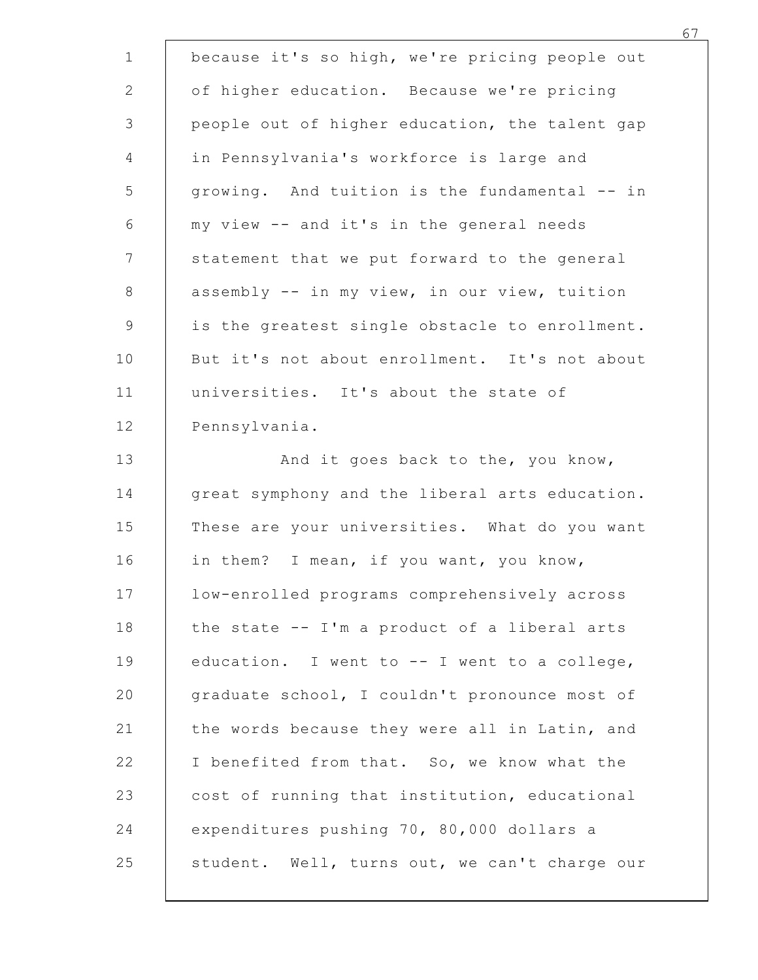| because it's so high, we're pricing people out                                               |
|----------------------------------------------------------------------------------------------|
| of higher education. Because we're pricing                                                   |
| people out of higher education, the talent gap                                               |
| in Pennsylvania's workforce is large and                                                     |
| growing. And tuition is the fundamental -- in                                                |
| my view -- and it's in the general needs                                                     |
| statement that we put forward to the general<br>assembly -- in my view, in our view, tuition |
| is the greatest single obstacle to enrollment.                                               |
| But it's not about enrollment. It's not about                                                |
| universities. It's about the state of                                                        |
| Pennsylvania.                                                                                |
| And it goes back to the, you know,                                                           |
| great symphony and the liberal arts education.                                               |
| These are your universities. What do you want                                                |
| in them? I mean, if you want, you know,                                                      |
| low-enrolled programs comprehensively across                                                 |
| the state -- I'm a product of a liberal arts                                                 |
| education. I went to -- I went to a college,                                                 |
| graduate school, I couldn't pronounce most of                                                |
| the words because they were all in Latin, and                                                |
| I benefited from that. So, we know what the                                                  |
| cost of running that institution, educational                                                |
| expenditures pushing 70, 80,000 dollars a                                                    |
| student. Well, turns out, we can't charge our                                                |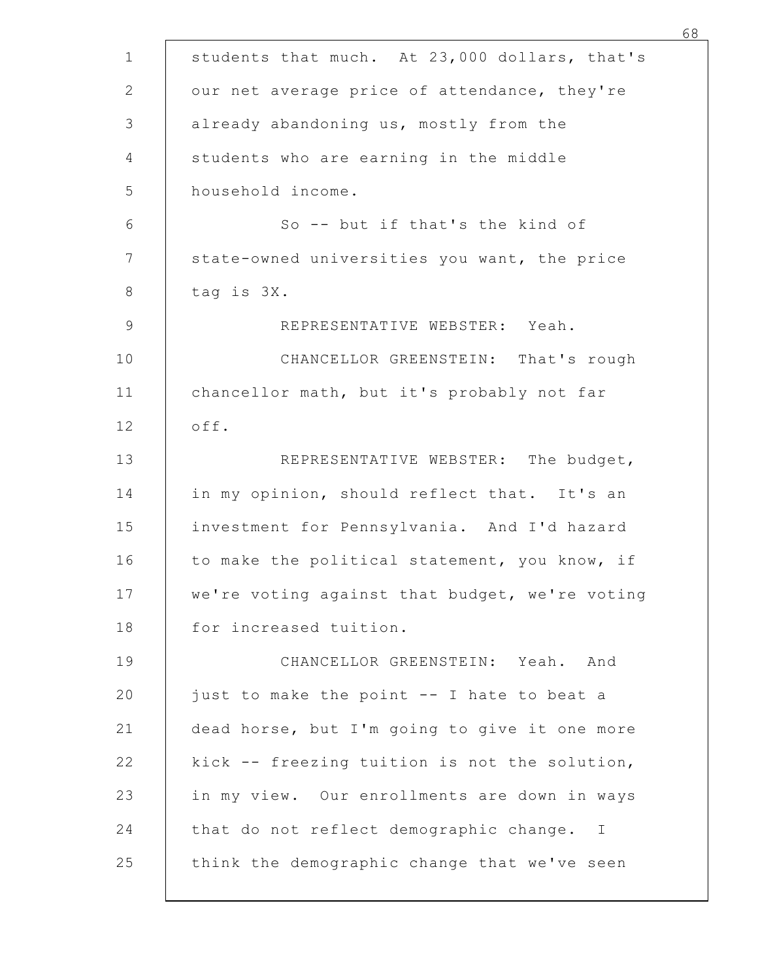| students that much. At 23,000 dollars, that's  |
|------------------------------------------------|
| our net average price of attendance, they're   |
| already abandoning us, mostly from the         |
| students who are earning in the middle         |
| household income.                              |
| So -- but if that's the kind of                |
| state-owned universities you want, the price   |
| tag is 3X.                                     |
| REPRESENTATIVE WEBSTER: Yeah.                  |
| CHANCELLOR GREENSTEIN: That's rough            |
| chancellor math, but it's probably not far     |
| off.                                           |
| REPRESENTATIVE WEBSTER: The budget,            |
| in my opinion, should reflect that. It's an    |
| investment for Pennsylvania. And I'd hazard    |
| to make the political statement, you know, if  |
| we're voting against that budget, we're voting |
| for increased tuition.                         |
| CHANCELLOR GREENSTEIN: Yeah. And               |
| just to make the point -- I hate to beat a     |
| dead horse, but I'm going to give it one more  |
| kick -- freezing tuition is not the solution,  |
| in my view. Our enrollments are down in ways   |
| that do not reflect demographic change. I      |
| think the demographic change that we've seen   |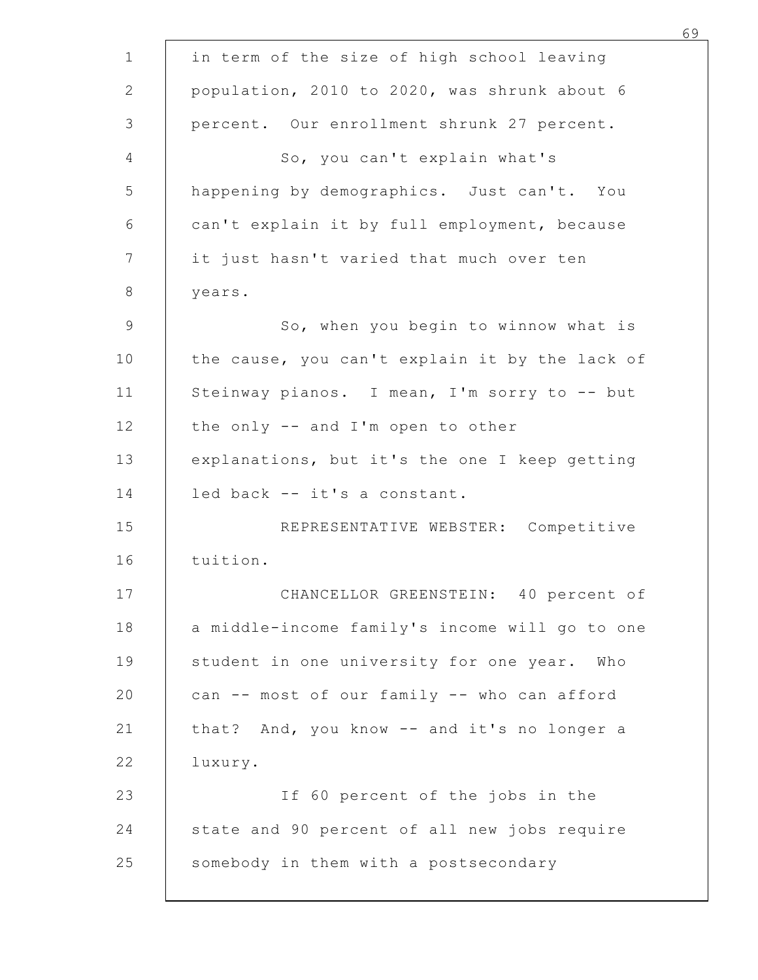| in term of the size of high school leaving     |  |
|------------------------------------------------|--|
| population, 2010 to 2020, was shrunk about 6   |  |
| percent. Our enrollment shrunk 27 percent.     |  |
| So, you can't explain what's                   |  |
| happening by demographics. Just can't. You     |  |
| can't explain it by full employment, because   |  |
| it just hasn't varied that much over ten       |  |
| years.                                         |  |
| So, when you begin to winnow what is           |  |
| the cause, you can't explain it by the lack of |  |
| Steinway pianos. I mean, I'm sorry to -- but   |  |
| the only -- and I'm open to other              |  |
| explanations, but it's the one I keep getting  |  |
| led back -- it's a constant.                   |  |
| REPRESENTATIVE WEBSTER: Competitive            |  |
| tuition.                                       |  |
| CHANCELLOR GREENSTEIN: 40 percent of           |  |
| a middle-income family's income will go to one |  |
| student in one university for one year. Who    |  |
| can -- most of our family -- who can afford    |  |
| that? And, you know -- and it's no longer a    |  |
| luxury.                                        |  |
| If 60 percent of the jobs in the               |  |
| state and 90 percent of all new jobs require   |  |
| somebody in them with a postsecondary          |  |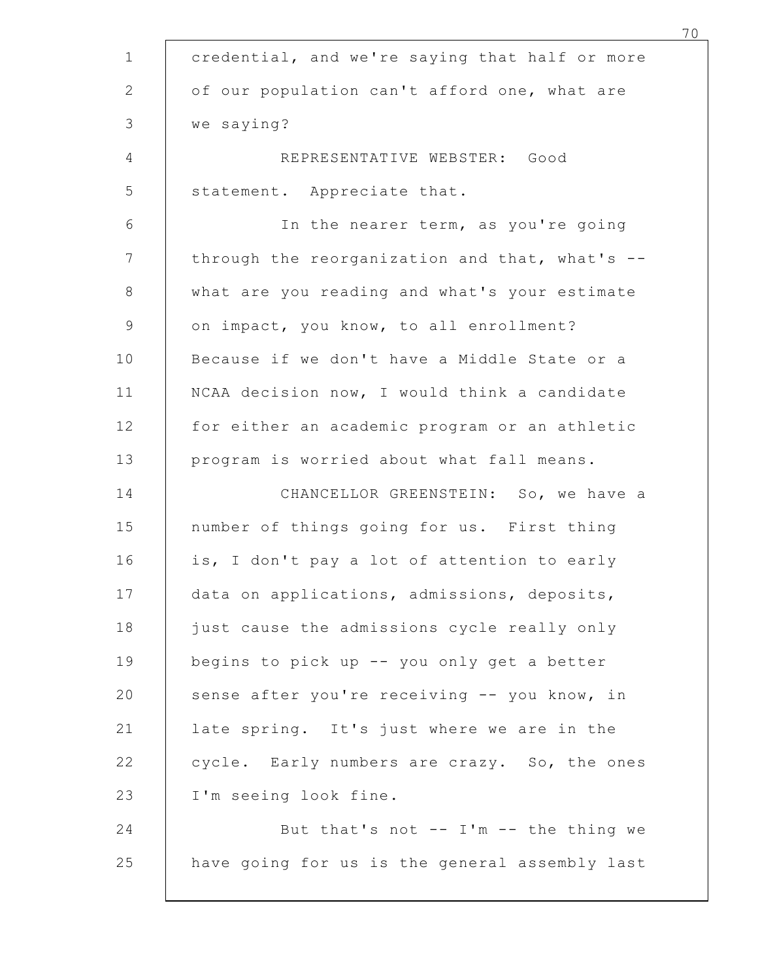| credential, and we're saying that half or more |
|------------------------------------------------|
| of our population can't afford one, what are   |
| we saying?                                     |
| REPRESENTATIVE WEBSTER: Good                   |
| statement. Appreciate that.                    |
| In the nearer term, as you're going            |
| through the reorganization and that, what's -- |
| what are you reading and what's your estimate  |
| on impact, you know, to all enrollment?        |
| Because if we don't have a Middle State or a   |
| NCAA decision now, I would think a candidate   |
| for either an academic program or an athletic  |
| program is worried about what fall means.      |
| CHANCELLOR GREENSTEIN: So, we have a           |
| number of things going for us. First thing     |
| is, I don't pay a lot of attention to early    |
| data on applications, admissions, deposits,    |
| just cause the admissions cycle really only    |
| begins to pick up -- you only get a better     |
| sense after you're receiving -- you know, in   |
| late spring. It's just where we are in the     |
| cycle. Early numbers are crazy. So, the ones   |
| I'm seeing look fine.                          |
| But that's not -- I'm -- the thing we          |
| have going for us is the general assembly last |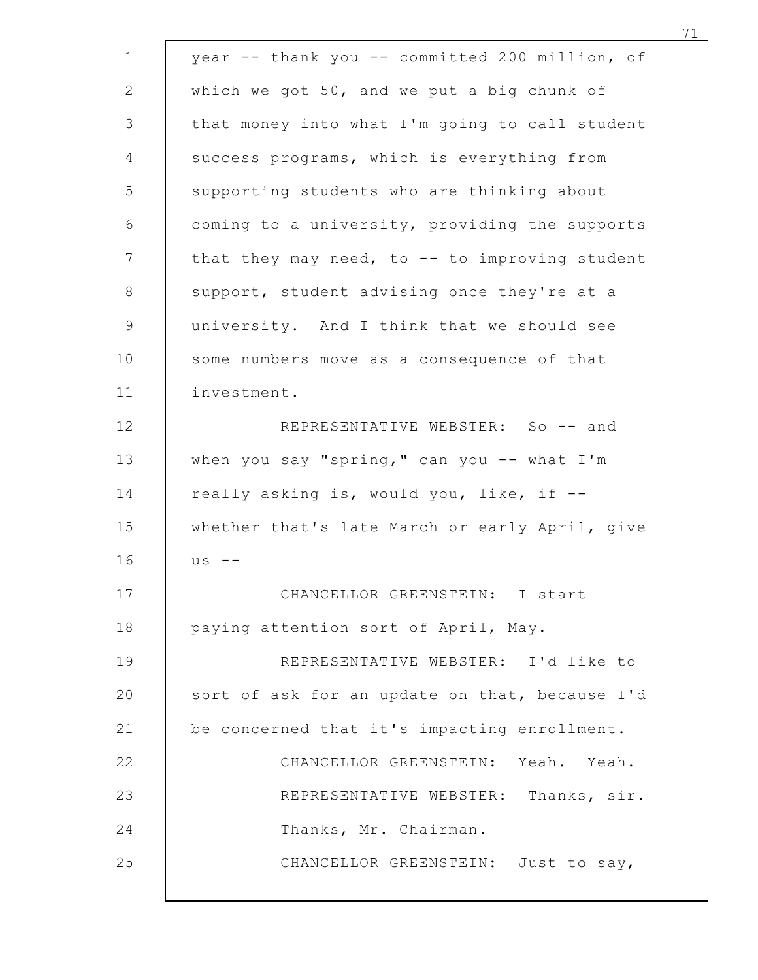|             | year -- thank you -- committed 200 million, of |
|-------------|------------------------------------------------|
|             | which we got 50, and we put a big chunk of     |
|             | that money into what I'm going to call student |
|             | success programs, which is everything from     |
|             | supporting students who are thinking about     |
|             | coming to a university, providing the supports |
|             | that they may need, to -- to improving student |
|             | support, student advising once they're at a    |
|             | university. And I think that we should see     |
|             | some numbers move as a consequence of that     |
| investment. |                                                |
|             | REPRESENTATIVE WEBSTER: So -- and              |
|             | when you say "spring," can you -- what I'm     |
|             | really asking is, would you, like, if --       |
|             | whether that's late March or early April, give |
| $US$ --     |                                                |
|             | CHANCELLOR GREENSTEIN: I start                 |
|             | paying attention sort of April, May.           |
|             | REPRESENTATIVE WEBSTER: I'd like to            |
|             | sort of ask for an update on that, because I'd |
|             | be concerned that it's impacting enrollment.   |
|             | CHANCELLOR GREENSTEIN: Yeah. Yeah.             |
|             | REPRESENTATIVE WEBSTER: Thanks, sir.           |
|             | Thanks, Mr. Chairman.                          |
|             | CHANCELLOR GREENSTEIN: Just to say,            |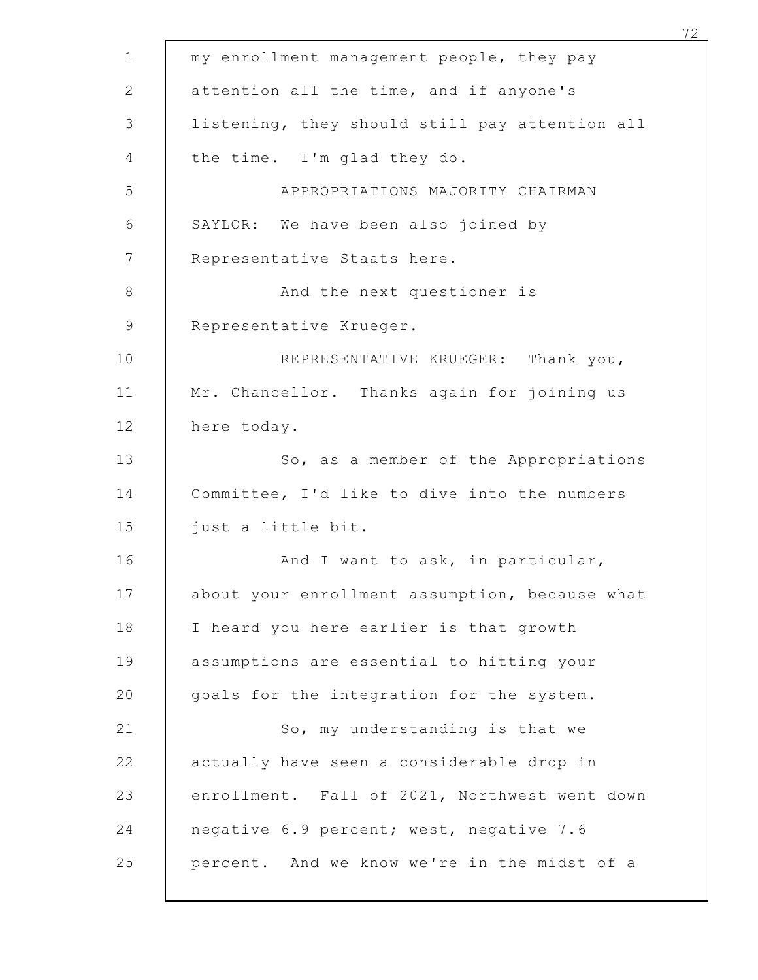| my enrollment management people, they pay      |
|------------------------------------------------|
| attention all the time, and if anyone's        |
| listening, they should still pay attention all |
| the time. I'm glad they do.                    |
| APPROPRIATIONS MAJORITY CHAIRMAN               |
| SAYLOR: We have been also joined by            |
| Representative Staats here.                    |
| And the next questioner is                     |
| Representative Krueger.                        |
| REPRESENTATIVE KRUEGER: Thank you,             |
| Mr. Chancellor. Thanks again for joining us    |
| here today.                                    |
| So, as a member of the Appropriations          |
| Committee, I'd like to dive into the numbers   |
| just a little bit.                             |
| And I want to ask, in particular,              |
| about your enrollment assumption, because what |
| I heard you here earlier is that growth        |
| assumptions are essential to hitting your      |
| goals for the integration for the system.      |
| So, my understanding is that we                |
| actually have seen a considerable drop in      |
| enrollment. Fall of 2021, Northwest went down  |
| negative 6.9 percent; west, negative 7.6       |
| percent. And we know we're in the midst of a   |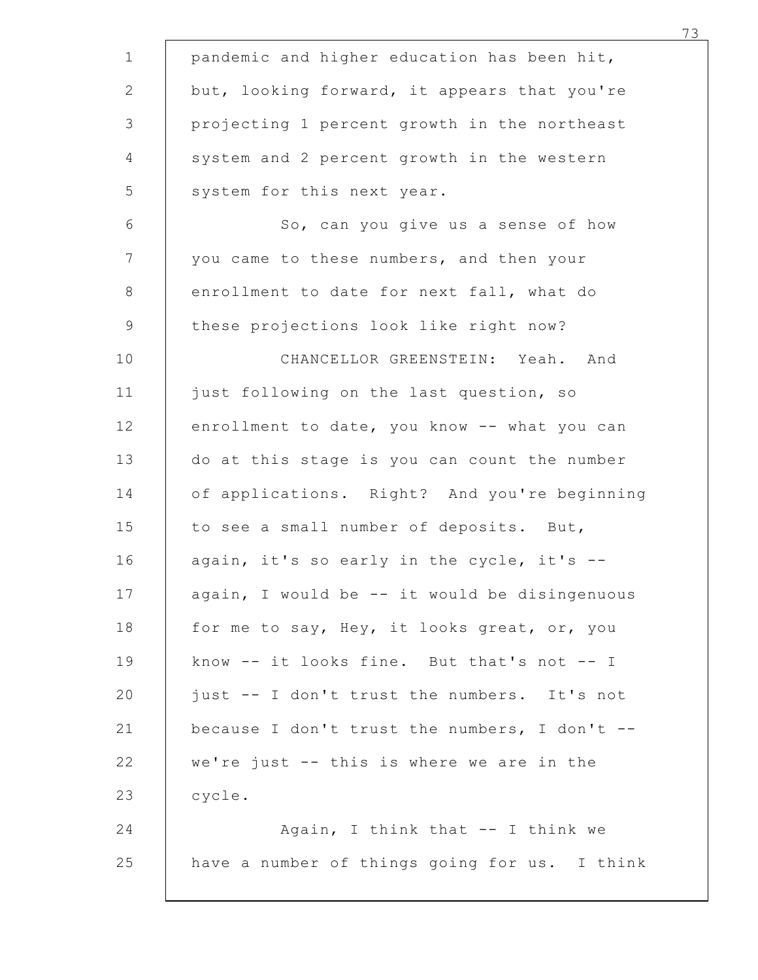| pandemic and higher education has been hit,   |
|-----------------------------------------------|
| but, looking forward, it appears that you're  |
| projecting 1 percent growth in the northeast  |
| system and 2 percent growth in the western    |
| system for this next year.                    |
| So, can you give us a sense of how            |
| you came to these numbers, and then your      |
| enrollment to date for next fall, what do     |
| these projections look like right now?        |
| CHANCELLOR GREENSTEIN: Yeah. And              |
| just following on the last question, so       |
| enrollment to date, you know -- what you can  |
| do at this stage is you can count the number  |
| of applications. Right? And you're beginning  |
| to see a small number of deposits. But,       |
| again, it's so early in the cycle, it's --    |
| again, I would be -- it would be disingenuous |
| for me to say, Hey, it looks great, or, you   |
| know -- it looks fine. But that's not -- I    |
| just -- I don't trust the numbers. It's not   |
| because I don't trust the numbers, I don't -- |
| we're just -- this is where we are in the     |
| cycle.                                        |
| Again, I think that -- I think we             |
| have a number of things going for us. I think |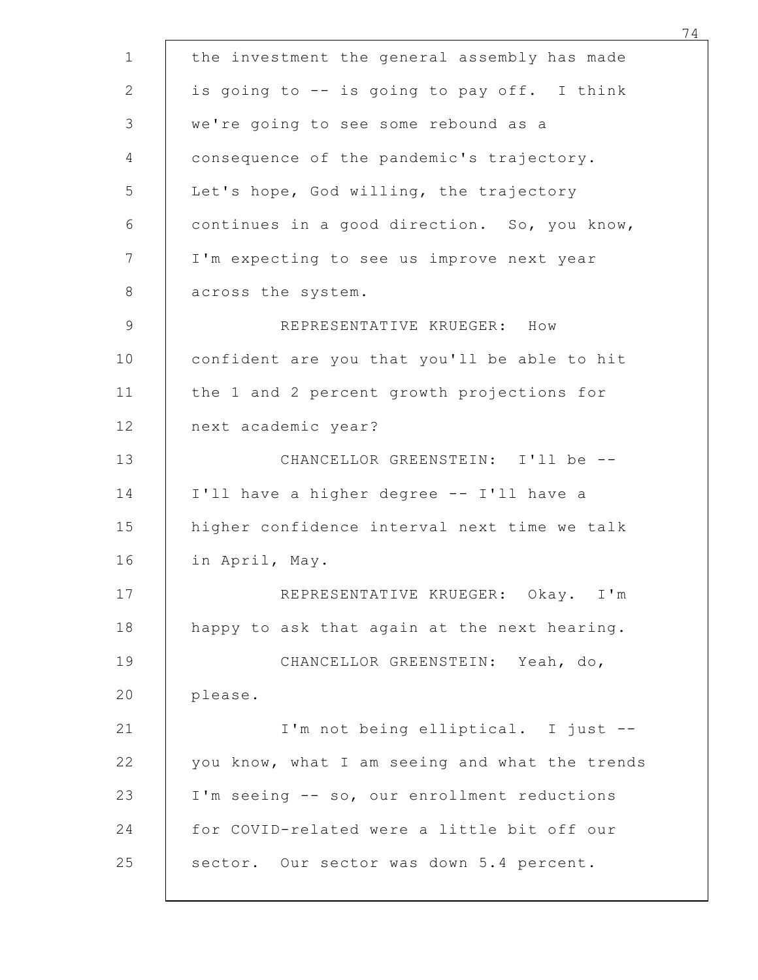|                                                                                             | 74 |
|---------------------------------------------------------------------------------------------|----|
| the investment the general assembly has made<br>is going to -- is going to pay off. I think |    |
| we're going to see some rebound as a                                                        |    |
| consequence of the pandemic's trajectory.                                                   |    |
| Let's hope, God willing, the trajectory                                                     |    |
| continues in a good direction. So, you know,                                                |    |
| I'm expecting to see us improve next year                                                   |    |
| across the system.                                                                          |    |
| REPRESENTATIVE KRUEGER: How                                                                 |    |
| confident are you that you'll be able to hit                                                |    |
| the 1 and 2 percent growth projections for                                                  |    |
| next academic year?                                                                         |    |
| CHANCELLOR GREENSTEIN: I'll be --                                                           |    |
| I'll have a higher degree -- I'll have a                                                    |    |
| higher confidence interval next time we talk                                                |    |
| in April, May.                                                                              |    |
| REPRESENTATIVE KRUEGER: Okay. I'm                                                           |    |
| happy to ask that again at the next hearing.                                                |    |
| CHANCELLOR GREENSTEIN: Yeah, do,                                                            |    |
| please.                                                                                     |    |
| I'm not being elliptical. I just --                                                         |    |
| you know, what I am seeing and what the trends                                              |    |
| I'm seeing -- so, our enrollment reductions                                                 |    |
| for COVID-related were a little bit off our                                                 |    |
| sector. Our sector was down 5.4 percent.                                                    |    |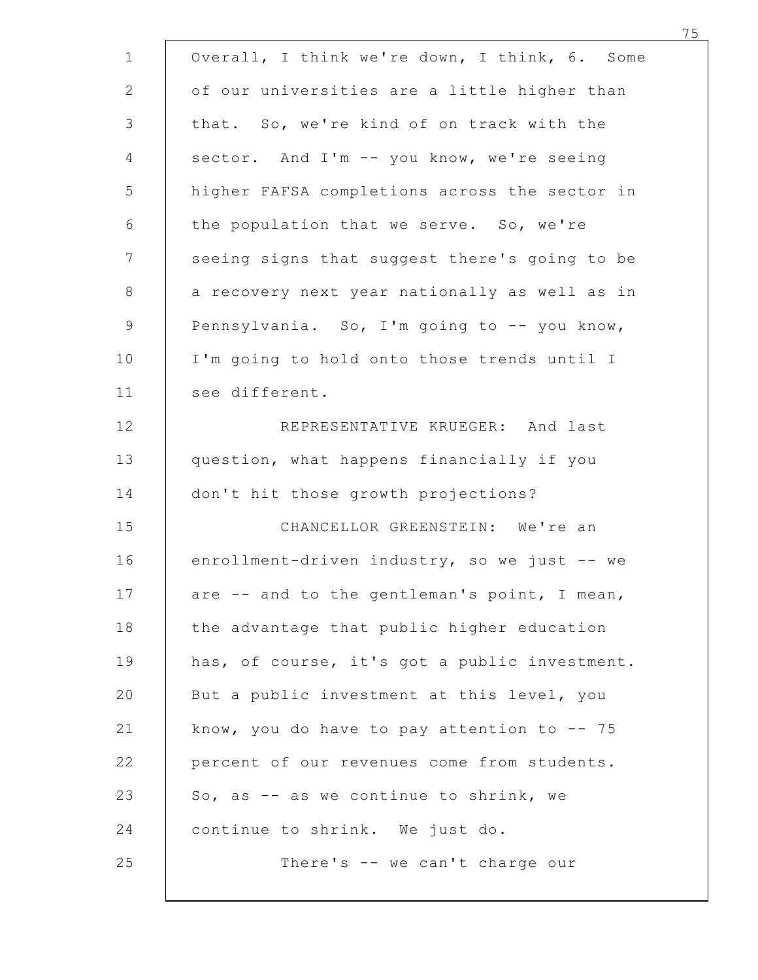| Overall, I think we're down, I think, 6. Some  |                                               |
|------------------------------------------------|-----------------------------------------------|
| of our universities are a little higher than   |                                               |
| that. So, we're kind of on track with the      |                                               |
| sector. And I'm -- you know, we're seeing      |                                               |
|                                                | higher FAFSA completions across the sector in |
| the population that we serve. So, we're        |                                               |
|                                                | seeing signs that suggest there's going to be |
|                                                | a recovery next year nationally as well as in |
| Pennsylvania. So, I'm going to -- you know,    |                                               |
| I'm going to hold onto those trends until I    |                                               |
| see different.                                 |                                               |
|                                                | REPRESENTATIVE KRUEGER: And last              |
| question, what happens financially if you      |                                               |
| don't hit those growth projections?            |                                               |
|                                                | CHANCELLOR GREENSTEIN: We're an               |
| enrollment-driven industry, so we just -- we   |                                               |
| are -- and to the gentleman's point, I mean,   |                                               |
| the advantage that public higher education     |                                               |
|                                                | has, of course, it's got a public investment. |
| But a public investment at this level, you     |                                               |
| know, you do have to pay attention to $-$ - 75 |                                               |
| percent of our revenues come from students.    |                                               |
| So, as -- as we continue to shrink, we         |                                               |
| continue to shrink. We just do.                |                                               |
|                                                | There's -- we can't charge our                |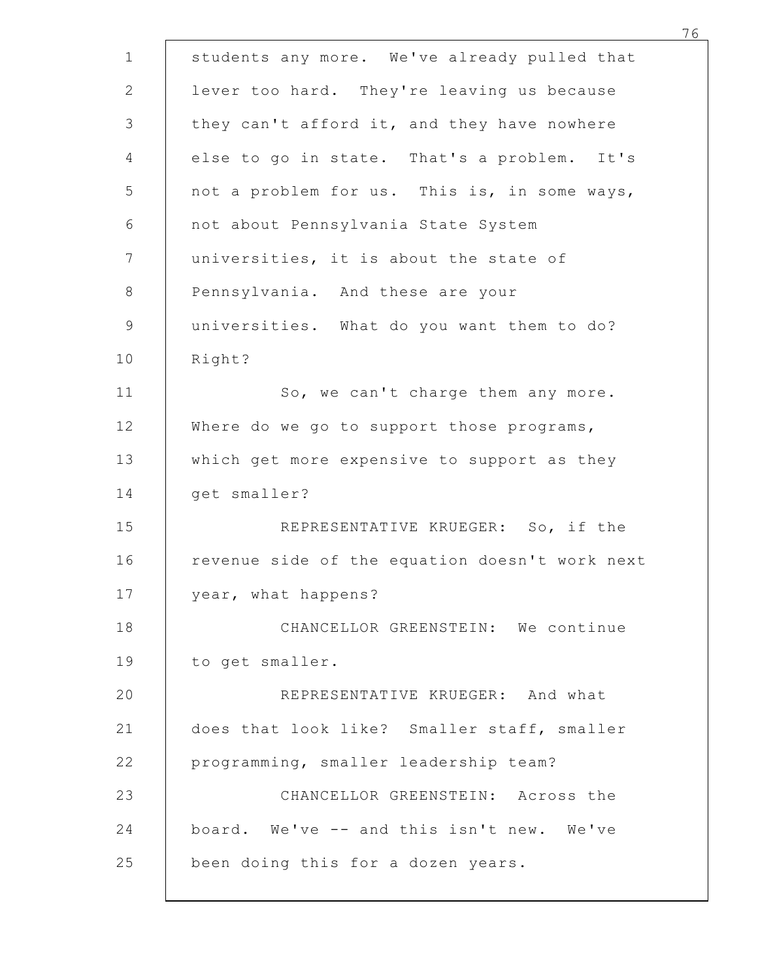| students any more. We've already pulled that   |
|------------------------------------------------|
| lever too hard. They're leaving us because     |
| they can't afford it, and they have nowhere    |
| else to go in state. That's a problem. It's    |
| not a problem for us. This is, in some ways,   |
| not about Pennsylvania State System            |
| universities, it is about the state of         |
| Pennsylvania. And these are your               |
| universities. What do you want them to do?     |
| Right?                                         |
| So, we can't charge them any more.             |
| Where do we go to support those programs,      |
| which get more expensive to support as they    |
| get smaller?                                   |
| REPRESENTATIVE KRUEGER: So, if the             |
| revenue side of the equation doesn't work next |
| year, what happens?                            |
| CHANCELLOR GREENSTEIN: We continue             |
| to get smaller.                                |
| REPRESENTATIVE KRUEGER: And what               |
| does that look like? Smaller staff, smaller    |
| programming, smaller leadership team?          |
| CHANCELLOR GREENSTEIN: Across the              |
| board. We've -- and this isn't new. We've      |
| been doing this for a dozen years.             |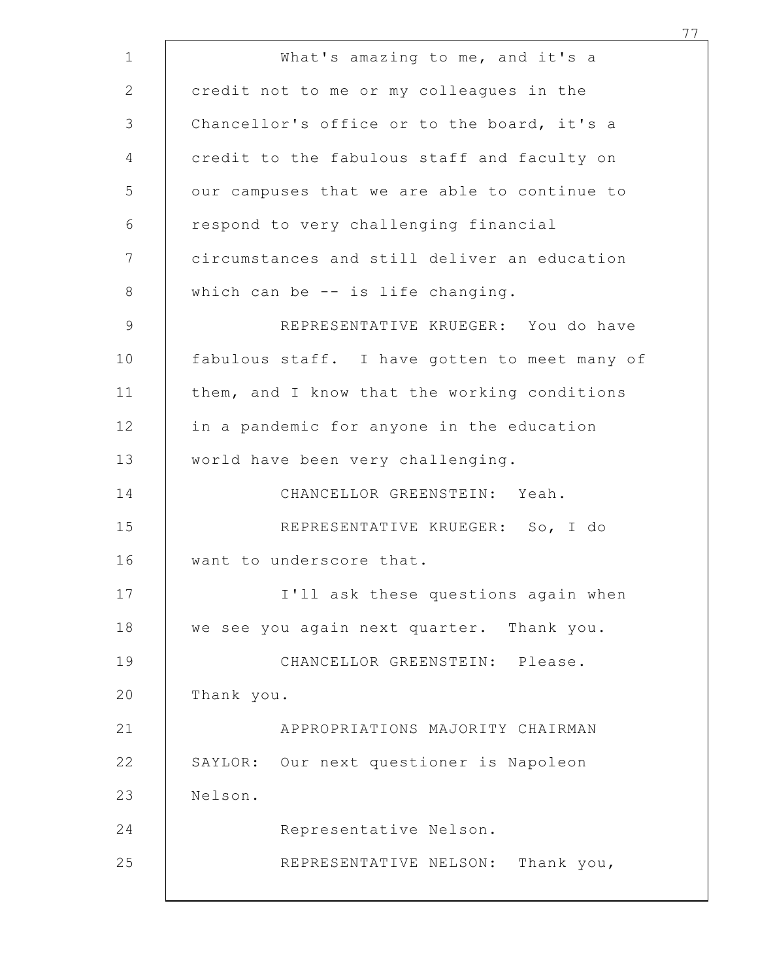|            |                                                                                         | 77 |
|------------|-----------------------------------------------------------------------------------------|----|
|            | What's amazing to me, and it's a                                                        |    |
|            | credit not to me or my colleagues in the<br>Chancellor's office or to the board, it's a |    |
|            | credit to the fabulous staff and faculty on                                             |    |
|            | our campuses that we are able to continue to                                            |    |
|            | respond to very challenging financial                                                   |    |
|            | circumstances and still deliver an education                                            |    |
|            | which can be -- is life changing.                                                       |    |
|            | REPRESENTATIVE KRUEGER: You do have                                                     |    |
|            | fabulous staff. I have gotten to meet many of                                           |    |
|            | them, and I know that the working conditions                                            |    |
|            | in a pandemic for anyone in the education                                               |    |
|            | world have been very challenging.                                                       |    |
|            | CHANCELLOR GREENSTEIN: Yeah.                                                            |    |
|            | REPRESENTATIVE KRUEGER: So, I do                                                        |    |
|            | want to underscore that.                                                                |    |
|            | I'll ask these questions again when                                                     |    |
|            | we see you again next quarter. Thank you.                                               |    |
|            | CHANCELLOR GREENSTEIN: Please.                                                          |    |
| Thank you. |                                                                                         |    |
|            | APPROPRIATIONS MAJORITY CHAIRMAN                                                        |    |
|            | SAYLOR: Our next questioner is Napoleon                                                 |    |
| Nelson.    |                                                                                         |    |
|            | Representative Nelson.                                                                  |    |
|            | REPRESENTATIVE NELSON: Thank you,                                                       |    |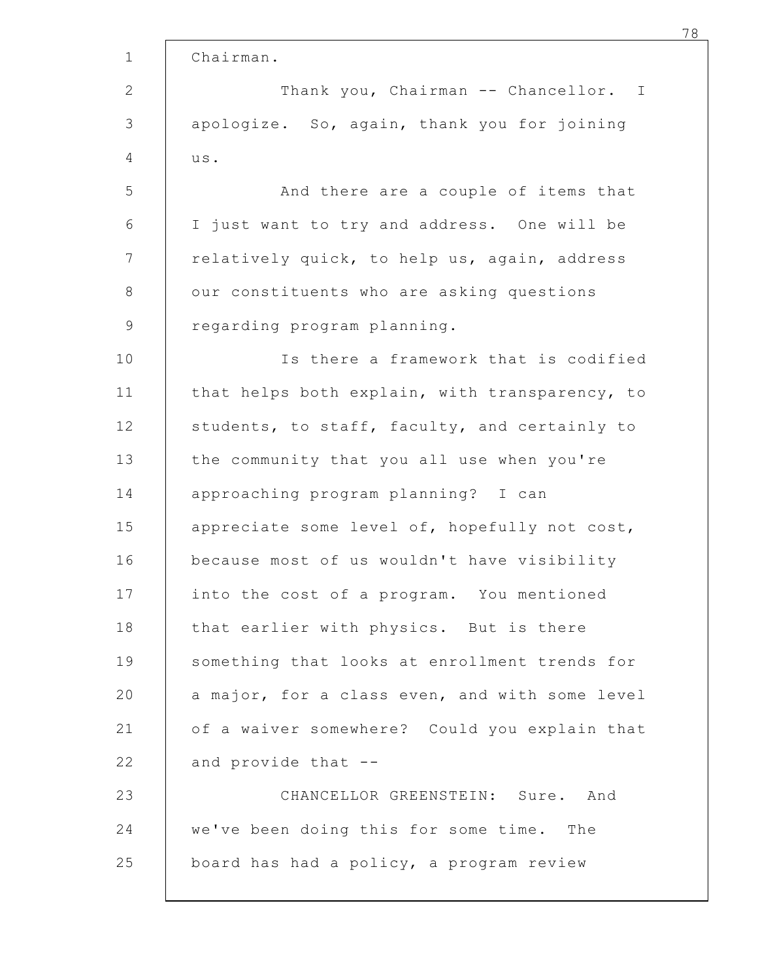| Chairman.                                      |
|------------------------------------------------|
| Thank you, Chairman -- Chancellor. I           |
| apologize. So, again, thank you for joining    |
| us.                                            |
| And there are a couple of items that           |
| I just want to try and address. One will be    |
| relatively quick, to help us, again, address   |
| our constituents who are asking questions      |
| regarding program planning.                    |
| Is there a framework that is codified          |
| that helps both explain, with transparency, to |
| students, to staff, faculty, and certainly to  |
| the community that you all use when you're     |
| approaching program planning? I can            |
| appreciate some level of, hopefully not cost,  |
| because most of us wouldn't have visibility    |
| into the cost of a program. You mentioned      |
| that earlier with physics. But is there        |
| something that looks at enrollment trends for  |
| a major, for a class even, and with some level |
| of a waiver somewhere? Could you explain that  |
| and provide that --                            |
| CHANCELLOR GREENSTEIN: Sure. And               |
| we've been doing this for some time. The       |
| board has had a policy, a program review       |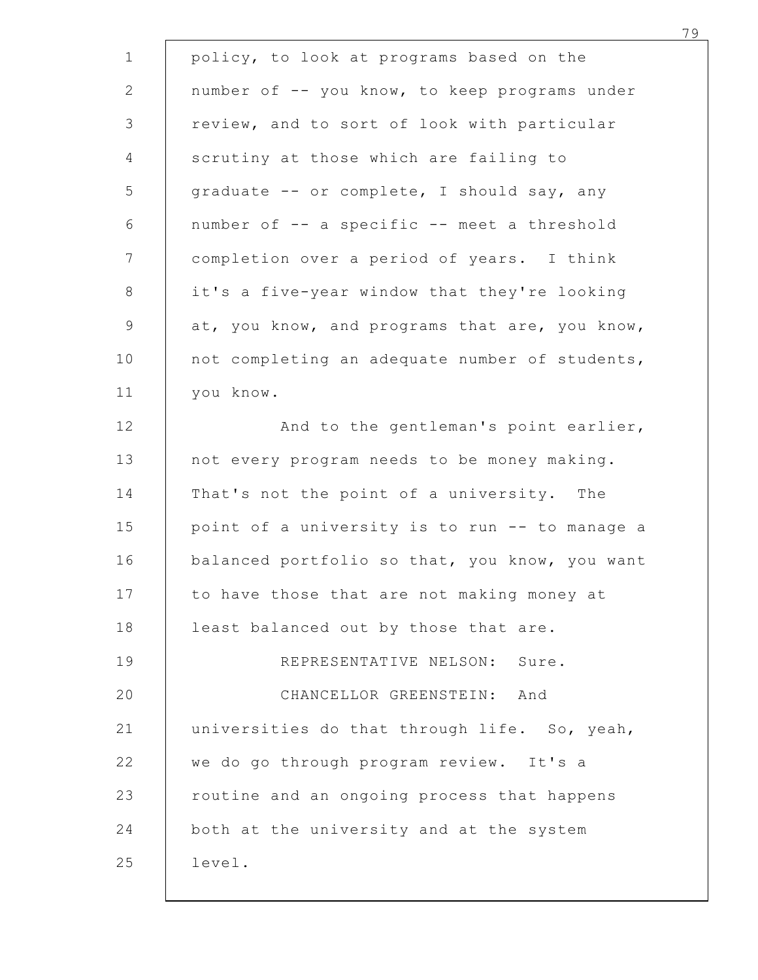| policy, to look at programs based on the       |
|------------------------------------------------|
| number of -- you know, to keep programs under  |
| review, and to sort of look with particular    |
| scrutiny at those which are failing to         |
| graduate -- or complete, I should say, any     |
| number of -- a specific -- meet a threshold    |
| completion over a period of years. I think     |
| it's a five-year window that they're looking   |
| at, you know, and programs that are, you know, |
| not completing an adequate number of students, |
| you know.                                      |
| And to the gentleman's point earlier,          |
| not every program needs to be money making.    |
| That's not the point of a university. The      |
| point of a university is to run -- to manage a |
| balanced portfolio so that, you know, you want |
| to have those that are not making money at     |
| least balanced out by those that are.          |
| REPRESENTATIVE NELSON: Sure.                   |
| CHANCELLOR GREENSTEIN: And                     |
| universities do that through life. So, yeah,   |
| we do go through program review. It's a        |
| routine and an ongoing process that happens    |
| both at the university and at the system       |
| level.                                         |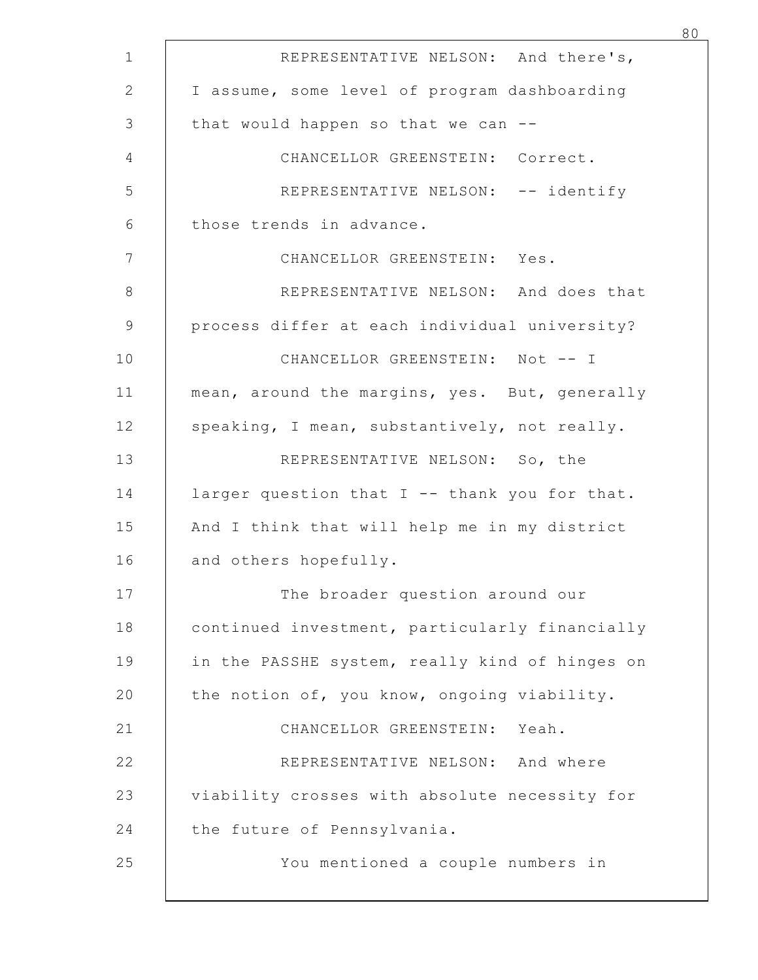| REPRESENTATIVE NELSON: And there's,            |  |
|------------------------------------------------|--|
| I assume, some level of program dashboarding   |  |
| that would happen so that we can --            |  |
| CHANCELLOR GREENSTEIN: Correct.                |  |
| REPRESENTATIVE NELSON: -- identify             |  |
| those trends in advance.                       |  |
| CHANCELLOR GREENSTEIN: Yes.                    |  |
| REPRESENTATIVE NELSON: And does that           |  |
| process differ at each individual university?  |  |
| CHANCELLOR GREENSTEIN: Not -- I                |  |
| mean, around the margins, yes. But, generally  |  |
| speaking, I mean, substantively, not really.   |  |
| REPRESENTATIVE NELSON: So, the                 |  |
| larger question that I -- thank you for that.  |  |
| And I think that will help me in my district   |  |
| and others hopefully.                          |  |
| The broader question around our                |  |
| continued investment, particularly financially |  |
| in the PASSHE system, really kind of hinges on |  |
| the notion of, you know, ongoing viability.    |  |
| CHANCELLOR GREENSTEIN: Yeah.                   |  |
| REPRESENTATIVE NELSON: And where               |  |
| viability crosses with absolute necessity for  |  |
| the future of Pennsylvania.                    |  |
| You mentioned a couple numbers in              |  |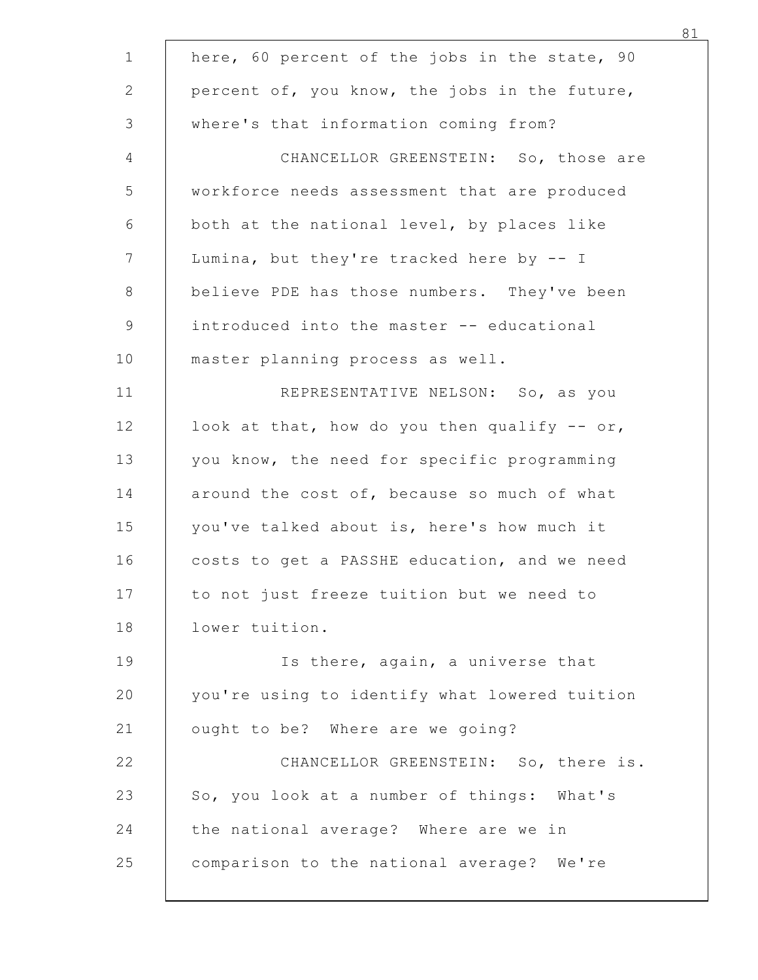| here, 60 percent of the jobs in the state, 90 |
|-----------------------------------------------|
| percent of, you know, the jobs in the future, |
| where's that information coming from?         |
| CHANCELLOR GREENSTEIN: So, those are          |
| workforce needs assessment that are produced  |
| both at the national level, by places like    |
| Lumina, but they're tracked here by -- I      |
| believe PDE has those numbers. They've been   |
| introduced into the master -- educational     |
| master planning process as well.              |
| REPRESENTATIVE NELSON: So, as you             |
| look at that, how do you then qualify $-$ or, |
| you know, the need for specific programming   |
| around the cost of, because so much of what   |
| you've talked about is, here's how much it    |
| costs to get a PASSHE education, and we need  |
| to not just freeze tuition but we need to     |
| lower tuition.                                |
| Is there, again, a universe that              |
| you're using to identify what lowered tuition |
| ought to be? Where are we going?              |
| CHANCELLOR GREENSTEIN: So, there is.          |
| So, you look at a number of things: What's    |
| the national average? Where are we in         |
| comparison to the national average? We're     |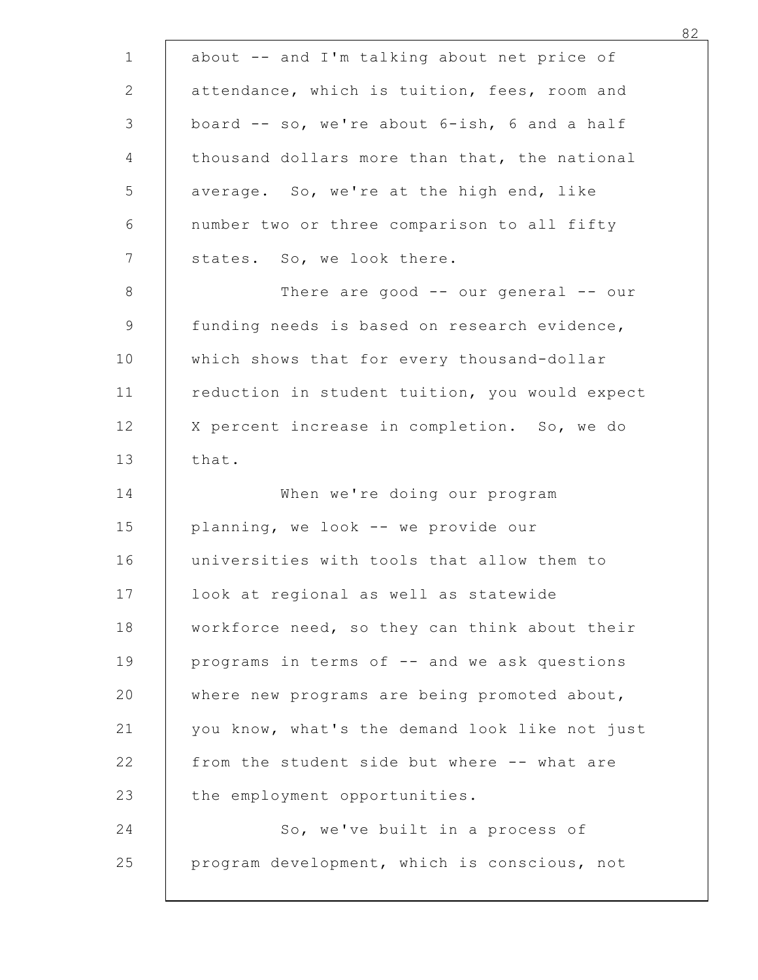| about -- and I'm talking about net price of                                              |  |
|------------------------------------------------------------------------------------------|--|
| attendance, which is tuition, fees, room and                                             |  |
| board -- so, we're about 6-ish, 6 and a half                                             |  |
| thousand dollars more than that, the national                                            |  |
| average. So, we're at the high end, like                                                 |  |
| number two or three comparison to all fifty                                              |  |
| states. So, we look there.                                                               |  |
| There are good $--$ our general $--$ our<br>funding needs is based on research evidence, |  |
|                                                                                          |  |
| which shows that for every thousand-dollar                                               |  |
| reduction in student tuition, you would expect                                           |  |
| X percent increase in completion. So, we do<br>that.                                     |  |
| When we're doing our program                                                             |  |
| planning, we look -- we provide our                                                      |  |
| universities with tools that allow them to                                               |  |
| look at regional as well as statewide                                                    |  |
| workforce need, so they can think about their                                            |  |
| programs in terms of -- and we ask questions                                             |  |
| where new programs are being promoted about,                                             |  |
| you know, what's the demand look like not just                                           |  |
| from the student side but where -- what are                                              |  |
| the employment opportunities.                                                            |  |
| So, we've built in a process of                                                          |  |
| program development, which is conscious, not                                             |  |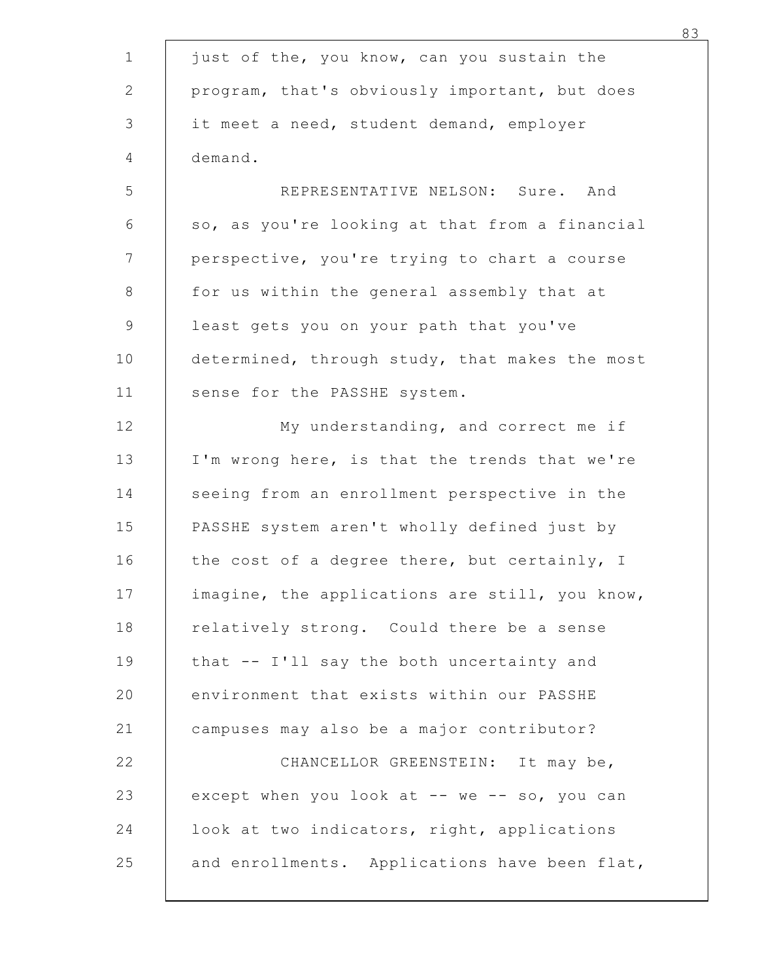|                                                | 83 |
|------------------------------------------------|----|
| just of the, you know, can you sustain the     |    |
| program, that's obviously important, but does  |    |
| it meet a need, student demand, employer       |    |
| demand.                                        |    |
| REPRESENTATIVE NELSON: Sure. And               |    |
| so, as you're looking at that from a financial |    |
| perspective, you're trying to chart a course   |    |
| for us within the general assembly that at     |    |
| least gets you on your path that you've        |    |
| determined, through study, that makes the most |    |
| sense for the PASSHE system.                   |    |
| My understanding, and correct me if            |    |
| I'm wrong here, is that the trends that we're  |    |
| seeing from an enrollment perspective in the   |    |
| PASSHE system aren't wholly defined just by    |    |
| the cost of a degree there, but certainly, I   |    |
| imagine, the applications are still, you know, |    |
| relatively strong. Could there be a sense      |    |
| that -- I'll say the both uncertainty and      |    |
| environment that exists within our PASSHE      |    |
| campuses may also be a major contributor?      |    |
| CHANCELLOR GREENSTEIN: It may be,              |    |
| except when you look at -- we -- so, you can   |    |
| look at two indicators, right, applications    |    |
| and enrollments. Applications have been flat,  |    |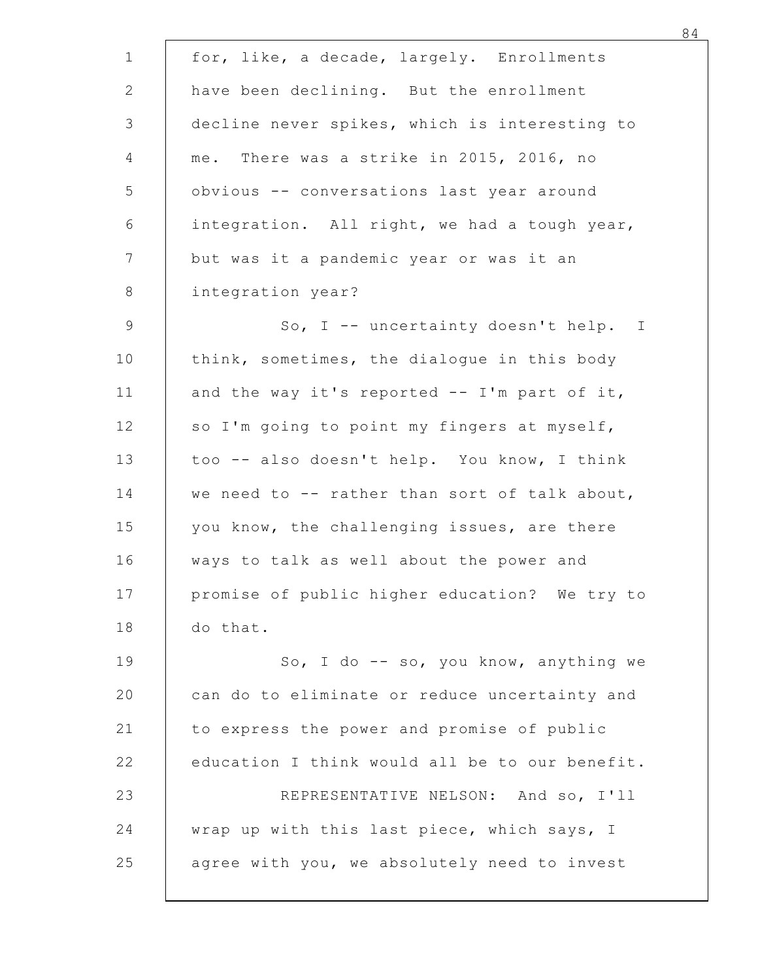|          | for, like, a decade, largely. Enrollments      |
|----------|------------------------------------------------|
|          | have been declining. But the enrollment        |
|          | decline never spikes, which is interesting to  |
|          | me. There was a strike in 2015, 2016, no       |
|          | obvious -- conversations last year around      |
|          | integration. All right, we had a tough year,   |
|          | but was it a pandemic year or was it an        |
|          | integration year?                              |
|          | So, I -- uncertainty doesn't help. I           |
|          | think, sometimes, the dialogue in this body    |
|          | and the way it's reported -- I'm part of it,   |
|          | so I'm going to point my fingers at myself,    |
|          | too -- also doesn't help. You know, I think    |
|          | we need to -- rather than sort of talk about,  |
|          | you know, the challenging issues, are there    |
|          | ways to talk as well about the power and       |
|          | promise of public higher education? We try to  |
| do that. |                                                |
|          | So, I do $-$ so, you know, anything we         |
|          | can do to eliminate or reduce uncertainty and  |
|          | to express the power and promise of public     |
|          | education I think would all be to our benefit. |
|          | REPRESENTATIVE NELSON: And so, I'll            |
|          | wrap up with this last piece, which says, I    |
|          | agree with you, we absolutely need to invest   |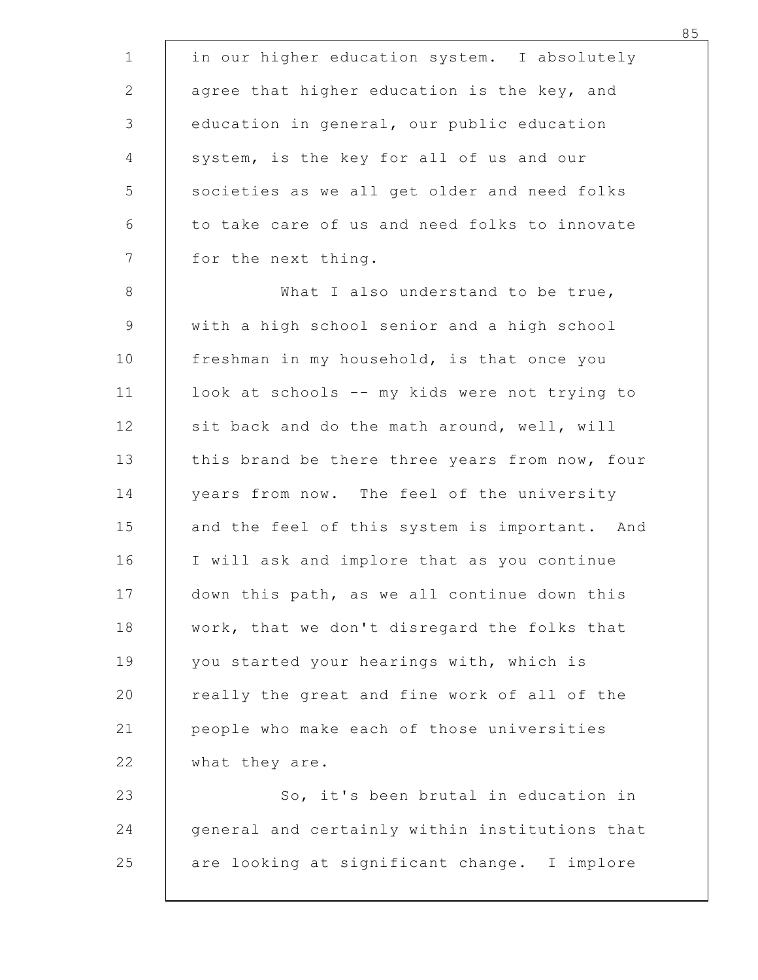<sup>85</sup><br>
1 in our higher education system. I absolutely<br>
2 agree that higher education is the key, and<br>
3 education in general, our public education<br>
4 system, is the key for all of us and our <sup>85</sup><br>
1 in our higher education system. I absolutely<br>
2 agree that higher education is the key, and<br>
3 education in general, our public education<br>
4 system, is the key for all of us and our<br>
5 societies as we all get older <sup>85</sup><br>
1 in our higher education system. I absolutely<br>
2 agree that higher education is the key, and<br>
3 education in general, our public education<br>
4 system, is the key for all of us and our<br>
5 societies as we all get older 85<br>
1 in our higher education system. I absolutely<br>
agree that higher education is the key, and<br>
education in general, our public education<br>
system, is the key for all of us and our<br>
societies as we all get older and need <sup>85</sup><br>
1 in our higher education system. I absolutely<br>
2 agree that higher education is the key, and<br>
education in general, our public education<br>
5 system, is the key for all of us and our<br>
societies as we all get older and 85<br>
1 in our higher education system. I absolutely<br>
2 agree that higher education is the key, and<br>
3 education in general, our public education<br>
5 societies as we all get older and need folks<br>
5 societies as we all get old 1 in our higher education system. I absolute<br>
2 agree that higher education is the key, and<br>
education in general, our public education<br>
5 system, is the key for all of us and our<br>
societies as we all get older and need fo 85<br>
1 in our higher education system. I absolutely<br>
2 agree that higher education is the key, and<br>
3 education in general, our public education<br>
system, is the key for all of us and our<br>
5 societies as we all get older and 93<br>
1 in our higher education system. I absolutely<br>
2 agree that higher education is the key, and<br>
3 education in general, our public education<br>
5 societies as we all get older and need folks<br>
to take care of us and need f 2<br>
agree that higher education is the key, and<br>
education in general, our public education<br>
5<br>
system, is the key for all of us and our<br>
societies as we all get older and need folks<br>
to take care of us and need folks to in ducation in general, our public education<br>
system, is the key for all of us and our<br>
societies as we all get older and need folks<br>
to take care of us and need folks to innovate<br>
for the next thing.<br>
What I also understand system, is the key for all of us and our<br>
societies as we all get older and need folks<br>
to take care of us and need folks to innovate<br>
for the next thing.<br>
What I also understand to be true,<br>
with a high school senior and 5<br>
societies as we all get older and need folks<br>
to take care of us and need folks to innovate<br>
Therefore the next thing.<br>
What I also understand to be true,<br>
with a high school senior and a high school<br>
freshman in my hou 14 to take care of us and need folks to innovate<br>
15 for the next thing.<br>
18 what I also understand to be true,<br>
19 with a high school senior and a high school<br>
10 freshman in my household, is that once you<br>
10 look at sch 16 for the next thing.<br>
8 What I also understand to be true,<br>
9 with a high school senior and a high school<br>
10 freshman in my household, is that once you<br>
11 look at schools -- my kids were not trying to<br>
5 sit back and d 3 What I also understand to be true,<br>
9 with a high school senior and a high school<br>
freshman in my household, is that once you<br>
10 look at schools -- my kids were not trying to<br>
sit back and do the math around, well, will 9 with a high school senior and a high school<br>freshman in my household, is that once you<br>11 look at schools -- my kids were not trying to<br>sit back and do the math around, well, will<br>this brand be there three years from now freshman in my household, is that once you<br>
11 look at schools -- my kids were not trying to<br>
sit back and do the math around, well, will<br>
this brand be there three years from now, four<br>
years from now. The feel of the uni 11 look at schools -- my kids were not trying to<br>
sit back and do the math around, well, will<br>
this brand be there three years from now, four<br>
years from now. The feel of the university<br>
and the feel of this system is impo 32 really the great and fine work of all outer states in the great and the feel of the university<br>
20 real of the university<br>
20 real of this system is important. And<br>
20 really the great and fine work of all of the<br>
20 re 22 per all of the set of the university<br>
21 peaks from now. The feel of the university<br>
21 people who make and implore that as you continue<br>
21 people who make each of those universities<br>
22 people who make each of those u years from now. The feel of the universi<br>
and the feel of this system is important.<br>
If will ask and implore that as you contin<br>
down this path, as we all continue down t<br>
work, that we don't disregard the folks t<br>
you sta and the feel of this system is important. And<br>
I will ask and implore that as you continue<br>
down this path, as we all continue down this<br>
work, that we don't disregard the folks that<br>
you started your hearings with, which 24 It will ask and implore that as you continue<br>
217 down this path, as we all continue down this<br>
20 work, that we don't disregard the folks that<br>
20 started your hearings with, which is<br>
20 really the great and fine work down this path, as we all continue down this<br>work, that we don't disregard the folks that<br>you started your hearings with, which is<br>really the great and fine work of all of the<br>people who make each of those universities<br>wha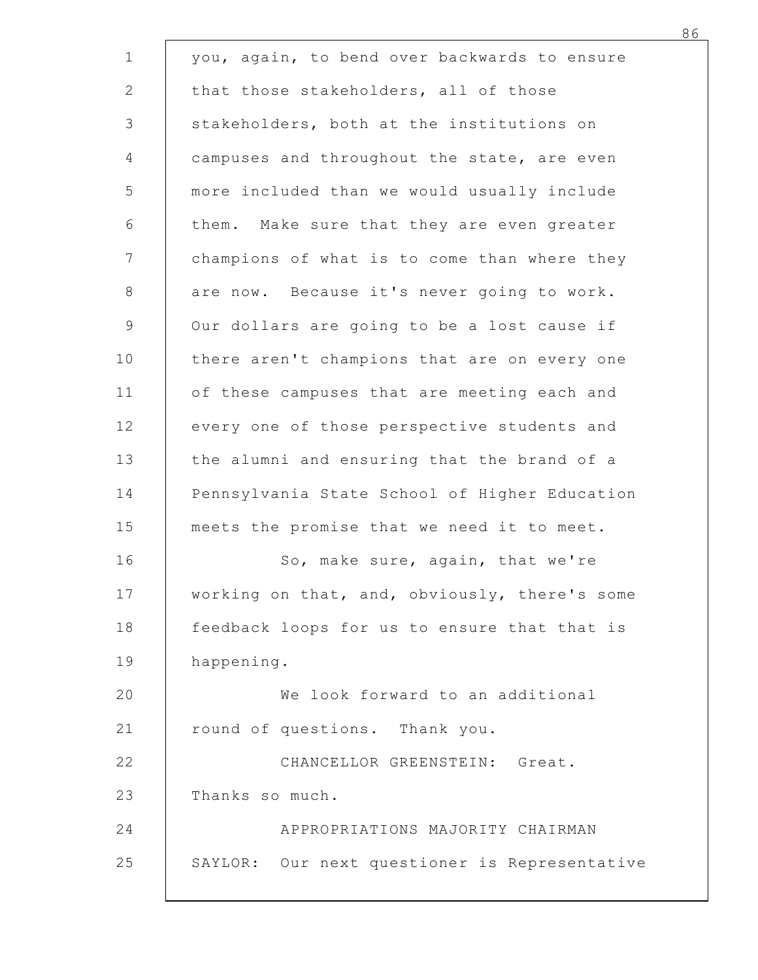|            | you, again, to bend over backwards to ensure  |
|------------|-----------------------------------------------|
|            | that those stakeholders, all of those         |
|            | stakeholders, both at the institutions on     |
|            | campuses and throughout the state, are even   |
|            | more included than we would usually include   |
|            | them. Make sure that they are even greater    |
|            | champions of what is to come than where they  |
|            | are now. Because it's never going to work.    |
|            | Our dollars are going to be a lost cause if   |
|            | there aren't champions that are on every one  |
|            | of these campuses that are meeting each and   |
|            | every one of those perspective students and   |
|            | the alumni and ensuring that the brand of a   |
|            | Pennsylvania State School of Higher Education |
|            | meets the promise that we need it to meet.    |
|            | So, make sure, again, that we're              |
|            | working on that, and, obviously, there's some |
|            | feedback loops for us to ensure that that is  |
| happening. |                                               |
|            | We look forward to an additional              |
|            | round of questions. Thank you.                |
|            | CHANCELLOR GREENSTEIN: Great.                 |
|            | Thanks so much.                               |
|            | APPROPRIATIONS MAJORITY CHAIRMAN              |
|            | SAYLOR: Our next questioner is Representative |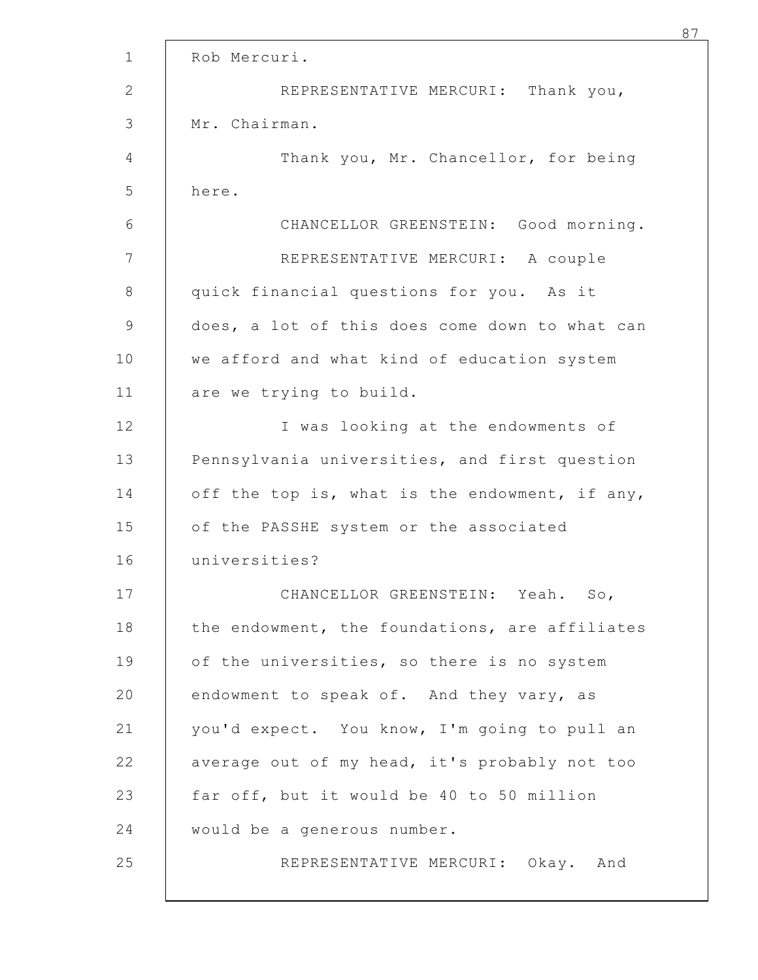|       | Rob Mercuri.                                   |
|-------|------------------------------------------------|
|       | Thank you,<br>REPRESENTATIVE MERCURI:          |
|       | Mr. Chairman.                                  |
|       | Thank you, Mr. Chancellor, for being           |
| here. |                                                |
|       | CHANCELLOR GREENSTEIN: Good morning.           |
|       | REPRESENTATIVE MERCURI:<br>A couple            |
|       | quick financial questions for you. As it       |
|       | does, a lot of this does come down to what can |
|       | we afford and what kind of education system    |
|       | are we trying to build.                        |
|       | I was looking at the endowments of             |
|       | Pennsylvania universities, and first question  |
|       | off the top is, what is the endowment, if any, |
|       | of the PASSHE system or the associated         |
|       | universities?                                  |
|       | CHANCELLOR GREENSTEIN: Yeah. So,               |
|       | the endowment, the foundations, are affiliates |
|       | of the universities, so there is no system     |
|       | endowment to speak of. And they vary, as       |
|       | you'd expect. You know, I'm going to pull an   |
|       | average out of my head, it's probably not too  |
|       | far off, but it would be 40 to 50 million      |
|       | would be a generous number.                    |
|       | REPRESENTATIVE MERCURI: Okay. And              |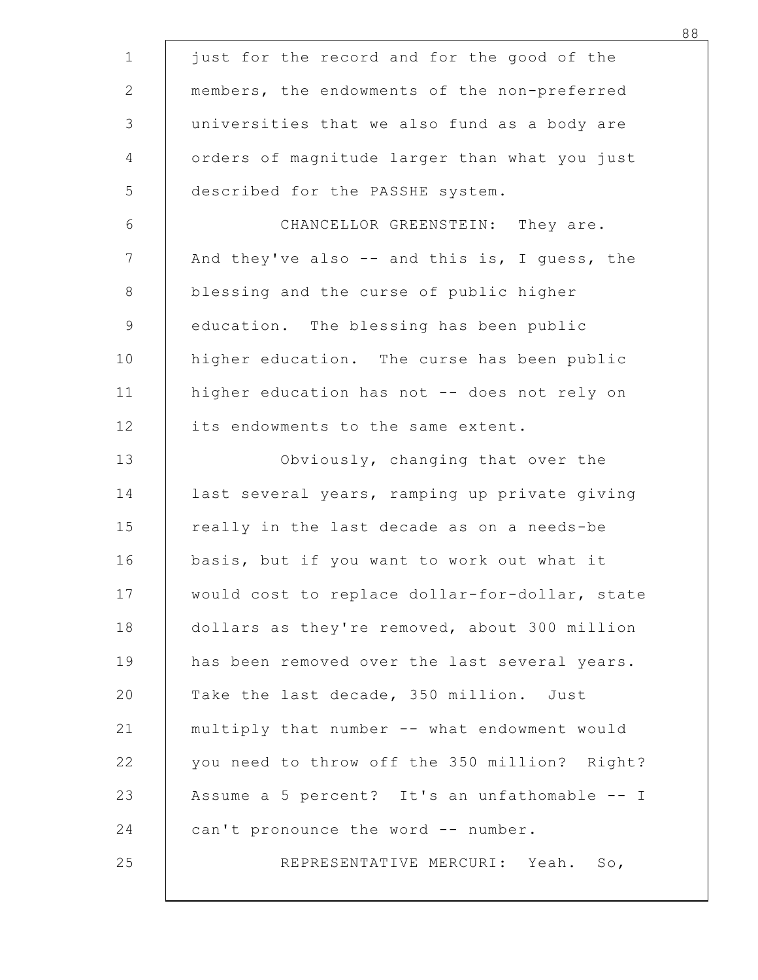| just for the record and for the good of the    |                                   |
|------------------------------------------------|-----------------------------------|
| members, the endowments of the non-preferred   |                                   |
| universities that we also fund as a body are   |                                   |
| orders of magnitude larger than what you just  |                                   |
| described for the PASSHE system.               |                                   |
|                                                | CHANCELLOR GREENSTEIN: They are.  |
| And they've also -- and this is, I guess, the  |                                   |
| blessing and the curse of public higher        |                                   |
| education. The blessing has been public        |                                   |
| higher education. The curse has been public    |                                   |
| higher education has not -- does not rely on   |                                   |
| its endowments to the same extent.             |                                   |
|                                                | Obviously, changing that over the |
| last several years, ramping up private giving  |                                   |
| really in the last decade as on a needs-be     |                                   |
| basis, but if you want to work out what it     |                                   |
| would cost to replace dollar-for-dollar, state |                                   |
| dollars as they're removed, about 300 million  |                                   |
| has been removed over the last several years.  |                                   |
| Take the last decade, 350 million. Just        |                                   |
| multiply that number -- what endowment would   |                                   |
| you need to throw off the 350 million? Right?  |                                   |
| Assume a 5 percent? It's an unfathomable -- I  |                                   |
| can't pronounce the word -- number.            |                                   |
|                                                | REPRESENTATIVE MERCURI: Yeah. So, |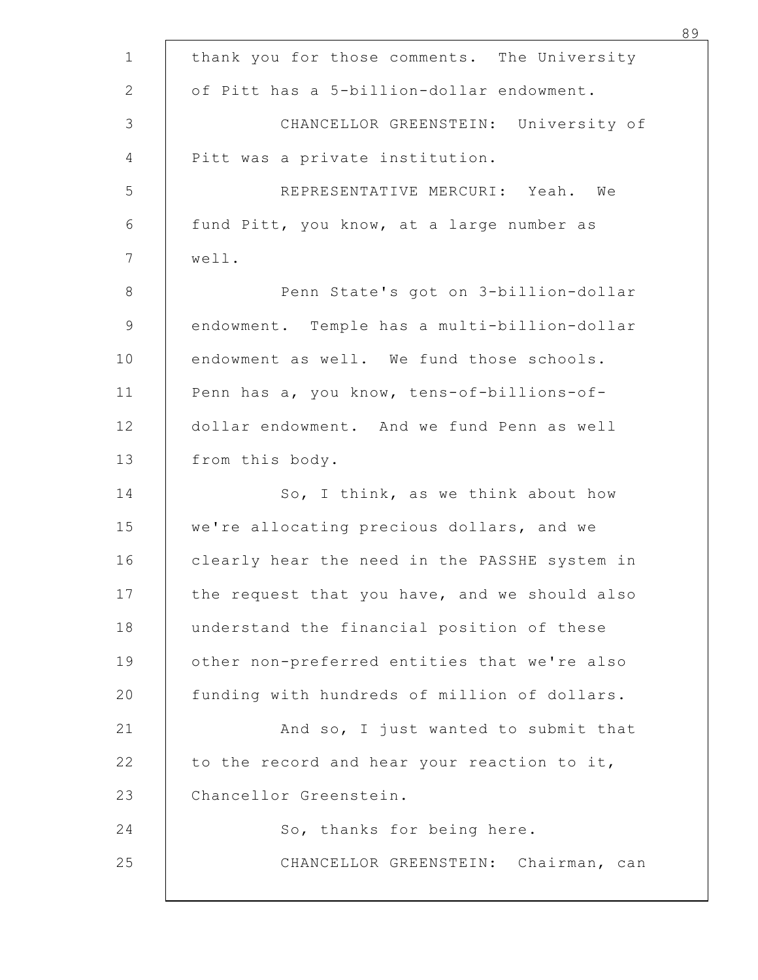| thank you for those comments. The University  |
|-----------------------------------------------|
| of Pitt has a 5-billion-dollar endowment.     |
| CHANCELLOR GREENSTEIN: University of          |
| Pitt was a private institution.               |
| REPRESENTATIVE MERCURI: Yeah. We              |
| fund Pitt, you know, at a large number as     |
| well.                                         |
| Penn State's got on 3-billion-dollar          |
| endowment. Temple has a multi-billion-dollar  |
| endowment as well. We fund those schools.     |
| Penn has a, you know, tens-of-billions-of-    |
| dollar endowment. And we fund Penn as well    |
| from this body.                               |
| So, I think, as we think about how            |
| we're allocating precious dollars, and we     |
| clearly hear the need in the PASSHE system in |
| the request that you have, and we should also |
| understand the financial position of these    |
| other non-preferred entities that we're also  |
| funding with hundreds of million of dollars.  |
| And so, I just wanted to submit that          |
| to the record and hear your reaction to it,   |
| Chancellor Greenstein.                        |
| So, thanks for being here.                    |
| CHANCELLOR GREENSTEIN: Chairman, can          |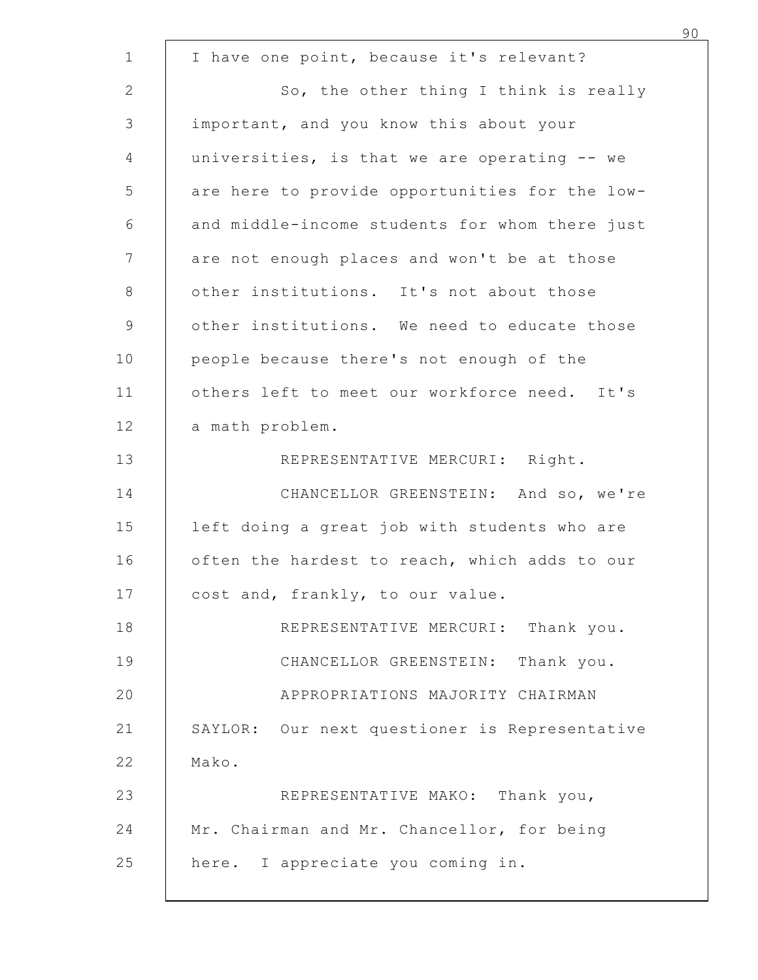| I have one point, because it's relevant?       |
|------------------------------------------------|
| So, the other thing I think is really          |
| important, and you know this about your        |
| universities, is that we are operating -- we   |
| are here to provide opportunities for the low- |
| and middle-income students for whom there just |
| are not enough places and won't be at those    |
| other institutions. It's not about those       |
| other institutions. We need to educate those   |
| people because there's not enough of the       |
| others left to meet our workforce need. It's   |
| a math problem.                                |
| REPRESENTATIVE MERCURI: Right.                 |
| CHANCELLOR GREENSTEIN: And so, we're           |
| left doing a great job with students who are   |
| often the hardest to reach, which adds to our  |
| cost and, frankly, to our value.               |
| REPRESENTATIVE MERCURI: Thank you.             |
| CHANCELLOR GREENSTEIN: Thank you.              |
| APPROPRIATIONS MAJORITY CHAIRMAN               |
| SAYLOR: Our next questioner is Representative  |
| Mako.                                          |
| REPRESENTATIVE MAKO: Thank you,                |
| Mr. Chairman and Mr. Chancellor, for being     |
| here. I appreciate you coming in.              |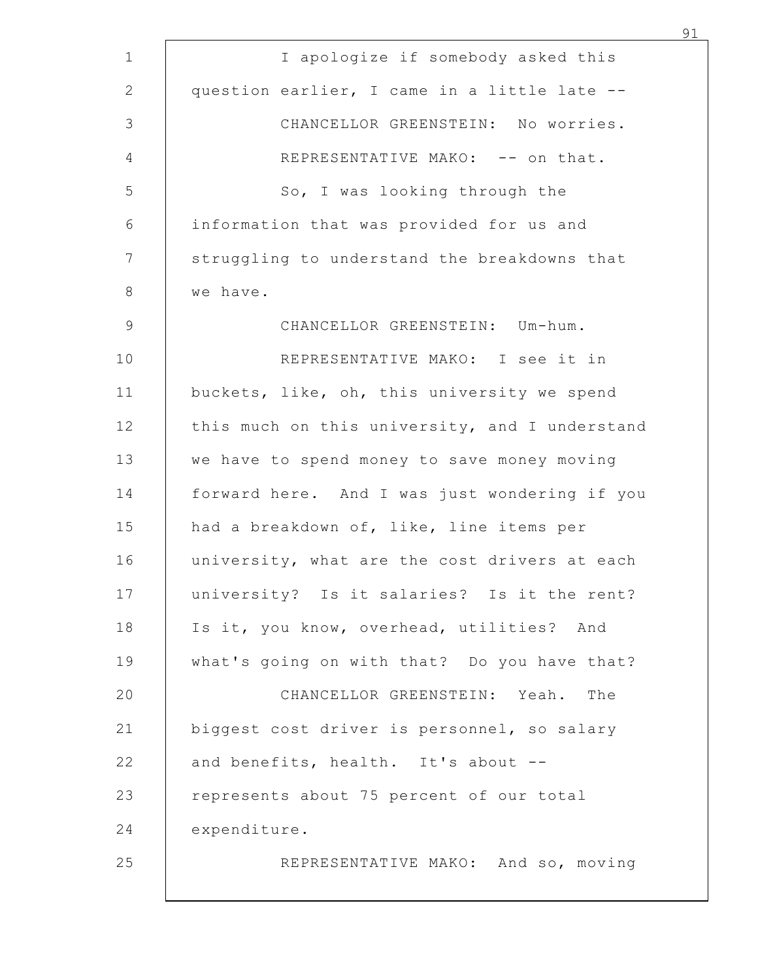| I apologize if somebody asked this             |
|------------------------------------------------|
| question earlier, I came in a little late --   |
| CHANCELLOR GREENSTEIN: No worries.             |
| REPRESENTATIVE MAKO: -- on that.               |
| So, I was looking through the                  |
| information that was provided for us and       |
| struggling to understand the breakdowns that   |
| we have.                                       |
| CHANCELLOR GREENSTEIN: Um-hum.                 |
| REPRESENTATIVE MAKO: I see it in               |
| buckets, like, oh, this university we spend    |
| this much on this university, and I understand |
| we have to spend money to save money moving    |
| forward here. And I was just wondering if you  |
| had a breakdown of, like, line items per       |
| university, what are the cost drivers at each  |
| university? Is it salaries? Is it the rent?    |
| Is it, you know, overhead, utilities? And      |
| what's going on with that? Do you have that?   |
| CHANCELLOR GREENSTEIN: Yeah. The               |
| biggest cost driver is personnel, so salary    |
| and benefits, health. It's about --            |
| represents about 75 percent of our total       |
| expenditure.                                   |
| REPRESENTATIVE MAKO: And so, moving            |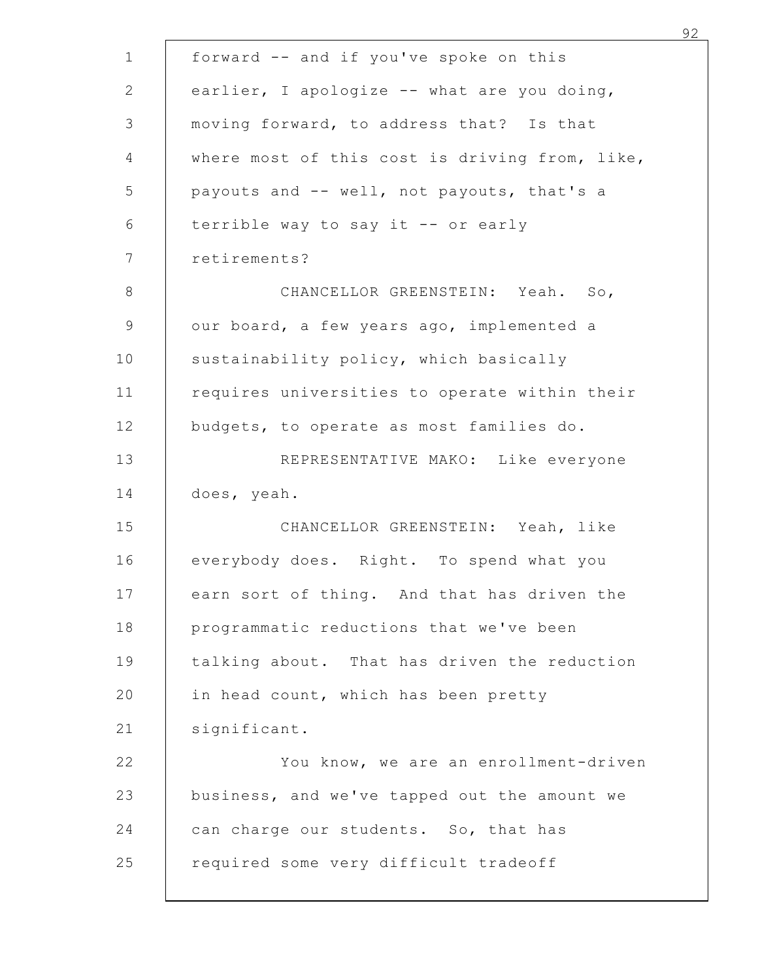| forward -- and if you've spoke on this         |
|------------------------------------------------|
| earlier, I apologize -- what are you doing,    |
| moving forward, to address that? Is that       |
| where most of this cost is driving from, like, |
| payouts and -- well, not payouts, that's a     |
| terrible way to say it -- or early             |
| retirements?                                   |
| CHANCELLOR GREENSTEIN: Yeah.<br>So,            |
| our board, a few years ago, implemented a      |
| sustainability policy, which basically         |
| requires universities to operate within their  |
| budgets, to operate as most families do.       |
| REPRESENTATIVE MAKO: Like everyone             |
| does, yeah.                                    |
| CHANCELLOR GREENSTEIN: Yeah, like              |
| everybody does. Right. To spend what you       |
| earn sort of thing. And that has driven the    |
| programmatic reductions that we've been        |
| talking about. That has driven the reduction   |
| in head count, which has been pretty           |
| significant.                                   |
| You know, we are an enrollment-driven          |
| business, and we've tapped out the amount we   |
| can charge our students. So, that has          |
| required some very difficult tradeoff          |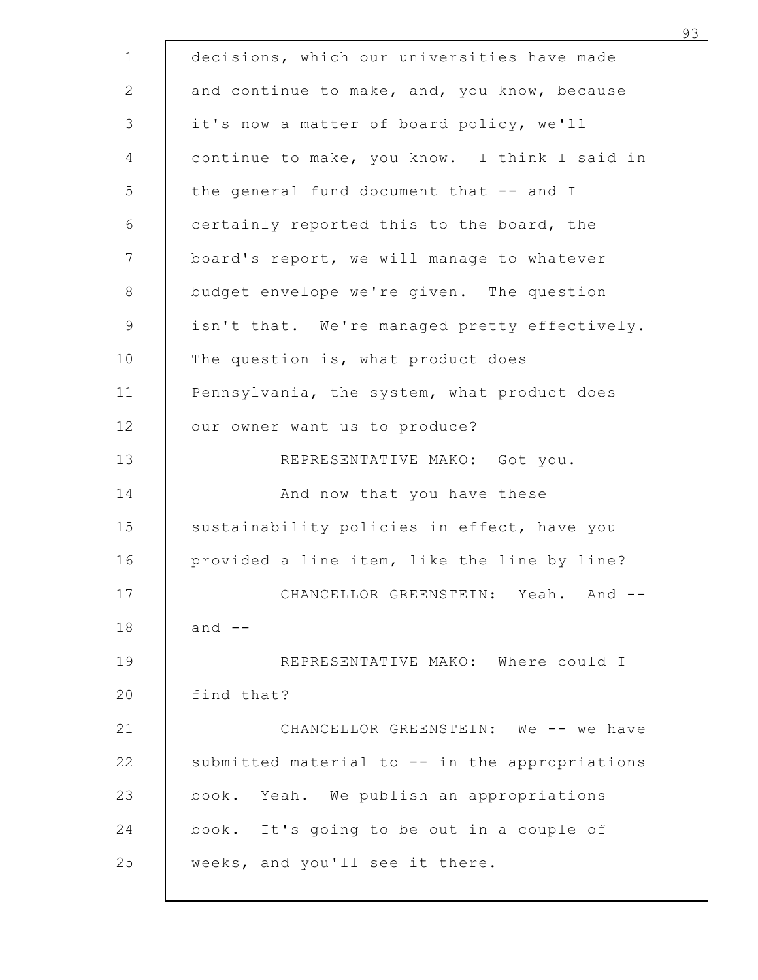|            | decisions, which our universities have made    |
|------------|------------------------------------------------|
|            | and continue to make, and, you know, because   |
|            | it's now a matter of board policy, we'll       |
|            | continue to make, you know. I think I said in  |
|            | the general fund document that -- and I        |
|            | certainly reported this to the board, the      |
|            | board's report, we will manage to whatever     |
|            | budget envelope we're given. The question      |
|            | isn't that. We're managed pretty effectively.  |
|            | The question is, what product does             |
|            | Pennsylvania, the system, what product does    |
|            | our owner want us to produce?                  |
|            | REPRESENTATIVE MAKO: Got you.                  |
|            | And now that you have these                    |
|            | sustainability policies in effect, have you    |
|            | provided a line item, like the line by line?   |
|            | CHANCELLOR GREENSTEIN: Yeah. And --            |
| and $--$   |                                                |
|            | REPRESENTATIVE MAKO: Where could I             |
| find that? |                                                |
|            | CHANCELLOR GREENSTEIN: We -- we have           |
|            | submitted material to -- in the appropriations |
|            | book. Yeah. We publish an appropriations       |
|            | book. It's going to be out in a couple of      |
|            | weeks, and you'll see it there.                |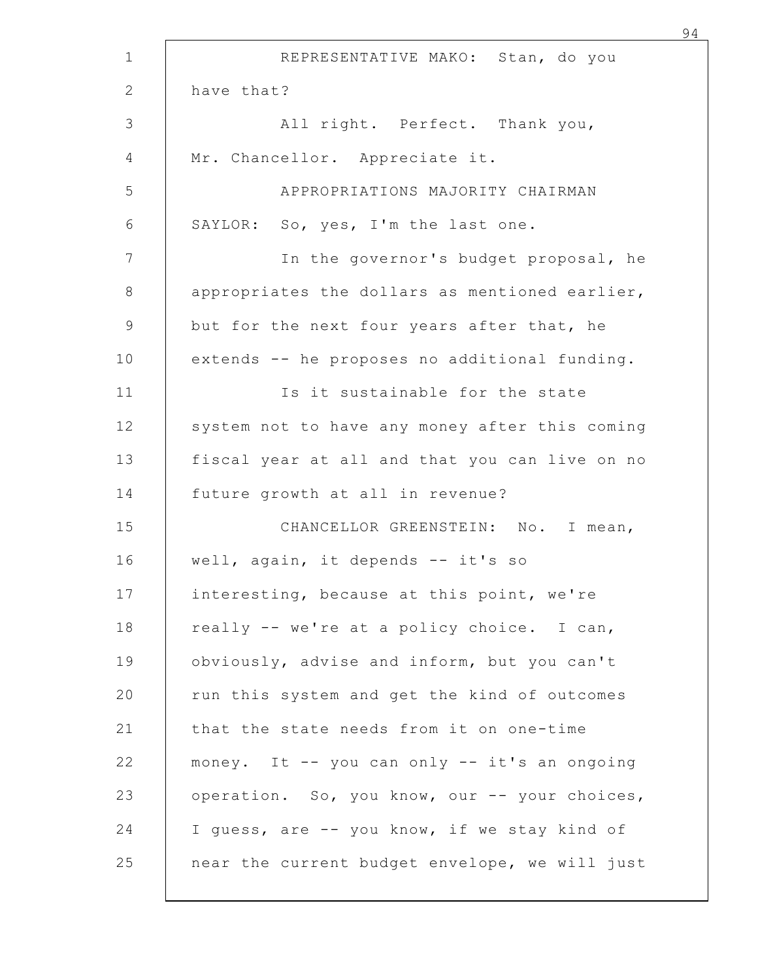|            | REPRESENTATIVE MAKO: Stan, do you              |
|------------|------------------------------------------------|
| have that? |                                                |
|            | All right. Perfect. Thank you,                 |
|            | Mr. Chancellor. Appreciate it.                 |
|            | APPROPRIATIONS MAJORITY CHAIRMAN               |
|            | SAYLOR: So, yes, I'm the last one.             |
|            | In the governor's budget proposal, he          |
|            | appropriates the dollars as mentioned earlier, |
|            | but for the next four years after that, he     |
|            | extends -- he proposes no additional funding.  |
|            | Is it sustainable for the state                |
|            | system not to have any money after this coming |
|            | fiscal year at all and that you can live on no |
|            | future growth at all in revenue?               |
|            | CHANCELLOR GREENSTEIN: No. I mean,             |
|            | well, again, it depends -- it's so             |
|            | interesting, because at this point, we're      |
|            | really -- we're at a policy choice. I can,     |
|            | obviously, advise and inform, but you can't    |
|            | run this system and get the kind of outcomes   |
|            | that the state needs from it on one-time       |
|            | money. It -- you can only -- it's an ongoing   |
|            | operation. So, you know, our -- your choices,  |
|            | I quess, are -- you know, if we stay kind of   |
|            | near the current budget envelope, we will just |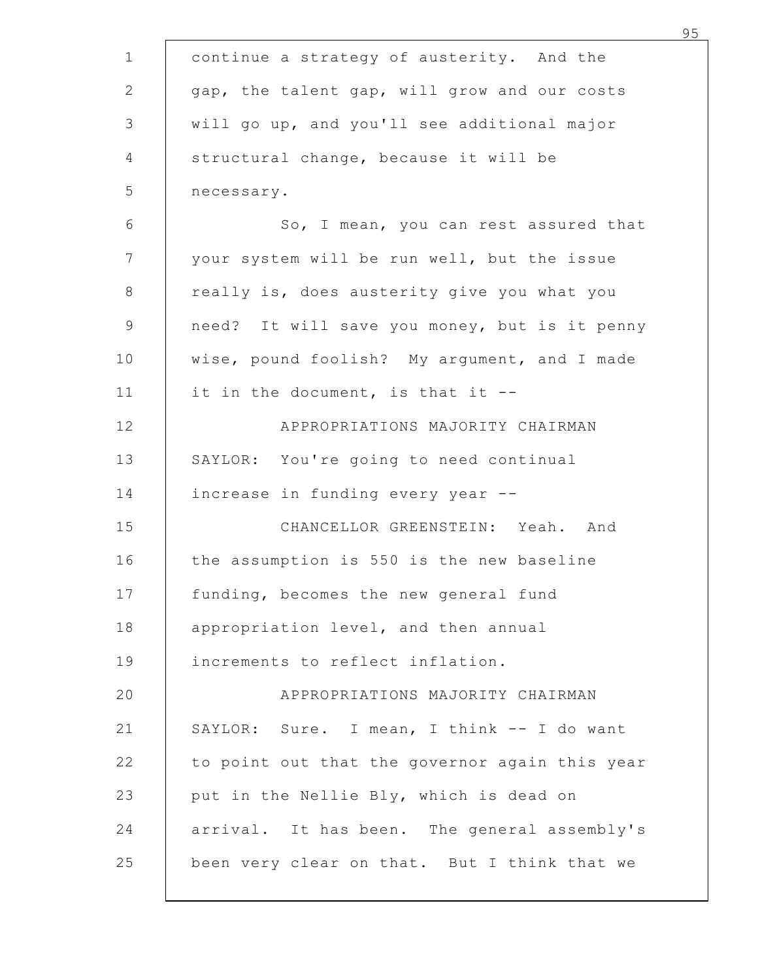|                                                | 95 |
|------------------------------------------------|----|
| continue a strategy of austerity. And the      |    |
| gap, the talent gap, will grow and our costs   |    |
| will go up, and you'll see additional major    |    |
| structural change, because it will be          |    |
| necessary.                                     |    |
| So, I mean, you can rest assured that          |    |
| your system will be run well, but the issue    |    |
| really is, does austerity give you what you    |    |
| need? It will save you money, but is it penny  |    |
| wise, pound foolish? My argument, and I made   |    |
| it in the document, is that it --              |    |
| APPROPRIATIONS MAJORITY CHAIRMAN               |    |
| SAYLOR: You're going to need continual         |    |
| increase in funding every year --              |    |
| CHANCELLOR GREENSTEIN: Yeah. And               |    |
| the assumption is 550 is the new baseline      |    |
| funding, becomes the new general fund          |    |
| appropriation level, and then annual           |    |
| increments to reflect inflation.               |    |
| APPROPRIATIONS MAJORITY CHAIRMAN               |    |
| SAYLOR: Sure. I mean, I think -- I do want     |    |
| to point out that the governor again this year |    |
| put in the Nellie Bly, which is dead on        |    |
| arrival. It has been. The general assembly's   |    |
| been very clear on that. But I think that we   |    |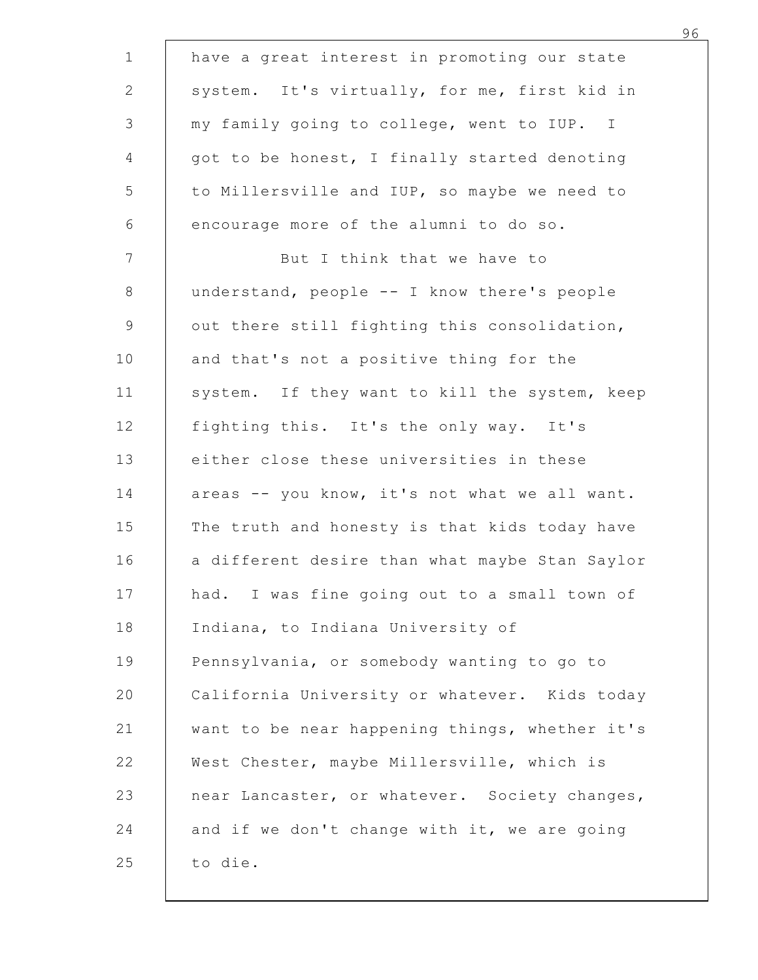|         | have a great interest in promoting our state   |
|---------|------------------------------------------------|
|         | system. It's virtually, for me, first kid in   |
|         | my family going to college, went to IUP. I     |
|         | got to be honest, I finally started denoting   |
|         | to Millersville and IUP, so maybe we need to   |
|         | encourage more of the alumni to do so.         |
|         | But I think that we have to                    |
|         | understand, people -- I know there's people    |
|         | out there still fighting this consolidation,   |
|         | and that's not a positive thing for the        |
|         | system. If they want to kill the system, keep  |
|         | fighting this. It's the only way. It's         |
|         | either close these universities in these       |
|         | areas -- you know, it's not what we all want.  |
|         | The truth and honesty is that kids today have  |
|         | a different desire than what maybe Stan Saylor |
|         | had. I was fine going out to a small town of   |
|         | Indiana, to Indiana University of              |
|         | Pennsylvania, or somebody wanting to go to     |
|         | California University or whatever. Kids today  |
|         | want to be near happening things, whether it's |
|         | West Chester, maybe Millersville, which is     |
|         | near Lancaster, or whatever. Society changes,  |
|         | and if we don't change with it, we are going   |
| to die. |                                                |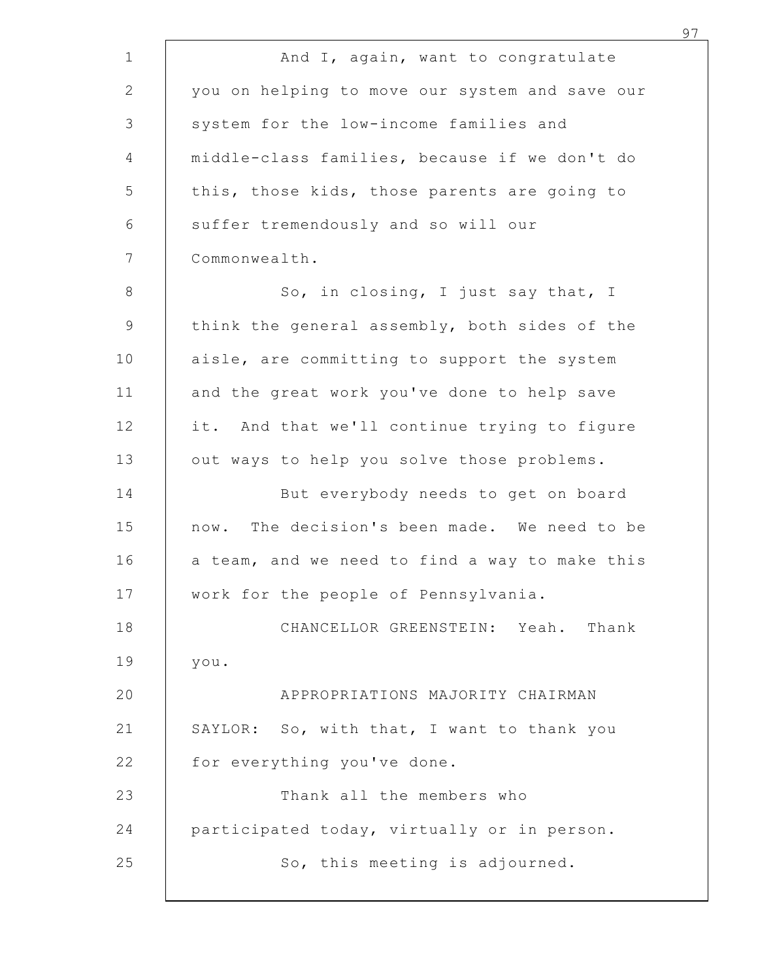|                                            | And I, again, want to congratulate             |
|--------------------------------------------|------------------------------------------------|
|                                            | you on helping to move our system and save our |
| system for the low-income families and     |                                                |
|                                            | middle-class families, because if we don't do  |
|                                            | this, those kids, those parents are going to   |
| suffer tremendously and so will our        |                                                |
| Commonwealth.                              |                                                |
|                                            | So, in closing, I just say that, I             |
|                                            | think the general assembly, both sides of the  |
|                                            | aisle, are committing to support the system    |
|                                            | and the great work you've done to help save    |
|                                            | it. And that we'll continue trying to figure   |
| out ways to help you solve those problems. |                                                |
|                                            | But everybody needs to get on board            |
|                                            | now. The decision's been made. We need to be   |
|                                            | a team, and we need to find a way to make this |
| work for the people of Pennsylvania.       |                                                |
|                                            | CHANCELLOR GREENSTEIN: Yeah. Thank             |
| you.                                       |                                                |
|                                            | APPROPRIATIONS MAJORITY CHAIRMAN               |
|                                            | SAYLOR: So, with that, I want to thank you     |
| for everything you've done.                |                                                |
|                                            | Thank all the members who                      |
|                                            | participated today, virtually or in person.    |
|                                            | So, this meeting is adjourned.                 |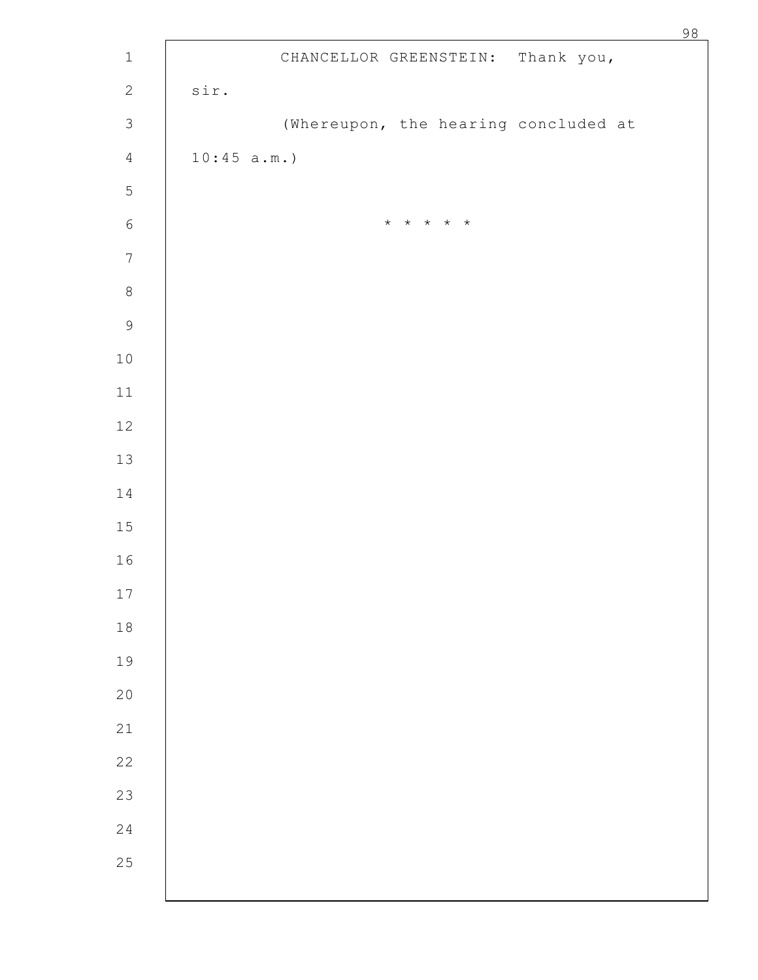|            | CHANCELLOR GREENSTEIN: Thank you,    |
|------------|--------------------------------------|
| sir.       |                                      |
|            | (Whereupon, the hearing concluded at |
| 10:45 a.m. |                                      |
|            |                                      |
|            | * * * * *                            |
|            |                                      |
|            |                                      |
|            |                                      |
|            |                                      |
|            |                                      |
|            |                                      |
|            |                                      |
|            |                                      |
|            |                                      |
|            |                                      |
|            |                                      |
|            |                                      |
|            |                                      |
|            |                                      |
|            |                                      |
|            |                                      |
|            |                                      |
|            |                                      |
|            |                                      |
|            |                                      |